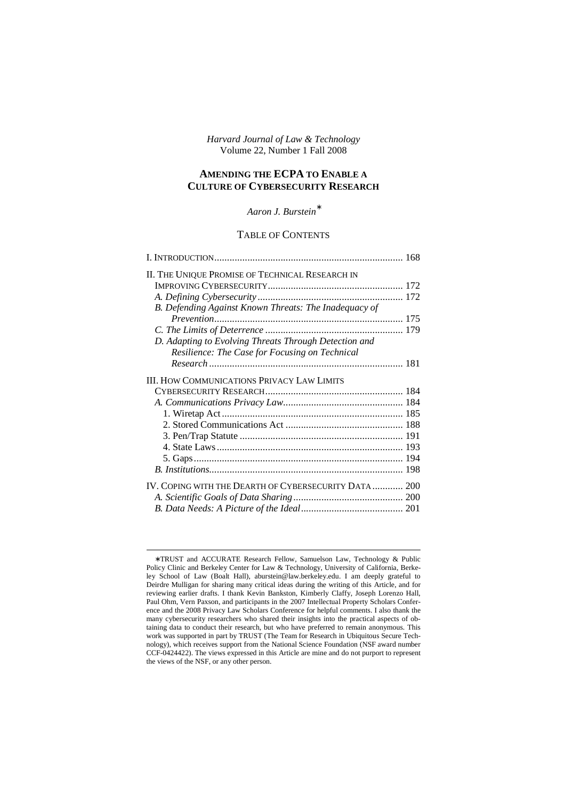*Harvard Journal of Law & Technology*  Volume 22, Number 1 Fall 2008

# **AMENDING THE ECPA TO ENABLE A CULTURE OF CYBERSECURITY RESEARCH**

## *Aaron J. Burstein*<sup>∗</sup>

## TABLE OF CONTENTS

| II. THE UNIQUE PROMISE OF TECHNICAL RESEARCH IN       |  |
|-------------------------------------------------------|--|
|                                                       |  |
|                                                       |  |
| B. Defending Against Known Threats: The Inadequacy of |  |
|                                                       |  |
|                                                       |  |
| D. Adapting to Evolving Threats Through Detection and |  |
| Resilience: The Case for Focusing on Technical        |  |
|                                                       |  |
| <b>III. HOW COMMUNICATIONS PRIVACY LAW LIMITS</b>     |  |
|                                                       |  |
|                                                       |  |
|                                                       |  |
|                                                       |  |
|                                                       |  |
|                                                       |  |
|                                                       |  |
|                                                       |  |
| IV. COPING WITH THE DEARTH OF CYBERSECURITY DATA 200  |  |
|                                                       |  |
|                                                       |  |

<sup>∗</sup> TRUST and ACCURATE Research Fellow, Samuelson Law, Technology & Public Policy Clinic and Berkeley Center for Law & Technology, University of California, Berkeley School of Law (Boalt Hall), aburstein@law.berkeley.edu. I am deeply grateful to Deirdre Mulligan for sharing many critical ideas during the writing of this Article, and for reviewing earlier drafts. I thank Kevin Bankston, Kimberly Claffy, Joseph Lorenzo Hall, Paul Ohm, Vern Paxson, and participants in the 2007 Intellectual Property Scholars Conference and the 2008 Privacy Law Scholars Conference for helpful comments. I also thank the many cybersecurity researchers who shared their insights into the practical aspects of obtaining data to conduct their research, but who have preferred to remain anonymous. This work was supported in part by TRUST (The Team for Research in Ubiquitous Secure Technology), which receives support from the National Science Foundation (NSF award number CCF-0424422). The views expressed in this Article are mine and do not purport to represent the views of the NSF, or any other person.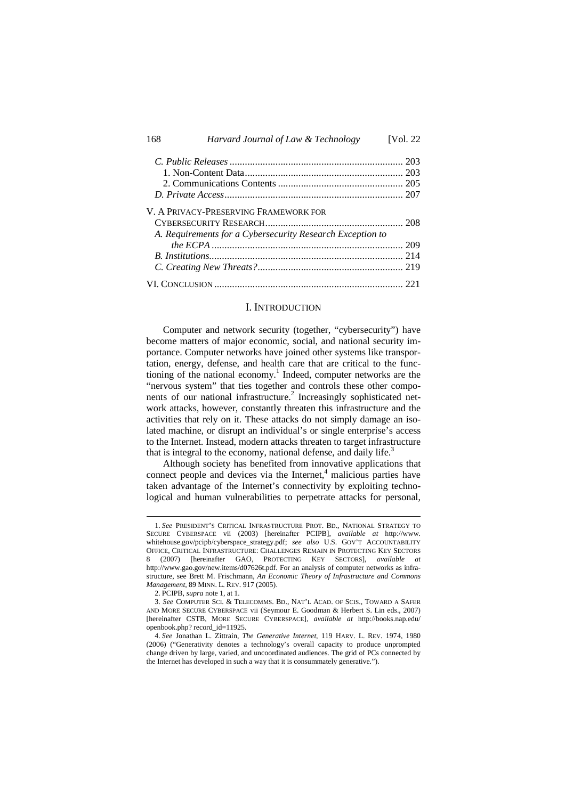| 168 | Harvard Journal of Law & Technology                       | [Vol. 22] |
|-----|-----------------------------------------------------------|-----------|
|     |                                                           | -203      |
|     |                                                           |           |
|     |                                                           |           |
|     |                                                           |           |
|     | V. A PRIVACY-PRESERVING FRAMEWORK FOR                     |           |
|     |                                                           |           |
|     | A. Requirements for a Cybersecurity Research Exception to |           |
|     |                                                           | 209       |
|     |                                                           | 214       |
|     |                                                           |           |
|     |                                                           |           |

## I. INTRODUCTION

Computer and network security (together, "cybersecurity") have become matters of major economic, social, and national security importance. Computer networks have joined other systems like transportation, energy, defense, and health care that are critical to the functioning of the national economy.<sup>1</sup> Indeed, computer networks are the "nervous system" that ties together and controls these other components of our national infrastructure.<sup>2</sup> Increasingly sophisticated network attacks, however, constantly threaten this infrastructure and the activities that rely on it. These attacks do not simply damage an isolated machine, or disrupt an individual's or single enterprise's access to the Internet. Instead, modern attacks threaten to target infrastructure that is integral to the economy, national defense, and daily life. $3$ 

Although society has benefited from innovative applications that connect people and devices via the Internet, $4$  malicious parties have taken advantage of the Internet's connectivity by exploiting technological and human vulnerabilities to perpetrate attacks for personal,

<sup>1.</sup> *See* PRESIDENT'S CRITICAL INFRASTRUCTURE PROT. BD., NATIONAL STRATEGY TO SECURE CYBERSPACE vii (2003) [hereinafter PCIPB], *available at* http://www. whitehouse.gov/pcipb/cyberspace\_strategy.pdf; *see also* U.S. GOV'T ACCOUNTABILITY OFFICE, CRITICAL INFRASTRUCTURE: CHALLENGES REMAIN IN PROTECTING KEY SECTORS 8 (2007) [hereinafter GAO, PROTECTING KEY SECTORS], *available at* http://www.gao.gov/new.items/d07626t.pdf. For an analysis of computer networks as infrastructure, see Brett M. Frischmann, *An Economic Theory of Infrastructure and Commons Management*, 89 MINN. L. REV. 917 (2005).

<sup>2.</sup> PCIPB, *supra* note 1, at 1.

<sup>3.</sup> *See* COMPUTER SCI. & TELECOMMS. BD., NAT'L ACAD. OF SCIS., TOWARD A SAFER AND MORE SECURE CYBERSPACE vii (Seymour E. Goodman & Herbert S. Lin eds., 2007) [hereinafter CSTB, MORE SECURE CYBERSPACE], *available at* http://books.nap.edu/ openbook.php? record\_id=11925.

<sup>4.</sup> *See* Jonathan L. Zittrain, *The Generative Internet*, 119 HARV. L. REV. 1974, 1980 (2006) ("Generativity denotes a technology's overall capacity to produce unprompted change driven by large, varied, and uncoordinated audiences. The grid of PCs connected by the Internet has developed in such a way that it is consummately generative.").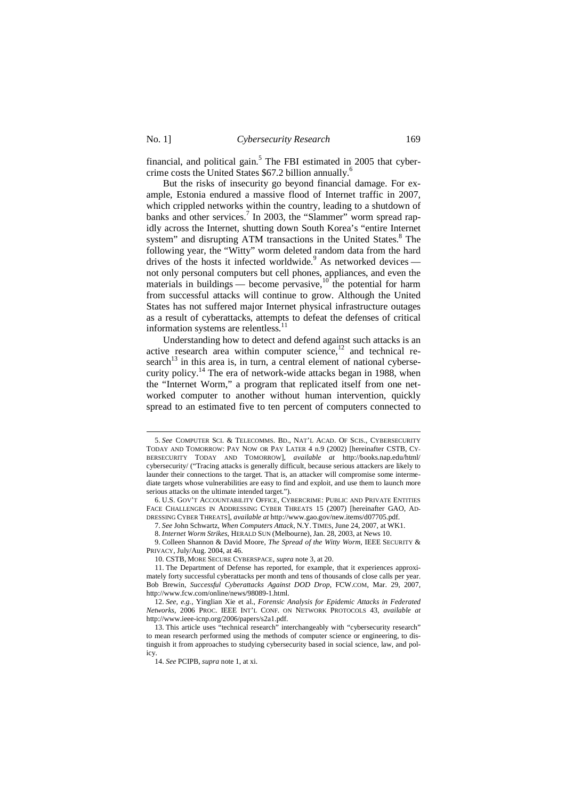-

financial, and political gain.<sup>5</sup> The FBI estimated in 2005 that cybercrime costs the United States \$67.2 billion annually. 6

But the risks of insecurity go beyond financial damage. For example, Estonia endured a massive flood of Internet traffic in 2007, which crippled networks within the country, leading to a shutdown of banks and other services.<sup>7</sup> In 2003, the "Slammer" worm spread rapidly across the Internet, shutting down South Korea's "entire Internet system" and disrupting ATM transactions in the United States.<sup>8</sup> The following year, the "Witty" worm deleted random data from the hard drives of the hosts it infected worldwide.<sup>9</sup> As networked devices not only personal computers but cell phones, appliances, and even the materials in buildings — become pervasive,  $10^{-1}$  the potential for harm from successful attacks will continue to grow. Although the United States has not suffered major Internet physical infrastructure outages as a result of cyberattacks, attempts to defeat the defenses of critical information systems are relentless. $<sup>11</sup>$ </sup>

Understanding how to detect and defend against such attacks is an active research area within computer science, $12$  and technical research $^{13}$  in this area is, in turn, a central element of national cybersecurity policy.<sup>14</sup> The era of network-wide attacks began in 1988, when the "Internet Worm," a program that replicated itself from one networked computer to another without human intervention, quickly spread to an estimated five to ten percent of computers connected to

8. *Internet Worm Strikes*, HERALD SUN (Melbourne), Jan. 28, 2003, at News 10.

9. Colleen Shannon & David Moore, *The Spread of the Witty Worm*, IEEE SECURITY & PRIVACY, July/Aug. 2004, at 46.

10. CSTB, MORE SECURE CYBERSPACE, *supra* note 3, at 20.

<sup>5.</sup> *See* COMPUTER SCI. & TELECOMMS. BD., NAT'L ACAD. OF SCIS., CYBERSECURITY TODAY AND TOMORROW: PAY NOW OR PAY LATER 4 n.9 (2002) [hereinafter CSTB, CY-BERSECURITY TODAY AND TOMORROW], *available at* http://books.nap.edu/html/ cybersecurity/ ("Tracing attacks is generally difficult, because serious attackers are likely to launder their connections to the target. That is, an attacker will compromise some intermediate targets whose vulnerabilities are easy to find and exploit, and use them to launch more serious attacks on the ultimate intended target.").

<sup>6.</sup> U.S. GOV'T ACCOUNTABILITY OFFICE, CYBERCRIME: PUBLIC AND PRIVATE ENTITIES FACE CHALLENGES IN ADDRESSING CYBER THREATS 15 (2007) [hereinafter GAO, AD-DRESSING CYBER THREATS], *available at* http://www.gao.gov/new.items/d07705.pdf.

<sup>7.</sup> *See* John Schwartz, *When Computers Attack*, N.Y. TIMES, June 24, 2007, at WK1.

<sup>11.</sup> The Department of Defense has reported, for example, that it experiences approximately forty successful cyberattacks per month and tens of thousands of close calls per year. Bob Brewin, *Successful Cyberattacks Against DOD Drop*, FCW.COM, Mar. 29, 2007, http://www.fcw.com/online/news/98089-1.html.

<sup>12.</sup> *See, e.g.*, Yinglian Xie et al., *Forensic Analysis for Epidemic Attacks in Federated Networks*, 2006 PROC. IEEE INT'L CONF. ON NETWORK PROTOCOLS 43, *available at* http://www.ieee-icnp.org/2006/papers/s2a1.pdf.

<sup>13.</sup> This article uses "technical research" interchangeably with "cybersecurity research" to mean research performed using the methods of computer science or engineering, to distinguish it from approaches to studying cybersecurity based in social science, law, and policy.

<sup>14.</sup> *See* PCIPB, *supra* note 1, at xi.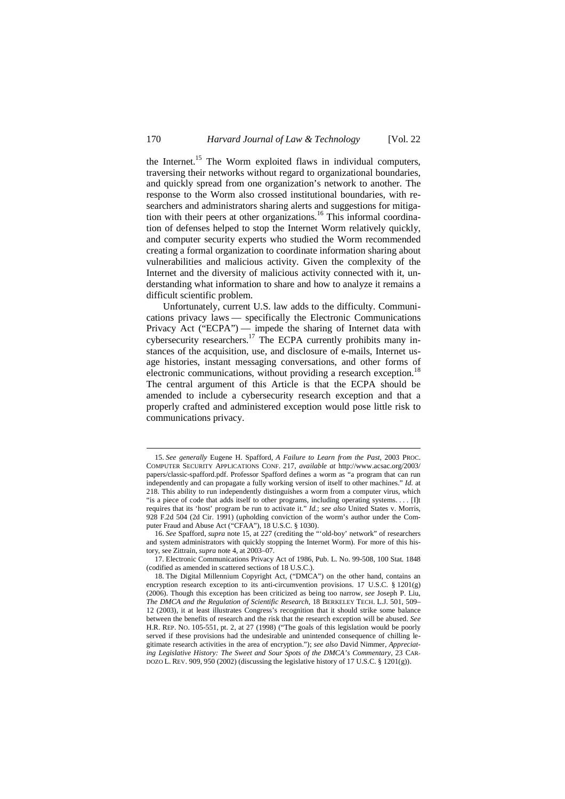the Internet.<sup>15</sup> The Worm exploited flaws in individual computers, traversing their networks without regard to organizational boundaries, and quickly spread from one organization's network to another. The response to the Worm also crossed institutional boundaries, with researchers and administrators sharing alerts and suggestions for mitigation with their peers at other organizations.<sup>16</sup> This informal coordination of defenses helped to stop the Internet Worm relatively quickly, and computer security experts who studied the Worm recommended creating a formal organization to coordinate information sharing about vulnerabilities and malicious activity. Given the complexity of the Internet and the diversity of malicious activity connected with it, understanding what information to share and how to analyze it remains a difficult scientific problem.

Unfortunately, current U.S. law adds to the difficulty. Communications privacy laws — specifically the Electronic Communications Privacy Act ("ECPA") — impede the sharing of Internet data with cybersecurity researchers.<sup>17</sup> The ECPA currently prohibits many instances of the acquisition, use, and disclosure of e-mails, Internet usage histories, instant messaging conversations, and other forms of electronic communications, without providing a research exception.<sup>18</sup> The central argument of this Article is that the ECPA should be amended to include a cybersecurity research exception and that a properly crafted and administered exception would pose little risk to communications privacy.

<sup>15.</sup> *See generally* Eugene H. Spafford, *A Failure to Learn from the Past*, 2003 PROC. COMPUTER SECURITY APPLICATIONS CONF. 217, *available at* http://www.acsac.org/2003/ papers/classic-spafford.pdf. Professor Spafford defines a worm as "a program that can run independently and can propagate a fully working version of itself to other machines." *Id.* at 218. This ability to run independently distinguishes a worm from a computer virus, which "is a piece of code that adds itself to other programs, including operating systems. . . . [I]t requires that its 'host' program be run to activate it." *Id.*; *see also* United States v. Morris, 928 F.2d 504 (2d Cir. 1991) (upholding conviction of the worm's author under the Computer Fraud and Abuse Act ("CFAA"), 18 U.S.C. § 1030).

<sup>16.</sup> *See* Spafford, *supra* note 15, at 227 (crediting the "'old-boy' network" of researchers and system administrators with quickly stopping the Internet Worm). For more of this history, see Zittrain, *supra* note 4, at 2003–07.

<sup>17.</sup> Electronic Communications Privacy Act of 1986, Pub. L. No. 99-508, 100 Stat. 1848 (codified as amended in scattered sections of 18 U.S.C.).

<sup>18.</sup> The Digital Millennium Copyright Act, ("DMCA") on the other hand, contains an encryption research exception to its anti-circumvention provisions. 17 U.S.C. § 1201(g) (2006). Though this exception has been criticized as being too narrow, *see* Joseph P. Liu, *The DMCA and the Regulation of Scientific Research*, 18 BERKELEY TECH. L.J. 501, 509– 12 (2003), it at least illustrates Congress's recognition that it should strike some balance between the benefits of research and the risk that the research exception will be abused. *See* H.R. REP. NO. 105-551, pt. 2, at 27 (1998) ("The goals of this legislation would be poorly served if these provisions had the undesirable and unintended consequence of chilling legitimate research activities in the area of encryption."); *see also* David Nimmer, *Appreciating Legislative History: The Sweet and Sour Spots of the DMCA's Commentary*, 23 CAR-DOZO L. REV. 909, 950 (2002) (discussing the legislative history of 17 U.S.C. § 1201(g)).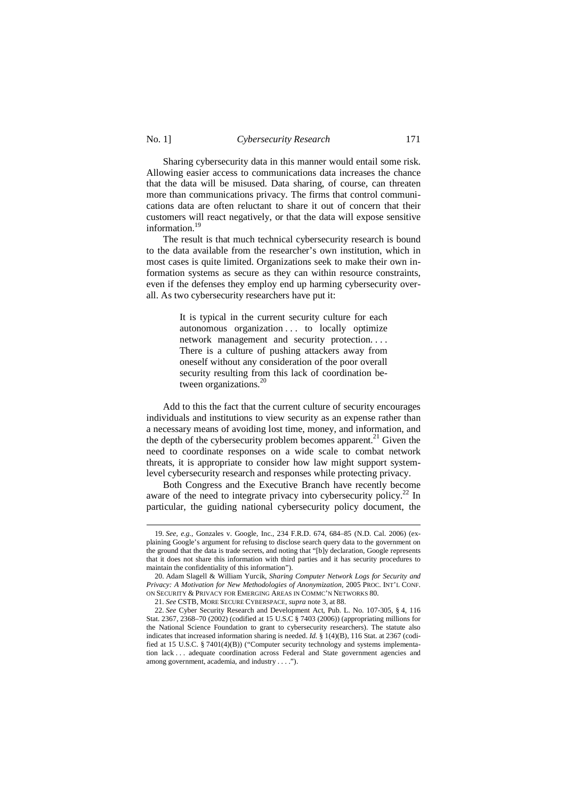$\overline{a}$ 

Sharing cybersecurity data in this manner would entail some risk. Allowing easier access to communications data increases the chance that the data will be misused. Data sharing, of course, can threaten more than communications privacy. The firms that control communications data are often reluctant to share it out of concern that their customers will react negatively, or that the data will expose sensitive information.<sup>19</sup>

The result is that much technical cybersecurity research is bound to the data available from the researcher's own institution, which in most cases is quite limited. Organizations seek to make their own information systems as secure as they can within resource constraints, even if the defenses they employ end up harming cybersecurity overall. As two cybersecurity researchers have put it:

> It is typical in the current security culture for each autonomous organization . . . to locally optimize network management and security protection. . . . There is a culture of pushing attackers away from oneself without any consideration of the poor overall security resulting from this lack of coordination between organizations.<sup>20</sup>

Add to this the fact that the current culture of security encourages individuals and institutions to view security as an expense rather than a necessary means of avoiding lost time, money, and information, and the depth of the cybersecurity problem becomes apparent.<sup>21</sup> Given the need to coordinate responses on a wide scale to combat network threats, it is appropriate to consider how law might support systemlevel cybersecurity research and responses while protecting privacy.

Both Congress and the Executive Branch have recently become aware of the need to integrate privacy into cybersecurity policy.<sup>22</sup> In particular, the guiding national cybersecurity policy document, the

<sup>19.</sup> *See, e.g.*, Gonzales v. Google, Inc., 234 F.R.D. 674, 684–85 (N.D. Cal. 2006) (explaining Google's argument for refusing to disclose search query data to the government on the ground that the data is trade secrets, and noting that "[b]y declaration, Google represents that it does not share this information with third parties and it has security procedures to maintain the confidentiality of this information").

<sup>20.</sup> Adam Slagell & William Yurcik, *Sharing Computer Network Logs for Security and Privacy: A Motivation for New Methodologies of Anonymization*, 2005 PROC. INT'L CONF. ON SECURITY & PRIVACY FOR EMERGING AREAS IN COMMC'N NETWORKS 80.

<sup>21.</sup> *See* CSTB, MORE SECURE CYBERSPACE, *supra* note 3, at 88.

<sup>22.</sup> *See* Cyber Security Research and Development Act, Pub. L. No. 107-305, § 4, 116 Stat. 2367, 2368–70 (2002) (codified at 15 U.S.C § 7403 (2006)) (appropriating millions for the National Science Foundation to grant to cybersecurity researchers). The statute also indicates that increased information sharing is needed. *Id.* § 1(4)(B), 116 Stat. at 2367 (codified at 15 U.S.C. § 7401(4)(B)) ("Computer security technology and systems implementation lack . . . adequate coordination across Federal and State government agencies and among government, academia, and industry . . . .").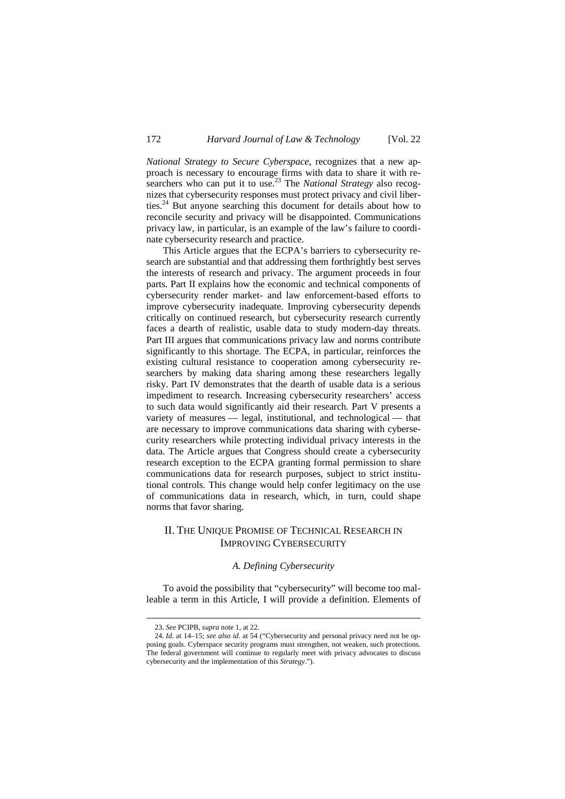*National Strategy to Secure Cyberspace*, recognizes that a new approach is necessary to encourage firms with data to share it with researchers who can put it to use.<sup>23</sup> The *National Strategy* also recognizes that cybersecurity responses must protect privacy and civil liberties.<sup>24</sup> But anyone searching this document for details about how to reconcile security and privacy will be disappointed. Communications privacy law, in particular, is an example of the law's failure to coordinate cybersecurity research and practice.

This Article argues that the ECPA's barriers to cybersecurity research are substantial and that addressing them forthrightly best serves the interests of research and privacy. The argument proceeds in four parts. Part II explains how the economic and technical components of cybersecurity render market- and law enforcement-based efforts to improve cybersecurity inadequate. Improving cybersecurity depends critically on continued research, but cybersecurity research currently faces a dearth of realistic, usable data to study modern-day threats. Part III argues that communications privacy law and norms contribute significantly to this shortage. The ECPA, in particular, reinforces the existing cultural resistance to cooperation among cybersecurity researchers by making data sharing among these researchers legally risky. Part IV demonstrates that the dearth of usable data is a serious impediment to research. Increasing cybersecurity researchers' access to such data would significantly aid their research. Part V presents a variety of measures — legal, institutional, and technological — that are necessary to improve communications data sharing with cybersecurity researchers while protecting individual privacy interests in the data. The Article argues that Congress should create a cybersecurity research exception to the ECPA granting formal permission to share communications data for research purposes, subject to strict institutional controls. This change would help confer legitimacy on the use of communications data in research, which, in turn, could shape norms that favor sharing.

# II. THE UNIQUE PROMISE OF TECHNICAL RESEARCH IN IMPROVING CYBERSECURITY

#### *A. Defining Cybersecurity*

To avoid the possibility that "cybersecurity" will become too malleable a term in this Article, I will provide a definition. Elements of

<sup>23.</sup> *See* PCIPB, *supra* note 1, at 22.

<sup>24.</sup> *Id.* at 14–15; *see also id.* at 54 ("Cybersecurity and personal privacy need not be opposing goals. Cyberspace security programs must strengthen, not weaken, such protections. The federal government will continue to regularly meet with privacy advocates to discuss cybersecurity and the implementation of this *Strategy*.").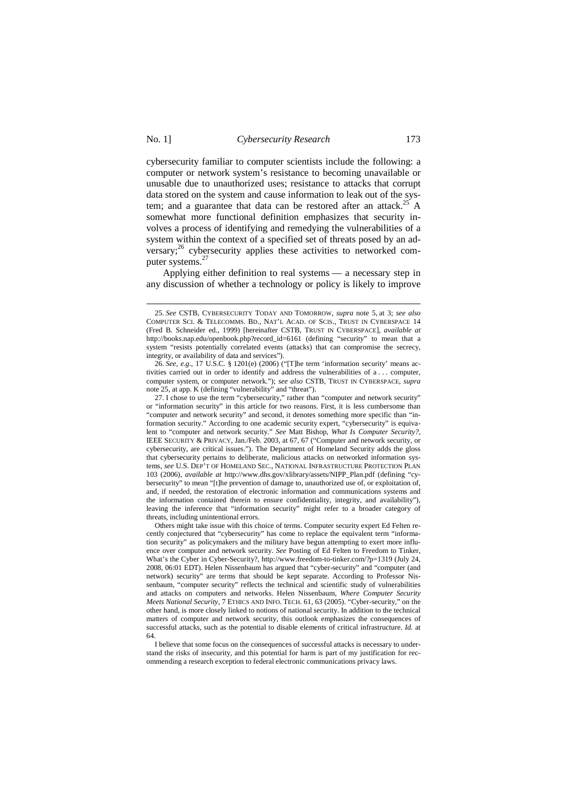$\overline{a}$ 

### No. 1] *Cybersecurity Research* 173

cybersecurity familiar to computer scientists include the following: a computer or network system's resistance to becoming unavailable or unusable due to unauthorized uses; resistance to attacks that corrupt data stored on the system and cause information to leak out of the system; and a guarantee that data can be restored after an attack.<sup>25</sup> A somewhat more functional definition emphasizes that security involves a process of identifying and remedying the vulnerabilities of a system within the context of a specified set of threats posed by an adversary;<sup>26</sup> cybersecurity applies these activities to networked computer systems.<sup>27</sup>

Applying either definition to real systems — a necessary step in any discussion of whether a technology or policy is likely to improve

<sup>25.</sup> *See* CSTB, CYBERSECURITY TODAY AND TOMORROW, *supra* note 5, at 3; *see also* COMPUTER SCI. & TELECOMMS. BD., NAT'L ACAD. OF SCIS., TRUST IN CYBERSPACE 14 (Fred B. Schneider ed., 1999) [hereinafter CSTB, TRUST IN CYBERSPACE], *available at*  http://books.nap.edu/openbook.php?record\_id=6161 (defining "security" to mean that a system "resists potentially correlated events (attacks) that can compromise the secrecy, integrity, or availability of data and services").

<sup>26.</sup> *See, e.g.*, 17 U.S.C. § 1201(e) (2006) ("[T]he term 'information security' means activities carried out in order to identify and address the vulnerabilities of a . . . computer, computer system, or computer network."); *see also* CSTB, TRUST IN CYBERSPACE, *supra* note 25, at app. K (defining "vulnerability" and "threat").

<sup>27.</sup> I chose to use the term "cybersecurity," rather than "computer and network security" or "information security" in this article for two reasons. First, it is less cumbersome than "computer and network security" and second, it denotes something more specific than "information security." According to one academic security expert, "cybersecurity" is equivalent to "computer and network security." *See* Matt Bishop, *What Is Computer Security?*, IEEE SECURITY & PRIVACY, Jan./Feb. 2003, at 67, 67 ("Computer and network security, or cybersecurity, are critical issues."). The Department of Homeland Security adds the gloss that cybersecurity pertains to deliberate, malicious attacks on networked information systems, *see* U.S. DEP'T OF HOMELAND SEC., NATIONAL INFRASTRUCTURE PROTECTION PLAN 103 (2006), *available at* http://www.dhs.gov/xlibrary/assets/NIPP\_Plan.pdf (defining "cybersecurity" to mean "[t]he prevention of damage to, unauthorized use of, or exploitation of, and, if needed, the restoration of electronic information and communications systems and the information contained therein to ensure confidentiality, integrity, and availability"), leaving the inference that "information security" might refer to a broader category of threats, including unintentional errors.

Others might take issue with this choice of terms. Computer security expert Ed Felten recently conjectured that "cybersecurity" has come to replace the equivalent term "information security" as policymakers and the military have begun attempting to exert more influence over computer and network security. *See* Posting of Ed Felten to Freedom to Tinker, What's the Cyber in Cyber-Security?, http://www.freedom-to-tinker.com/?p=1319 (July 24, 2008, 06:01 EDT). Helen Nissenbaum has argued that "cyber-security" and "computer (and network) security" are terms that should be kept separate. According to Professor Nissenbaum, "computer security" reflects the technical and scientific study of vulnerabilities and attacks on computers and networks. Helen Nissenbaum, *Where Computer Security Meets National Security*, 7 ETHICS AND INFO. TECH. 61, 63 (2005). "Cyber-security," on the other hand, is more closely linked to notions of national security. In addition to the technical matters of computer and network security, this outlook emphasizes the consequences of successful attacks, such as the potential to disable elements of critical infrastructure. *Id.* at 64.

I believe that some focus on the consequences of successful attacks is necessary to understand the risks of insecurity, and this potential for harm is part of my justification for recommending a research exception to federal electronic communications privacy laws.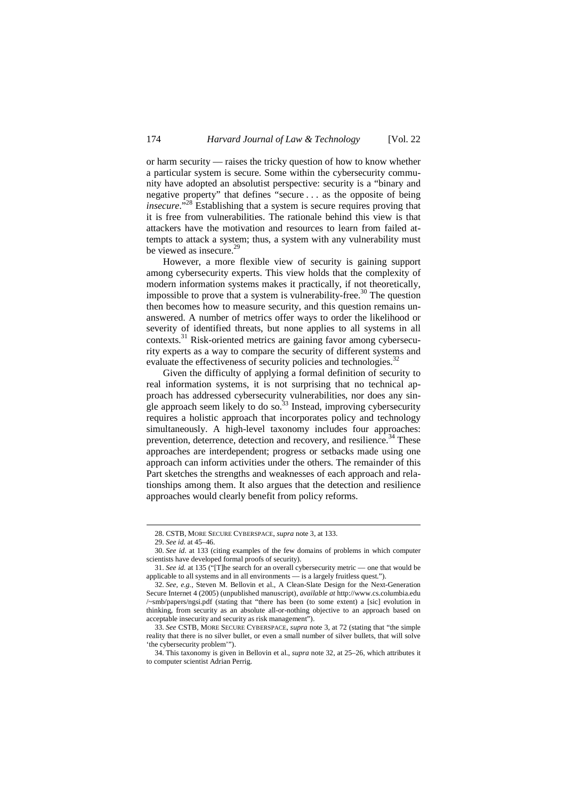or harm security — raises the tricky question of how to know whether a particular system is secure. Some within the cybersecurity community have adopted an absolutist perspective: security is a "binary and negative property" that defines "secure . . . as the opposite of being *insecure*.<sup>528</sup> Establishing that a system is secure requires proving that it is free from vulnerabilities. The rationale behind this view is that attackers have the motivation and resources to learn from failed attempts to attack a system; thus, a system with any vulnerability must be viewed as insecure.<sup>29</sup>

However, a more flexible view of security is gaining support among cybersecurity experts. This view holds that the complexity of modern information systems makes it practically, if not theoretically, impossible to prove that a system is vulnerability-free.<sup>30</sup> The question then becomes how to measure security, and this question remains unanswered. A number of metrics offer ways to order the likelihood or severity of identified threats, but none applies to all systems in all contexts.<sup>31</sup> Risk-oriented metrics are gaining favor among cybersecurity experts as a way to compare the security of different systems and evaluate the effectiveness of security policies and technologies.<sup>3</sup>

Given the difficulty of applying a formal definition of security to real information systems, it is not surprising that no technical approach has addressed cybersecurity vulnerabilities, nor does any single approach seem likely to do so. $33$  Instead, improving cybersecurity requires a holistic approach that incorporates policy and technology simultaneously. A high-level taxonomy includes four approaches: prevention, deterrence, detection and recovery, and resilience.<sup>34</sup> These approaches are interdependent; progress or setbacks made using one approach can inform activities under the others. The remainder of this Part sketches the strengths and weaknesses of each approach and relationships among them. It also argues that the detection and resilience approaches would clearly benefit from policy reforms.

<sup>28.</sup> CSTB, MORE SECURE CYBERSPACE, *supra* note 3, at 133.

<sup>29.</sup> *See id.* at 45–46.

<sup>30.</sup> *See id.* at 133 (citing examples of the few domains of problems in which computer scientists have developed formal proofs of security).

<sup>31.</sup> *See id.* at 135 ("[T]he search for an overall cybersecurity metric — one that would be applicable to all systems and in all environments — is a largely fruitless quest.").

<sup>32.</sup> *See, e.g.*, Steven M. Bellovin et al., A Clean-Slate Design for the Next-Generation Secure Internet 4 (2005) (unpublished manuscript), *available at* http://www.cs.columbia.edu /~smb/papers/ngsi.pdf (stating that "there has been (to some extent) a [sic] evolution in thinking, from security as an absolute all-or-nothing objective to an approach based on acceptable insecurity and security as risk management").

<sup>33.</sup> *See* CSTB, MORE SECURE CYBERSPACE, *supra* note 3, at 72 (stating that "the simple reality that there is no silver bullet, or even a small number of silver bullets, that will solve 'the cybersecurity problem'").

<sup>34.</sup> This taxonomy is given in Bellovin et al., *supra* note 32, at 25–26, which attributes it to computer scientist Adrian Perrig.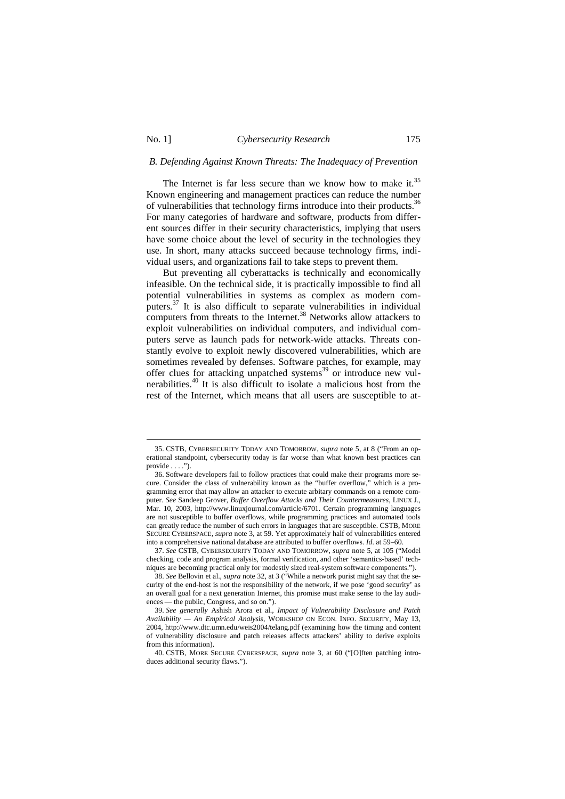## *B. Defending Against Known Threats: The Inadequacy of Prevention*

The Internet is far less secure than we know how to make it.<sup>35</sup> Known engineering and management practices can reduce the number of vulnerabilities that technology firms introduce into their products.<sup>36</sup> For many categories of hardware and software, products from different sources differ in their security characteristics, implying that users have some choice about the level of security in the technologies they use. In short, many attacks succeed because technology firms, individual users, and organizations fail to take steps to prevent them.

But preventing all cyberattacks is technically and economically infeasible. On the technical side, it is practically impossible to find all potential vulnerabilities in systems as complex as modern computers.<sup>37</sup> It is also difficult to separate vulnerabilities in individual computers from threats to the Internet.<sup>38</sup> Networks allow attackers to exploit vulnerabilities on individual computers, and individual computers serve as launch pads for network-wide attacks. Threats constantly evolve to exploit newly discovered vulnerabilities, which are sometimes revealed by defenses. Software patches, for example, may offer clues for attacking unpatched systems<sup>39</sup> or introduce new vulnerabilities.<sup>40</sup> It is also difficult to isolate a malicious host from the rest of the Internet, which means that all users are susceptible to at-

<sup>35.</sup> CSTB, CYBERSECURITY TODAY AND TOMORROW, *supra* note 5, at 8 ("From an operational standpoint, cybersecurity today is far worse than what known best practices can  $\n **provide**  $\$   $\$   $\$   $\$   $\$$ 

<sup>36.</sup> Software developers fail to follow practices that could make their programs more secure. Consider the class of vulnerability known as the "buffer overflow," which is a programming error that may allow an attacker to execute arbitary commands on a remote computer. *See* Sandeep Grover, *Buffer Overflow Attacks and Their Countermeasures*, LINUX J., Mar. 10, 2003, http://www.linuxjournal.com/article/6701. Certain programming languages are not susceptible to buffer overflows, while programming practices and automated tools can greatly reduce the number of such errors in languages that are susceptible. CSTB, MORE SECURE CYBERSPACE, *supra* note 3, at 59. Yet approximately half of vulnerabilities entered into a comprehensive national database are attributed to buffer overflows. *Id.* at 59–60.

<sup>37.</sup> *See* CSTB, CYBERSECURITY TODAY AND TOMORROW, *supra* note 5, at 105 ("Model checking, code and program analysis, formal verification, and other 'semantics-based' techniques are becoming practical only for modestly sized real-system software components.").

<sup>38.</sup> *See* Bellovin et al., *supra* note 32, at 3 ("While a network purist might say that the security of the end-host is not the responsibility of the network, if we pose 'good security' as an overall goal for a next generation Internet, this promise must make sense to the lay audiences — the public, Congress, and so on.").

<sup>39.</sup> *See generally* Ashish Arora et al., *Impact of Vulnerability Disclosure and Patch Availability — An Empirical Analysis*, WORKSHOP ON ECON. INFO. SECURITY, May 13, 2004, http://www.dtc.umn.edu/weis2004/telang.pdf (examining how the timing and content of vulnerability disclosure and patch releases affects attackers' ability to derive exploits from this information).

<sup>40.</sup> CSTB, MORE SECURE CYBERSPACE, *supra* note 3, at 60 ("[O]ften patching introduces additional security flaws.").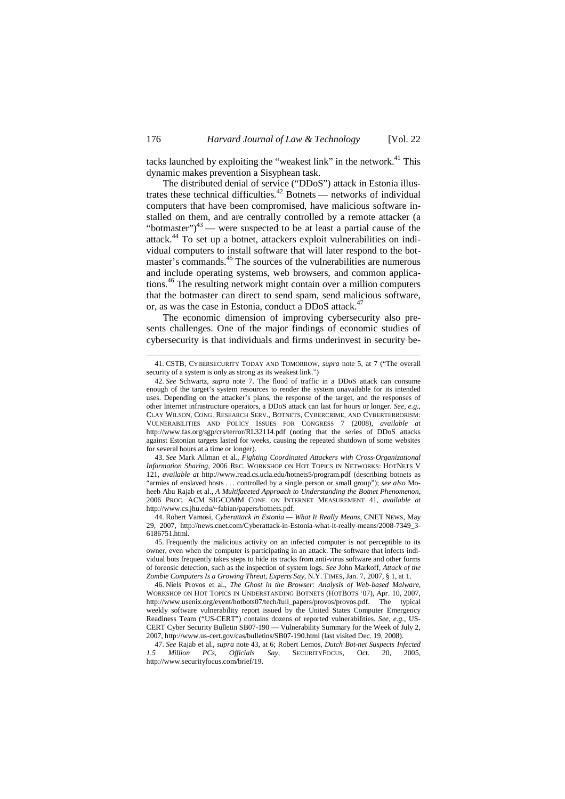tacks launched by exploiting the "weakest link" in the network.<sup>41</sup> This dynamic makes prevention a Sisyphean task.

The distributed denial of service ("DDoS") attack in Estonia illustrates these technical difficulties.<sup>42</sup> Botnets — networks of individual computers that have been compromised, have malicious software installed on them, and are centrally controlled by a remote attacker (a "botmaster") $43$  — were suspected to be at least a partial cause of the attack.<sup>44</sup> To set up a botnet, attackers exploit vulnerabilities on individual computers to install software that will later respond to the botmaster's commands.<sup>45</sup> The sources of the vulnerabilities are numerous and include operating systems, web browsers, and common applications.<sup>46</sup> The resulting network might contain over a million computers that the botmaster can direct to send spam, send malicious software, or, as was the case in Estonia, conduct a DDoS attack.<sup>47</sup>

The economic dimension of improving cybersecurity also presents challenges. One of the major findings of economic studies of cybersecurity is that individuals and firms underinvest in security be-

<sup>41.</sup> CSTB, CYBERSECURITY TODAY AND TOMORROW, *supra* note 5, at 7 ("The overall security of a system is only as strong as its weakest link.")

<sup>42.</sup> *See* Schwartz, *supra* note 7. The flood of traffic in a DDoS attack can consume enough of the target's system resources to render the system unavailable for its intended uses. Depending on the attacker's plans, the response of the target, and the responses of other Internet infrastructure operators, a DDoS attack can last for hours or longer. *See, e.g.*, CLAY WILSON, CONG. RESEARCH SERV., BOTNETS, CYBERCRIME, AND CYBERTERRORISM: VULNERABILITIES AND POLICY ISSUES FOR CONGRESS 7 (2008), *available at* http://www.fas.org/sgp/crs/terror/RL32114.pdf (noting that the series of DDoS attacks against Estonian targets lasted for weeks, causing the repeated shutdown of some websites for several hours at a time or longer).

<sup>43.</sup> *See* Mark Allman et al., *Fighting Coordinated Attackers with Cross-Organizational Information Sharing*, 2006 REC. WORKSHOP ON HOT TOPICS IN NETWORKS: HOTNETS V 121, *available at* http://www.read.cs.ucla.edu/hotnets5/program.pdf (describing botnets as "armies of enslaved hosts . . . controlled by a single person or small group"); *see also* Moheeb Abu Rajab et al., *A Multifaceted Approach to Understanding the Botnet Phenomenon*, 2006 PROC. ACM SIGCOMM CONF. ON INTERNET MEASUREMENT 41, *available at* http://www.cs.jhu.edu/~fabian/papers/botnets.pdf.

<sup>44.</sup> Robert Vamosi, *Cyberattack in Estonia — What It Really Means*, CNET NEWS, May 29, 2007, http://news.cnet.com/Cyberattack-in-Estonia-what-it-really-means/2008-7349\_3- 6186751.html.

<sup>45.</sup> Frequently the malicious activity on an infected computer is not perceptible to its owner, even when the computer is participating in an attack. The software that infects individual bots frequently takes steps to hide its tracks from anti-virus software and other forms of forensic detection, such as the inspection of system logs. *See* John Markoff, *Attack of the Zombie Computers Is a Growing Threat, Experts Say*, N.Y. TIMES, Jan. 7, 2007, § 1, at 1.

<sup>46.</sup> Niels Provos et al., *The Ghost in the Browser: Analysis of Web-based Malware*, WORKSHOP ON HOT TOPICS IN UNDERSTANDING BOTNETS (HOTBOTS '07), Apr. 10, 2007, http://www.usenix.org/event/hotbots07/tech/full\_papers/provos/provos.pdf. The typical weekly software vulnerability report issued by the United States Computer Emergency Readiness Team ("US-CERT") contains dozens of reported vulnerabilities. *See, e.g.*, US-CERT Cyber Security Bulletin SB07-190 — Vulnerability Summary for the Week of July 2, 2007, http://www.us-cert.gov/cas/bulletins/SB07-190.html (last visited Dec. 19, 2008).

<sup>47.</sup> *See* Rajab et al., *supra* note 43, at 6; Robert Lemos, *Dutch Bot-net Suspects Infected 1.5 Million PCs, Officials Say,* http://www.securityfocus.com/brief/19.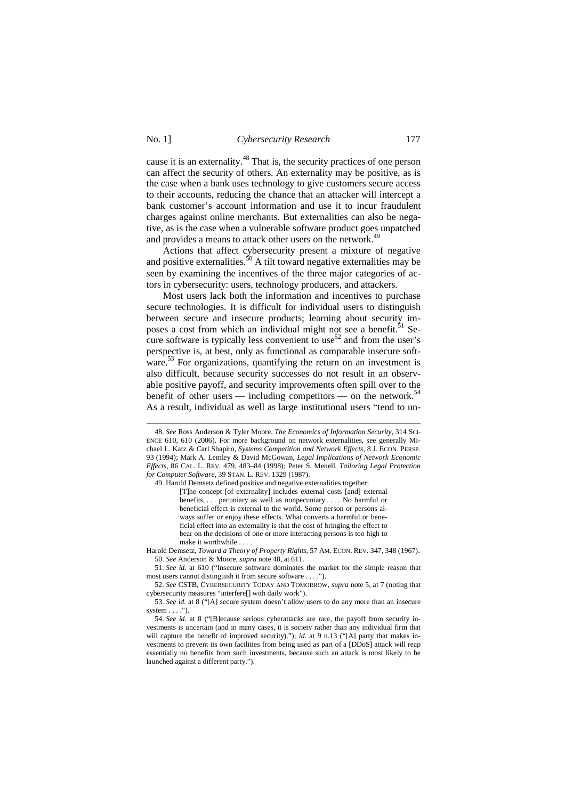-

## No. 1] *Cybersecurity Research* 177

cause it is an externality.<sup>48</sup> That is, the security practices of one person can affect the security of others. An externality may be positive, as is the case when a bank uses technology to give customers secure access to their accounts, reducing the chance that an attacker will intercept a bank customer's account information and use it to incur fraudulent charges against online merchants. But externalities can also be negative, as is the case when a vulnerable software product goes unpatched and provides a means to attack other users on the network.<sup>49</sup>

Actions that affect cybersecurity present a mixture of negative and positive externalities.<sup>50</sup> A tilt toward negative externalities may be seen by examining the incentives of the three major categories of actors in cybersecurity: users, technology producers, and attackers.

Most users lack both the information and incentives to purchase secure technologies. It is difficult for individual users to distinguish between secure and insecure products; learning about security imposes a cost from which an individual might not see a benefit.<sup>51</sup> Secure software is typically less convenient to use<sup>52</sup> and from the user's perspective is, at best, only as functional as comparable insecure software.<sup>53</sup> For organizations, quantifying the return on an investment is also difficult, because security successes do not result in an observable positive payoff, and security improvements often spill over to the benefit of other users — including competitors — on the network.<sup>34</sup> As a result, individual as well as large institutional users "tend to un-

Harold Demsetz, *Toward a Theory of Property Rights*, 57 AM. ECON. REV. 347, 348 (1967). 50. *See* Anderson & Moore, *supra* note 48, at 611.

<sup>48.</sup> *See* Ross Anderson & Tyler Moore, *The Economics of Information Security*, 314 SCI-ENCE 610, 610 (2006). For more background on network externalities, see generally Michael L. Katz & Carl Shapiro, *Systems Competition and Network Effects*, 8 J. ECON. PERSP. 93 (1994); Mark A. Lemley & David McGowan, *Legal Implications of Network Economic Effects*, 86 CAL. L. REV. 479, 483–84 (1998); Peter S. Menell, *Tailoring Legal Protection for Computer Software*, 39 STAN. L. REV. 1329 (1987).

<sup>49.</sup> Harold Demsetz defined positive and negative externalities together:

<sup>[</sup>T]he concept [of externality] includes external costs [and] external benefits, . . . pecuniary as well as nonpecuniary . . . . No harmful or beneficial effect is external to the world. Some person or persons always suffer or enjoy these effects. What converts a harmful or beneficial effect into an externality is that the cost of bringing the effect to bear on the decisions of one or more interacting persons is too high to make it worthwhile . . . .

<sup>51.</sup> *See id.* at 610 ("Insecure software dominates the market for the simple reason that most users cannot distinguish it from secure software . . . .").

<sup>52.</sup> *See* CSTB, CYBERSECURITY TODAY AND TOMORROW, *supra* note 5, at 7 (noting that cybersecurity measures "interfere[] with daily work").

<sup>53.</sup> *See id.* at 8 ("[A] secure system doesn't allow users to do any more than an insecure system  $\dots$ .").

<sup>54.</sup> *See id.* at 8 ("[B]ecause serious cyberattacks are rare, the payoff from security investments is uncertain (and in many cases, it is society rather than any individual firm that will capture the benefit of improved security)."); *id.* at 9 n.13 ("[A] party that makes investments to prevent its own facilities from being used as part of a [DDoS] attack will reap essentially no benefits from such investments, because such an attack is most likely to be launched against a different party.").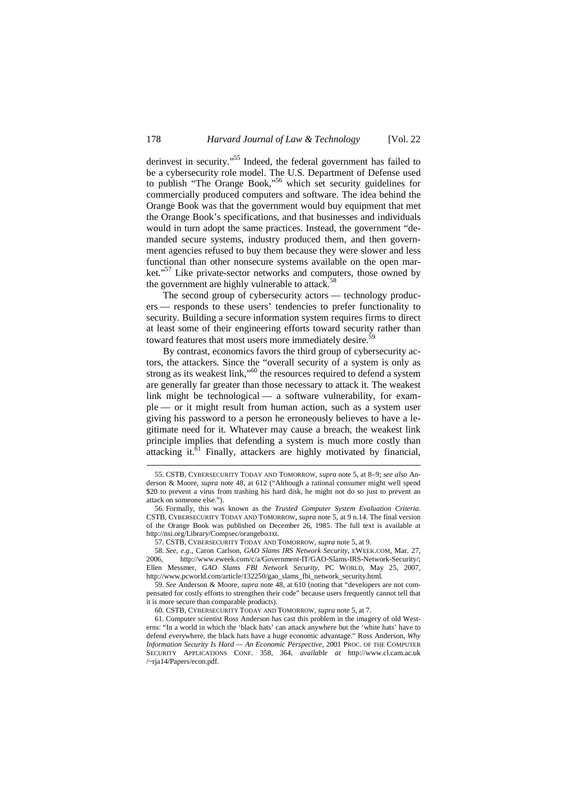derinvest in security."<sup>55</sup> Indeed, the federal government has failed to be a cybersecurity role model. The U.S. Department of Defense used to publish "The Orange Book,"<sup>56</sup> which set security guidelines for commercially produced computers and software. The idea behind the Orange Book was that the government would buy equipment that met the Orange Book's specifications, and that businesses and individuals would in turn adopt the same practices. Instead, the government "demanded secure systems, industry produced them, and then government agencies refused to buy them because they were slower and less functional than other nonsecure systems available on the open market."<sup>57</sup> Like private-sector networks and computers, those owned by the government are highly vulnerable to attack.<sup>58</sup>

The second group of cybersecurity actors — technology producers — responds to these users' tendencies to prefer functionality to security. Building a secure information system requires firms to direct at least some of their engineering efforts toward security rather than toward features that most users more immediately desire.<sup>59</sup>

By contrast, economics favors the third group of cybersecurity actors, the attackers. Since the "overall security of a system is only as strong as its weakest link,"<sup>60</sup> the resources required to defend a system are generally far greater than those necessary to attack it. The weakest link might be technological — a software vulnerability, for example — or it might result from human action, such as a system user giving his password to a person he erroneously believes to have a legitimate need for it. Whatever may cause a breach, the weakest link principle implies that defending a system is much more costly than attacking it.<sup>61</sup> Finally, attackers are highly motivated by financial,

 $\ddot{ }$ 

<sup>55.</sup> CSTB, CYBERSECURITY TODAY AND TOMORROW, *supra* note 5, at 8–9; *see also* Anderson & Moore, *supra* note 48, at 612 ("Although a rational consumer might well spend \$20 to prevent a virus from trashing his hard disk, he might not do so just to prevent an attack on someone else.").

<sup>56.</sup> Formally, this was known as the *Trusted Computer System Evaluation Criteria*. CSTB, CYBERSECURITY TODAY AND TOMORROW, *supra* note 5, at 9 n.14. The final version of the Orange Book was published on December 26, 1985. The full text is available at http://nsi.org/Library/Compsec/orangebo.txt.

<sup>57.</sup> CSTB, CYBERSECURITY TODAY AND TOMORROW, *supra* note 5, at 9.

<sup>58.</sup> *See, e.g.*, Caron Carlson, *GAO Slams IRS Network Security*, EWEEK.COM, Mar. 27, 2006, http://www.eweek.com/c/a/Government-IT/GAO-Slams-IRS-Network-Security/; Ellen Messmer, *GAO Slams FBI Network Security*, PC WORLD, May 25, 2007, http://www.pcworld.com/article/132250/gao\_slams\_fbi\_network\_security.html.

<sup>59.</sup> *See* Anderson & Moore, *supra* note 48, at 610 (noting that "developers are not compensated for costly efforts to strengthen their code" because users frequently cannot tell that it is more secure than comparable products).

<sup>60.</sup> CSTB, CYBERSECURITY TODAY AND TOMORROW, *supra* note 5, at 7.

<sup>61.</sup> Computer scientist Ross Anderson has cast this problem in the imagery of old Westerns: "In a world in which the 'black hats' can attack anywhere but the 'white hats' have to defend everywhere, the black hats have a huge economic advantage." Ross Anderson, *Why Information Security Is Hard — An Economic Perspective*, 2001 PROC. OF THE COMPUTER SECURITY APPLICATIONS CONF. 358, 364, *available at* http://www.cl.cam.ac.uk /~rja14/Papers/econ.pdf.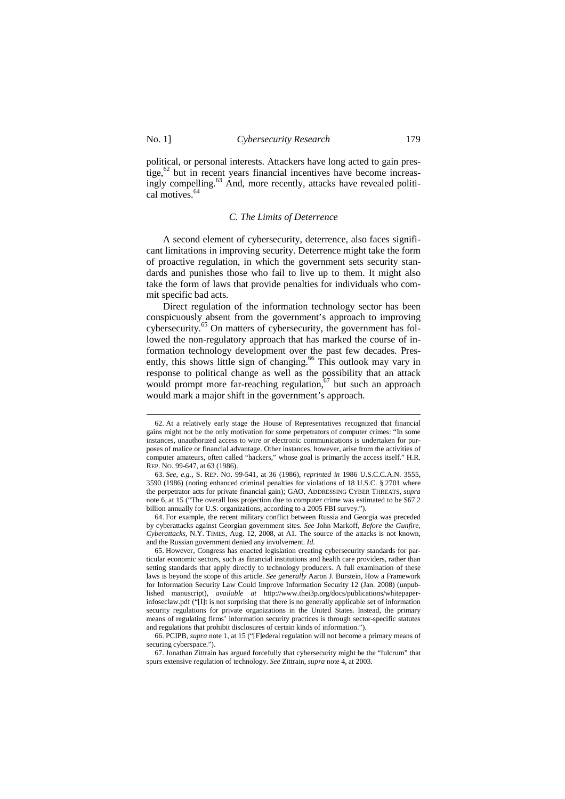$\overline{a}$ 

political, or personal interests. Attackers have long acted to gain prestige, $62$  but in recent years financial incentives have become increasingly compelling.<sup>63</sup> And, more recently, attacks have revealed political motives.<sup>64</sup>

#### *C. The Limits of Deterrence*

A second element of cybersecurity, deterrence, also faces significant limitations in improving security. Deterrence might take the form of proactive regulation, in which the government sets security standards and punishes those who fail to live up to them. It might also take the form of laws that provide penalties for individuals who commit specific bad acts.

Direct regulation of the information technology sector has been conspicuously absent from the government's approach to improving cybersecurity.<sup>65</sup> On matters of cybersecurity, the government has followed the non-regulatory approach that has marked the course of information technology development over the past few decades. Presently, this shows little sign of changing.<sup>66</sup> This outlook may vary in response to political change as well as the possibility that an attack would prompt more far-reaching regulation, $67$  but such an approach would mark a major shift in the government's approach.

64. For example, the recent military conflict between Russia and Georgia was preceded by cyberattacks against Georgian government sites. *See* John Markoff, *Before the Gunfire, Cyberattacks*, N.Y. TIMES, Aug. 12, 2008, at A1. The source of the attacks is not known, and the Russian government denied any involvement. *Id.*

<sup>62.</sup> At a relatively early stage the House of Representatives recognized that financial gains might not be the only motivation for some perpetrators of computer crimes: "In some instances, unauthorized access to wire or electronic communications is undertaken for purposes of malice or financial advantage. Other instances, however, arise from the activities of computer amateurs, often called "hackers," whose goal is primarily the access itself." H.R. REP. NO. 99-647, at 63 (1986).

<sup>63.</sup> *See, e.g.*, S. REP. NO. 99-541, at 36 (1986), *reprinted in* 1986 U.S.C.C.A.N. 3555, 3590 (1986) (noting enhanced criminal penalties for violations of 18 U.S.C. § 2701 where the perpetrator acts for private financial gain); GAO, ADDRESSING CYBER THREATS, *supra* note 6, at 15 ("The overall loss projection due to computer crime was estimated to be \$67.2 billion annually for U.S. organizations, according to a 2005 FBI survey.").

<sup>65.</sup> However, Congress has enacted legislation creating cybersecurity standards for particular economic sectors, such as financial institutions and health care providers, rather than setting standards that apply directly to technology producers. A full examination of these laws is beyond the scope of this article. *See generally* Aaron J. Burstein, How a Framework for Information Security Law Could Improve Information Security 12 (Jan. 2008) (unpublished manuscript), *available at* http://www.thei3p.org/docs/publications/whitepaperinfoseclaw.pdf ("[I]t is not surprising that there is no generally applicable set of information security regulations for private organizations in the United States. Instead, the primary means of regulating firms' information security practices is through sector-specific statutes and regulations that prohibit disclosures of certain kinds of information.").

<sup>66.</sup> PCIPB, *supra* note 1, at 15 ("[F]ederal regulation will not become a primary means of securing cyberspace.").

<sup>67.</sup> Jonathan Zittrain has argued forcefully that cybersecurity might be the "fulcrum" that spurs extensive regulation of technology. *See* Zittrain, *supra* note 4, at 2003.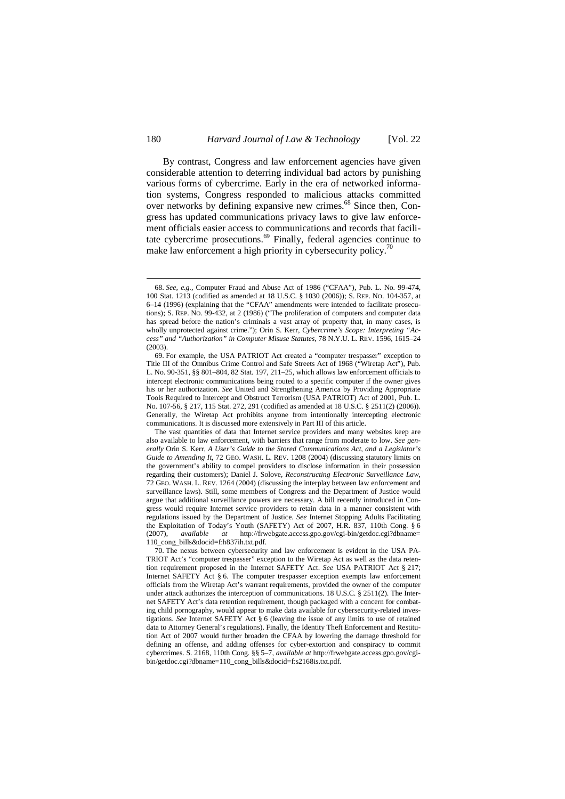By contrast, Congress and law enforcement agencies have given considerable attention to deterring individual bad actors by punishing various forms of cybercrime. Early in the era of networked information systems, Congress responded to malicious attacks committed over networks by defining expansive new crimes.<sup>68</sup> Since then, Congress has updated communications privacy laws to give law enforcement officials easier access to communications and records that facilitate cybercrime prosecutions. $69$  Finally, federal agencies continue to make law enforcement a high priority in cybersecurity policy.<sup>7</sup>

<sup>68.</sup> *See, e.g.*, Computer Fraud and Abuse Act of 1986 ("CFAA"), Pub. L. No. 99-474, 100 Stat. 1213 (codified as amended at 18 U.S.C. § 1030 (2006)); S. REP. NO. 104-357, at 6–14 (1996) (explaining that the "CFAA" amendments were intended to facilitate prosecutions); S. REP. NO. 99-432, at 2 (1986) ("The proliferation of computers and computer data has spread before the nation's criminals a vast array of property that, in many cases, is wholly unprotected against crime."); Orin S. Kerr, *Cybercrime's Scope: Interpreting "Access" and "Authorization" in Computer Misuse Statutes*, 78 N.Y.U. L. REV. 1596, 1615–24 (2003).

<sup>69.</sup> For example, the USA PATRIOT Act created a "computer trespasser" exception to Title III of the Omnibus Crime Control and Safe Streets Act of 1968 ("Wiretap Act"), Pub. L. No. 90-351, §§ 801–804, 82 Stat. 197, 211–25, which allows law enforcement officials to intercept electronic communications being routed to a specific computer if the owner gives his or her authorization. *See* United and Strengthening America by Providing Appropriate Tools Required to Intercept and Obstruct Terrorism (USA PATRIOT) Act of 2001, Pub. L. No. 107-56, § 217, 115 Stat. 272, 291 (codified as amended at 18 U.S.C. § 2511(2) (2006)). Generally, the Wiretap Act prohibits anyone from intentionally intercepting electronic communications. It is discussed more extensively in Part III of this article.

The vast quantities of data that Internet service providers and many websites keep are also available to law enforcement, with barriers that range from moderate to low. *See generally* Orin S. Kerr, *A User's Guide to the Stored Communications Act, and a Legislator's Guide to Amending It*, 72 GEO. WASH. L. REV. 1208 (2004) (discussing statutory limits on the government's ability to compel providers to disclose information in their possession regarding their customers); Daniel J. Solove, *Reconstructing Electronic Surveillance Law*, 72 GEO. WASH. L. REV. 1264 (2004) (discussing the interplay between law enforcement and surveillance laws). Still, some members of Congress and the Department of Justice would argue that additional surveillance powers are necessary. A bill recently introduced in Congress would require Internet service providers to retain data in a manner consistent with regulations issued by the Department of Justice. *See* Internet Stopping Adults Facilitating the Exploitation of Today's Youth (SAFETY) Act of 2007, H.R. 837, 110th Cong. § 6 (2007), *available at* http://frwebgate.access.gpo.gov/cgi-bin/getdoc.cgi?dbname= 110\_cong\_bills&docid=f:h837ih.txt.pdf.

<sup>70.</sup> The nexus between cybersecurity and law enforcement is evident in the USA PA-TRIOT Act's "computer trespasser" exception to the Wiretap Act as well as the data retention requirement proposed in the Internet SAFETY Act. *See* USA PATRIOT Act § 217; Internet SAFETY Act § 6. The computer trespasser exception exempts law enforcement officials from the Wiretap Act's warrant requirements, provided the owner of the computer under attack authorizes the interception of communications. 18 U.S.C. § 2511(2). The Internet SAFETY Act's data retention requirement, though packaged with a concern for combating child pornography, would appear to make data available for cybersecurity-related investigations. *See* Internet SAFETY Act § 6 (leaving the issue of any limits to use of retained data to Attorney General's regulations). Finally, the Identity Theft Enforcement and Restitution Act of 2007 would further broaden the CFAA by lowering the damage threshold for defining an offense, and adding offenses for cyber-extortion and conspiracy to commit cybercrimes. S. 2168, 110th Cong. §§ 5–7, *available at* http://frwebgate.access.gpo.gov/cgibin/getdoc.cgi?dbname=110\_cong\_bills&docid=f:s2168is.txt.pdf.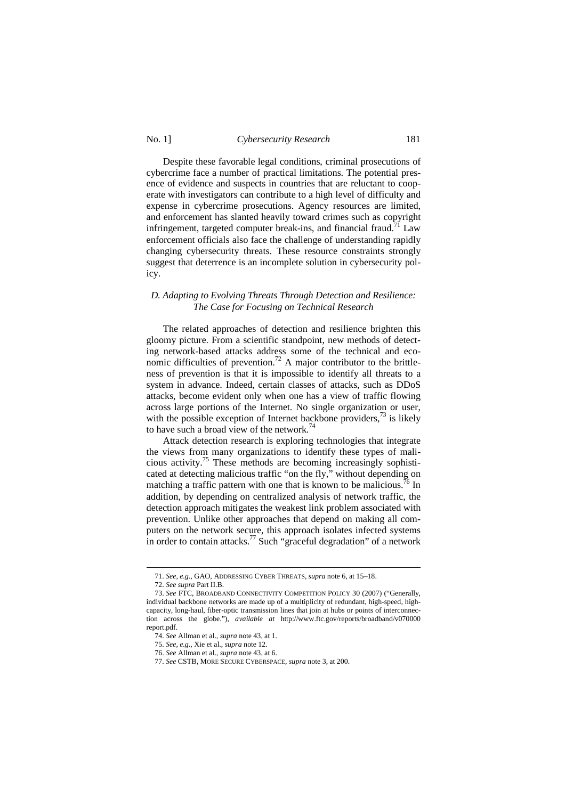No. 1] *Cybersecurity Research* 181

Despite these favorable legal conditions, criminal prosecutions of cybercrime face a number of practical limitations. The potential presence of evidence and suspects in countries that are reluctant to cooperate with investigators can contribute to a high level of difficulty and expense in cybercrime prosecutions. Agency resources are limited, and enforcement has slanted heavily toward crimes such as copyright infringement, targeted computer break-ins, and financial fraud.<sup>71</sup> Law enforcement officials also face the challenge of understanding rapidly changing cybersecurity threats. These resource constraints strongly suggest that deterrence is an incomplete solution in cybersecurity policy.

## *D. Adapting to Evolving Threats Through Detection and Resilience: The Case for Focusing on Technical Research*

The related approaches of detection and resilience brighten this gloomy picture. From a scientific standpoint, new methods of detecting network-based attacks address some of the technical and economic difficulties of prevention.<sup>72</sup> A major contributor to the brittleness of prevention is that it is impossible to identify all threats to a system in advance. Indeed, certain classes of attacks, such as DDoS attacks, become evident only when one has a view of traffic flowing across large portions of the Internet. No single organization or user, with the possible exception of Internet backbone providers,  $^{73}$  is likely to have such a broad view of the network.<sup>74</sup>

Attack detection research is exploring technologies that integrate the views from many organizations to identify these types of malicious activity.<sup>75</sup> These methods are becoming increasingly sophisticated at detecting malicious traffic "on the fly," without depending on matching a traffic pattern with one that is known to be malicious.<sup>76</sup> In addition, by depending on centralized analysis of network traffic, the detection approach mitigates the weakest link problem associated with prevention. Unlike other approaches that depend on making all computers on the network secure, this approach isolates infected systems in order to contain attacks.<sup>77</sup> Such "graceful degradation" of a network

<sup>71.</sup> *See, e.g.*, GAO, ADDRESSING CYBER THREATS, *supra* note 6, at 15–18.

<sup>72.</sup> *See supra* Part II.B.

<sup>73.</sup> *See* FTC, BROADBAND CONNECTIVITY COMPETITION POLICY 30 (2007) ("Generally, individual backbone networks are made up of a multiplicity of redundant, high-speed, highcapacity, long-haul, fiber-optic transmission lines that join at hubs or points of interconnection across the globe."), *available at* http://www.ftc.gov/reports/broadband/v070000 report.pdf.

<sup>74.</sup> *See* Allman et al., *supra* note 43, at 1.

<sup>75.</sup> *See, e.g.*, Xie et al., *supra* note 12.

<sup>76.</sup> *See* Allman et al., *supra* note 43, at 6.

<sup>77.</sup> *See* CSTB, MORE SECURE CYBERSPACE, *supra* note 3, at 200.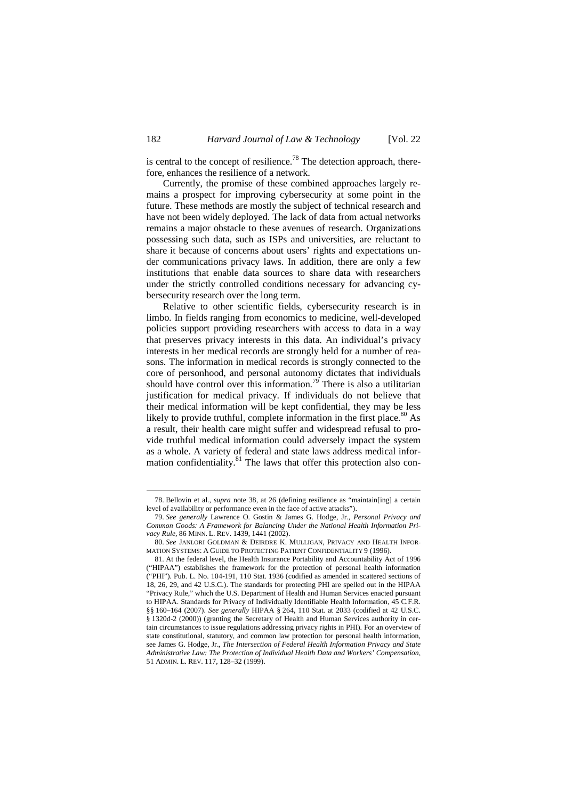is central to the concept of resilience.<sup>78</sup> The detection approach, therefore, enhances the resilience of a network.

Currently, the promise of these combined approaches largely remains a prospect for improving cybersecurity at some point in the future. These methods are mostly the subject of technical research and have not been widely deployed. The lack of data from actual networks remains a major obstacle to these avenues of research. Organizations possessing such data, such as ISPs and universities, are reluctant to share it because of concerns about users' rights and expectations under communications privacy laws. In addition, there are only a few institutions that enable data sources to share data with researchers under the strictly controlled conditions necessary for advancing cybersecurity research over the long term.

Relative to other scientific fields, cybersecurity research is in limbo. In fields ranging from economics to medicine, well-developed policies support providing researchers with access to data in a way that preserves privacy interests in this data. An individual's privacy interests in her medical records are strongly held for a number of reasons. The information in medical records is strongly connected to the core of personhood, and personal autonomy dictates that individuals should have control over this information.<sup>79</sup> There is also a utilitarian justification for medical privacy. If individuals do not believe that their medical information will be kept confidential, they may be less likely to provide truthful, complete information in the first place.<sup>80</sup> As a result, their health care might suffer and widespread refusal to provide truthful medical information could adversely impact the system as a whole. A variety of federal and state laws address medical information confidentiality.<sup>81</sup> The laws that offer this protection also con-

<sup>78.</sup> Bellovin et al., *supra* note 38, at 26 (defining resilience as "maintain[ing] a certain level of availability or performance even in the face of active attacks").

<sup>79.</sup> *See generally* Lawrence O. Gostin & James G. Hodge, Jr., *Personal Privacy and Common Goods: A Framework for Balancing Under the National Health Information Privacy Rule*, 86 MINN. L. REV. 1439, 1441 (2002).

<sup>80.</sup> *See* JANLORI GOLDMAN & DEIRDRE K. MULLIGAN, PRIVACY AND HEALTH INFOR-MATION SYSTEMS: A GUIDE TO PROTECTING PATIENT CONFIDENTIALITY 9 (1996).

<sup>81.</sup> At the federal level, the Health Insurance Portability and Accountability Act of 1996 ("HIPAA") establishes the framework for the protection of personal health information ("PHI"). Pub. L. No. 104-191, 110 Stat. 1936 (codified as amended in scattered sections of 18, 26, 29, and 42 U.S.C.). The standards for protecting PHI are spelled out in the HIPAA "Privacy Rule," which the U.S. Department of Health and Human Services enacted pursuant to HIPAA. Standards for Privacy of Individually Identifiable Health Information, 45 C.F.R. §§ 160–164 (2007). *See generally* HIPAA § 264, 110 Stat. at 2033 (codified at 42 U.S.C. § 1320d-2 (2000)) (granting the Secretary of Health and Human Services authority in certain circumstances to issue regulations addressing privacy rights in PHI). For an overview of state constitutional, statutory, and common law protection for personal health information, see James G. Hodge, Jr., *The Intersection of Federal Health Information Privacy and State Administrative Law: The Protection of Individual Health Data and Workers' Compensation*, 51 ADMIN. L. REV. 117, 128–32 (1999).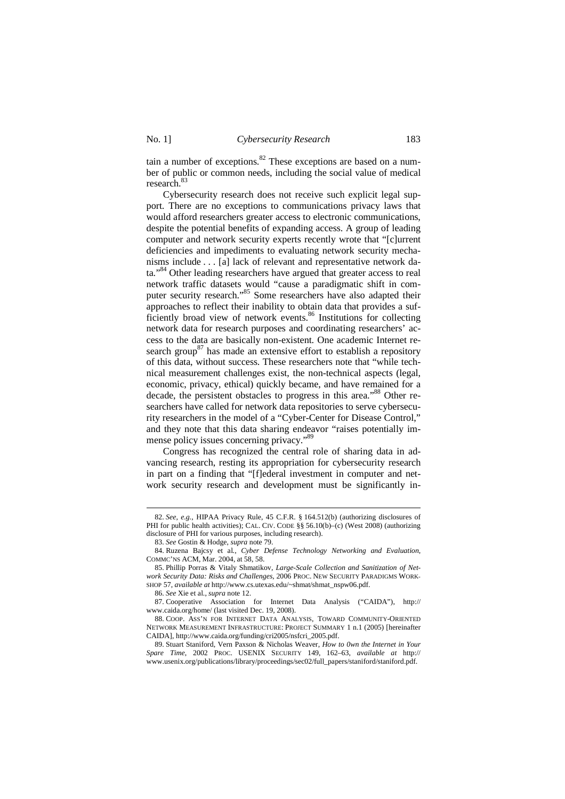tain a number of exceptions. $82$  These exceptions are based on a number of public or common needs, including the social value of medical research.<sup>83</sup>

Cybersecurity research does not receive such explicit legal support. There are no exceptions to communications privacy laws that would afford researchers greater access to electronic communications, despite the potential benefits of expanding access. A group of leading computer and network security experts recently wrote that "[c]urrent deficiencies and impediments to evaluating network security mechanisms include . . . [a] lack of relevant and representative network data."<sup>84</sup> Other leading researchers have argued that greater access to real network traffic datasets would "cause a paradigmatic shift in computer security research."<sup>85</sup> Some researchers have also adapted their approaches to reflect their inability to obtain data that provides a sufficiently broad view of network events.<sup>86</sup> Institutions for collecting network data for research purposes and coordinating researchers' access to the data are basically non-existent. One academic Internet research group<sup>87</sup> has made an extensive effort to establish a repository of this data, without success. These researchers note that "while technical measurement challenges exist, the non-technical aspects (legal, economic, privacy, ethical) quickly became, and have remained for a decade, the persistent obstacles to progress in this area."<sup>88</sup> Other researchers have called for network data repositories to serve cybersecurity researchers in the model of a "Cyber-Center for Disease Control," and they note that this data sharing endeavor "raises potentially immense policy issues concerning privacy."<sup>89</sup>

Congress has recognized the central role of sharing data in advancing research, resting its appropriation for cybersecurity research in part on a finding that "[f]ederal investment in computer and network security research and development must be significantly in-

<sup>82.</sup> *See, e.g.*, HIPAA Privacy Rule, 45 C.F.R. § 164.512(b) (authorizing disclosures of PHI for public health activities); CAL. CIV. CODE §§ 56.10(b)–(c) (West 2008) (authorizing disclosure of PHI for various purposes, including research).

<sup>83.</sup> *See* Gostin & Hodge, *supra* note 79.

<sup>84.</sup> Ruzena Bajcsy et al., *Cyber Defense Technology Networking and Evaluation*, COMMC'NS ACM, Mar. 2004, at 58, 58.

<sup>85.</sup> Phillip Porras & Vitaly Shmatikov, *Large-Scale Collection and Sanitization of Network Security Data: Risks and Challenges*, 2006 PROC. NEW SECURITY PARADIGMS WORK-SHOP 57, *available at* http://www.cs.utexas.edu/~shmat/shmat\_nspw06.pdf.

<sup>86.</sup> *See* Xie et al., *supra* note 12.

<sup>87.</sup> Cooperative Association for Internet Data Analysis ("CAIDA"), http:// www.caida.org/home/ (last visited Dec. 19, 2008).

<sup>88.</sup> COOP. ASS'N FOR INTERNET DATA ANALYSIS, TOWARD COMMUNITY-ORIENTED NETWORK MEASUREMENT INFRASTRUCTURE: PROJECT SUMMARY 1 n.1 (2005) [hereinafter CAIDA], http://www.caida.org/funding/cri2005/nsfcri\_2005.pdf.

<sup>89.</sup> Stuart Staniford, Vern Paxson & Nicholas Weaver, *How to 0wn the Internet in Your Spare Time*, 2002 PROC. USENIX SECURITY 149, 162–63, *available at* http:// www.usenix.org/publications/library/proceedings/sec02/full\_papers/staniford/staniford.pdf.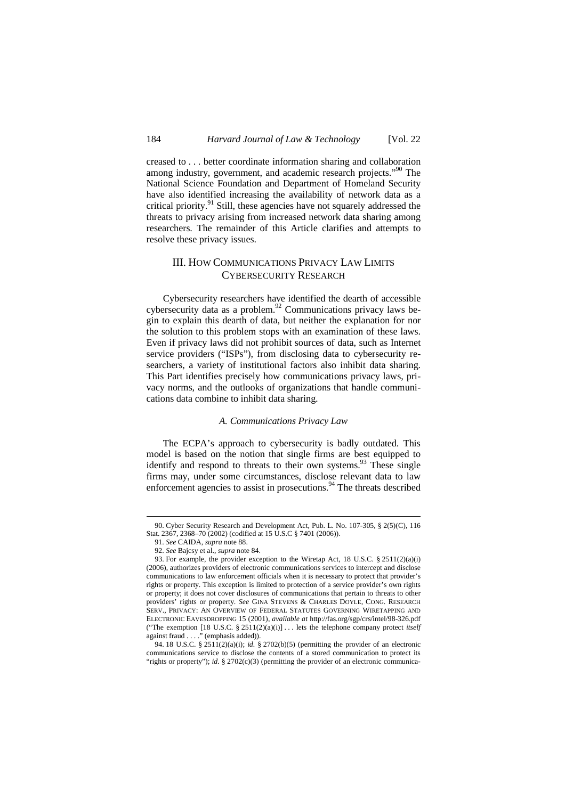creased to . . . better coordinate information sharing and collaboration among industry, government, and academic research projects."<sup>90</sup> The National Science Foundation and Department of Homeland Security have also identified increasing the availability of network data as a critical priority.<sup>91</sup> Still, these agencies have not squarely addressed the threats to privacy arising from increased network data sharing among researchers. The remainder of this Article clarifies and attempts to resolve these privacy issues.

## III. HOW COMMUNICATIONS PRIVACY LAW LIMITS CYBERSECURITY RESEARCH

Cybersecurity researchers have identified the dearth of accessible cybersecurity data as a problem.<sup>92</sup> Communications privacy laws begin to explain this dearth of data, but neither the explanation for nor the solution to this problem stops with an examination of these laws. Even if privacy laws did not prohibit sources of data, such as Internet service providers ("ISPs"), from disclosing data to cybersecurity researchers, a variety of institutional factors also inhibit data sharing. This Part identifies precisely how communications privacy laws, privacy norms, and the outlooks of organizations that handle communications data combine to inhibit data sharing.

#### *A. Communications Privacy Law*

The ECPA's approach to cybersecurity is badly outdated. This model is based on the notion that single firms are best equipped to identify and respond to threats to their own systems.<sup>93</sup> These single firms may, under some circumstances, disclose relevant data to law enforcement agencies to assist in prosecutions. $94$  The threats described

<sup>90.</sup> Cyber Security Research and Development Act, Pub. L. No. 107-305, § 2(5)(C), 116 Stat. 2367, 2368–70 (2002) (codified at 15 U.S.C § 7401 (2006)).

<sup>91.</sup> *See* CAIDA, *supra* note 88.

<sup>92.</sup> *See* Bajcsy et al., *supra* note 84.

<sup>93.</sup> For example, the provider exception to the Wiretap Act, 18 U.S.C. § 2511(2)(a)(i) (2006), authorizes providers of electronic communications services to intercept and disclose communications to law enforcement officials when it is necessary to protect that provider's rights or property. This exception is limited to protection of a service provider's own rights or property; it does not cover disclosures of communications that pertain to threats to other providers' rights or property. *See* GINA STEVENS & CHARLES DOYLE, CONG. RESEARCH SERV., PRIVACY: AN OVERVIEW OF FEDERAL STATUTES GOVERNING WIRETAPPING AND ELECTRONIC EAVESDROPPING 15 (2001), *available at* http://fas.org/sgp/crs/intel/98-326.pdf ("The exemption [18 U.S.C. § 2511(2)(a)(i)] . . . lets the telephone company protect *itself* against fraud . . . ." (emphasis added)).

<sup>94. 18</sup> U.S.C. § 2511(2)(a)(i); *id.* § 2702(b)(5) (permitting the provider of an electronic communications service to disclose the contents of a stored communication to protect its "rights or property"); *id.* § 2702(c)(3) (permitting the provider of an electronic communica-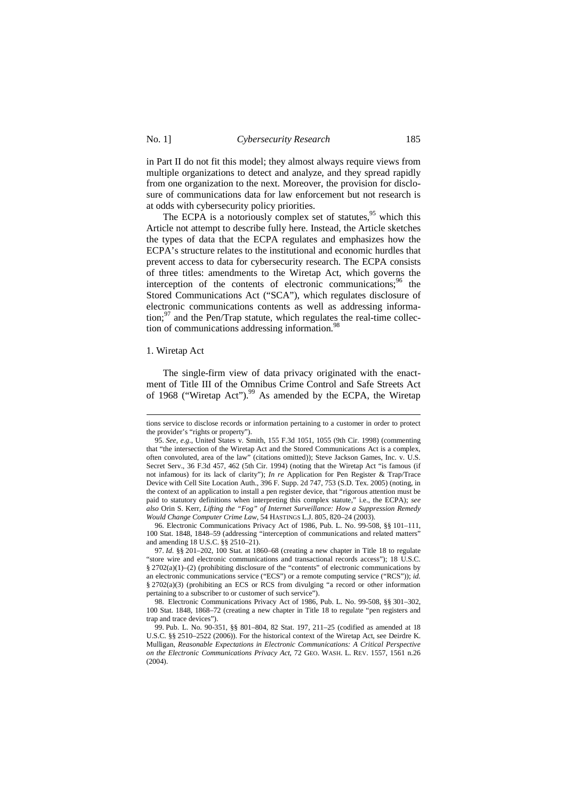in Part II do not fit this model; they almost always require views from multiple organizations to detect and analyze, and they spread rapidly from one organization to the next. Moreover, the provision for disclosure of communications data for law enforcement but not research is at odds with cybersecurity policy priorities.

The ECPA is a notoriously complex set of statutes,<sup>95</sup> which this Article not attempt to describe fully here. Instead, the Article sketches the types of data that the ECPA regulates and emphasizes how the ECPA's structure relates to the institutional and economic hurdles that prevent access to data for cybersecurity research. The ECPA consists of three titles: amendments to the Wiretap Act, which governs the interception of the contents of electronic communications; $96$  the Stored Communications Act ("SCA"), which regulates disclosure of electronic communications contents as well as addressing information; $^{97}$  and the Pen/Trap statute, which regulates the real-time collection of communications addressing information.<sup>98</sup>

### 1. Wiretap Act

 $\overline{a}$ 

The single-firm view of data privacy originated with the enactment of Title III of the Omnibus Crime Control and Safe Streets Act of 1968 ("Wiretap Act").<sup>99</sup> As amended by the ECPA, the Wiretap

96. Electronic Communications Privacy Act of 1986, Pub. L. No. 99-508, §§ 101–111, 100 Stat. 1848, 1848–59 (addressing "interception of communications and related matters" and amending 18 U.S.C. §§ 2510–21).

tions service to disclose records or information pertaining to a customer in order to protect the provider's "rights or property").

<sup>95.</sup> *See, e.g.*, United States v. Smith, 155 F.3d 1051, 1055 (9th Cir. 1998) (commenting that "the intersection of the Wiretap Act and the Stored Communications Act is a complex, often convoluted, area of the law" (citations omitted)); Steve Jackson Games, Inc. v. U.S. Secret Serv., 36 F.3d 457, 462 (5th Cir. 1994) (noting that the Wiretap Act "is famous (if not infamous) for its lack of clarity"); *In re* Application for Pen Register & Trap/Trace Device with Cell Site Location Auth., 396 F. Supp. 2d 747, 753 (S.D. Tex. 2005) (noting, in the context of an application to install a pen register device, that "rigorous attention must be paid to statutory definitions when interpreting this complex statute," i.e., the ECPA); *see also* Orin S. Kerr, *Lifting the "Fog" of Internet Surveillance: How a Suppression Remedy Would Change Computer Crime Law*, 54 HASTINGS L.J. 805, 820–24 (2003).

<sup>97.</sup> *Id.* §§ 201–202, 100 Stat. at 1860–68 (creating a new chapter in Title 18 to regulate "store wire and electronic communications and transactional records access"); 18 U.S.C. § 2702(a)(1)–(2) (prohibiting disclosure of the "contents" of electronic communications by an electronic communications service ("ECS") or a remote computing service ("RCS")); *id.*  § 2702(a)(3) (prohibiting an ECS or RCS from divulging "a record or other information pertaining to a subscriber to or customer of such service").

<sup>98.</sup> Electronic Communications Privacy Act of 1986, Pub. L. No. 99-508, §§ 301–302, 100 Stat. 1848, 1868–72 (creating a new chapter in Title 18 to regulate "pen registers and trap and trace devices").

<sup>99.</sup> Pub. L. No. 90-351, §§ 801–804, 82 Stat. 197, 211–25 (codified as amended at 18 U.S.C. §§ 2510–2522 (2006)). For the historical context of the Wiretap Act, see Deirdre K. Mulligan, *Reasonable Expectations in Electronic Communications: A Critical Perspective on the Electronic Communications Privacy Act*, 72 GEO. WASH. L. REV. 1557, 1561 n.26  $(2004)$ .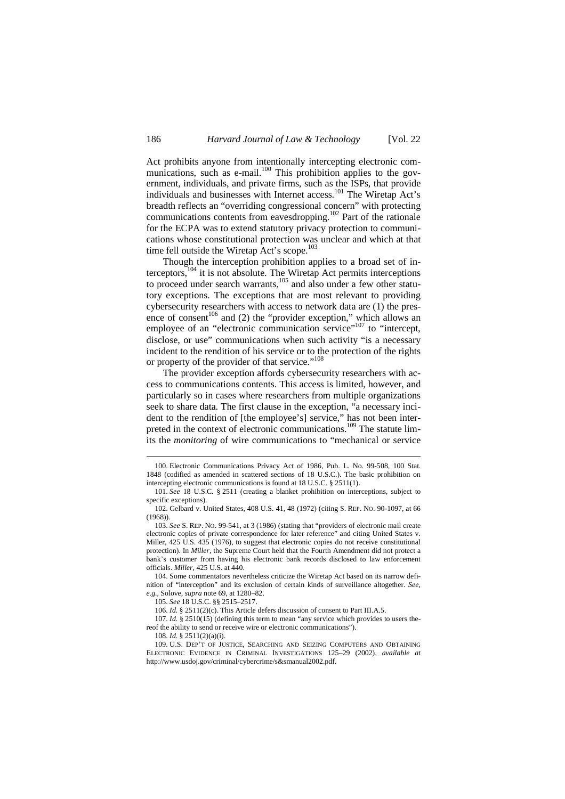Act prohibits anyone from intentionally intercepting electronic communications, such as e-mail. $100$  This prohibition applies to the government, individuals, and private firms, such as the ISPs, that provide individuals and businesses with Internet access.<sup>101</sup> The Wiretap Act's breadth reflects an "overriding congressional concern" with protecting communications contents from eavesdropping.<sup>102</sup> Part of the rationale for the ECPA was to extend statutory privacy protection to communications whose constitutional protection was unclear and which at that time fell outside the Wiretap Act's scope.<sup>103</sup>

Though the interception prohibition applies to a broad set of interceptors, $104$  it is not absolute. The Wiretap Act permits interceptions to proceed under search warrants,<sup>105</sup> and also under a few other statutory exceptions. The exceptions that are most relevant to providing cybersecurity researchers with access to network data are (1) the presence of consent<sup>106</sup> and (2) the "provider exception," which allows an employee of an "electronic communication service"<sup>107</sup> to "intercept, disclose, or use" communications when such activity "is a necessary incident to the rendition of his service or to the protection of the rights or property of the provider of that service."<sup>108</sup>

The provider exception affords cybersecurity researchers with access to communications contents. This access is limited, however, and particularly so in cases where researchers from multiple organizations seek to share data. The first clause in the exception, "a necessary incident to the rendition of [the employee's] service," has not been interpreted in the context of electronic communications.<sup>109</sup> The statute limits the *monitoring* of wire communications to "mechanical or service

<sup>100.</sup> Electronic Communications Privacy Act of 1986, Pub. L. No. 99-508, 100 Stat. 1848 (codified as amended in scattered sections of 18 U.S.C.). The basic prohibition on intercepting electronic communications is found at 18 U.S.C. § 2511(1).

<sup>101.</sup> *See* 18 U.S.C. § 2511 (creating a blanket prohibition on interceptions, subject to specific exceptions).

<sup>102.</sup> Gelbard v. United States, 408 U.S. 41, 48 (1972) (citing S. REP. NO. 90-1097, at 66 (1968)).

<sup>103.</sup> *See* S. REP. NO. 99-541, at 3 (1986) (stating that "providers of electronic mail create electronic copies of private correspondence for later reference" and citing United States v. Miller, 425 U.S. 435 (1976), to suggest that electronic copies do not receive constitutional protection). In *Miller*, the Supreme Court held that the Fourth Amendment did not protect a bank's customer from having his electronic bank records disclosed to law enforcement officials. *Miller*, 425 U.S. at 440.

<sup>104.</sup> Some commentators nevertheless criticize the Wiretap Act based on its narrow definition of "interception" and its exclusion of certain kinds of surveillance altogether. *See, e.g.*, Solove, *supra* note 69, at 1280–82.

<sup>105.</sup> *See* 18 U.S.C. §§ 2515–2517.

<sup>106.</sup> *Id.* § 2511(2)(c). This Article defers discussion of consent to Part III.A.5.

<sup>107.</sup> *Id.* § 2510(15) (defining this term to mean "any service which provides to users thereof the ability to send or receive wire or electronic communications").

<sup>108.</sup> *Id.* § 2511(2)(a)(i).

<sup>109.</sup> U.S. DEP'T OF JUSTICE, SEARCHING AND SEIZING COMPUTERS AND OBTAINING ELECTRONIC EVIDENCE IN CRIMINAL INVESTIGATIONS 125–29 (2002), *available at*  http://www.usdoj.gov/criminal/cybercrime/s&smanual2002.pdf.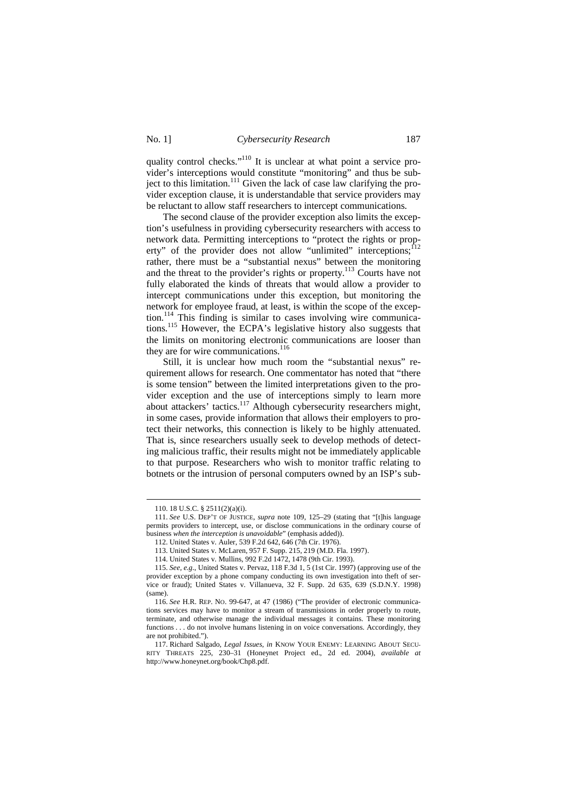quality control checks."<sup>110</sup> It is unclear at what point a service provider's interceptions would constitute "monitoring" and thus be subject to this limitation.<sup>111</sup> Given the lack of case law clarifying the provider exception clause, it is understandable that service providers may be reluctant to allow staff researchers to intercept communications.

The second clause of the provider exception also limits the exception's usefulness in providing cybersecurity researchers with access to network data. Permitting interceptions to "protect the rights or property" of the provider does not allow "unlimited" interceptions;<sup>112</sup> rather, there must be a "substantial nexus" between the monitoring and the threat to the provider's rights or property.<sup>113</sup> Courts have not fully elaborated the kinds of threats that would allow a provider to intercept communications under this exception, but monitoring the network for employee fraud, at least, is within the scope of the exception.<sup>114</sup> This finding is similar to cases involving wire communications.<sup>115</sup> However, the ECPA's legislative history also suggests that the limits on monitoring electronic communications are looser than they are for wire communications. $116$ 

Still, it is unclear how much room the "substantial nexus" requirement allows for research. One commentator has noted that "there is some tension" between the limited interpretations given to the provider exception and the use of interceptions simply to learn more about attackers' tactics.<sup>117</sup> Although cybersecurity researchers might, in some cases, provide information that allows their employers to protect their networks, this connection is likely to be highly attenuated. That is, since researchers usually seek to develop methods of detecting malicious traffic, their results might not be immediately applicable to that purpose. Researchers who wish to monitor traffic relating to botnets or the intrusion of personal computers owned by an ISP's sub-

<sup>110. 18</sup> U.S.C. § 2511(2)(a)(i).

<sup>111.</sup> *See* U.S. DEP'T OF JUSTICE, *supra* note 109, 125–29 (stating that "[t]his language permits providers to intercept, use, or disclose communications in the ordinary course of business *when the interception is unavoidable*" (emphasis added)).

<sup>112.</sup> United States v. Auler, 539 F.2d 642, 646 (7th Cir. 1976).

<sup>113.</sup> United States v. McLaren, 957 F. Supp. 215, 219 (M.D. Fla. 1997).

<sup>114.</sup> United States v. Mullins, 992 F.2d 1472, 1478 (9th Cir. 1993).

<sup>115.</sup> *See, e.g.*, United States v. Pervaz, 118 F.3d 1, 5 (1st Cir. 1997) (approving use of the provider exception by a phone company conducting its own investigation into theft of service or fraud); United States v. Villanueva, 32 F. Supp. 2d 635, 639 (S.D.N.Y. 1998) (same).

<sup>116.</sup> *See* H.R. REP. NO. 99-647, at 47 (1986) ("The provider of electronic communications services may have to monitor a stream of transmissions in order properly to route, terminate, and otherwise manage the individual messages it contains. These monitoring functions . . . do not involve humans listening in on voice conversations. Accordingly, they are not prohibited.").

<sup>117.</sup> Richard Salgado, *Legal Issues*, *in* KNOW YOUR ENEMY: LEARNING ABOUT SECU-RITY THREATS 225, 230–31 (Honeynet Project ed., 2d ed. 2004), *available at*  http://www.honeynet.org/book/Chp8.pdf.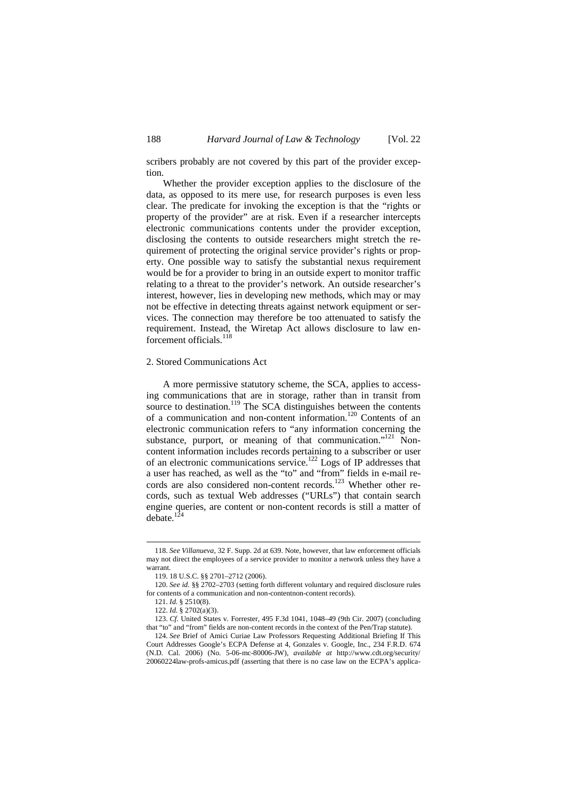scribers probably are not covered by this part of the provider exception.

Whether the provider exception applies to the disclosure of the data, as opposed to its mere use, for research purposes is even less clear. The predicate for invoking the exception is that the "rights or property of the provider" are at risk. Even if a researcher intercepts electronic communications contents under the provider exception, disclosing the contents to outside researchers might stretch the requirement of protecting the original service provider's rights or property. One possible way to satisfy the substantial nexus requirement would be for a provider to bring in an outside expert to monitor traffic relating to a threat to the provider's network. An outside researcher's interest, however, lies in developing new methods, which may or may not be effective in detecting threats against network equipment or services. The connection may therefore be too attenuated to satisfy the requirement. Instead, the Wiretap Act allows disclosure to law enforcement officials.<sup>118</sup>

#### 2. Stored Communications Act

A more permissive statutory scheme, the SCA, applies to accessing communications that are in storage, rather than in transit from source to destination.<sup>119</sup> The SCA distinguishes between the contents of a communication and non-content information.<sup>120</sup> Contents of an electronic communication refers to "any information concerning the substance, purport, or meaning of that communication."<sup>121</sup> Noncontent information includes records pertaining to a subscriber or user of an electronic communications service.<sup>122</sup> Logs of IP addresses that a user has reached, as well as the "to" and "from" fields in e-mail records are also considered non-content records.<sup>123</sup> Whether other records, such as textual Web addresses ("URLs") that contain search engine queries, are content or non-content records is still a matter of  $debate.<sup>124</sup>$ 

<sup>118.</sup> *See Villanueva*, 32 F. Supp. 2d at 639. Note, however, that law enforcement officials may not direct the employees of a service provider to monitor a network unless they have a warrant.

<sup>119. 18</sup> U.S.C. §§ 2701–2712 (2006).

<sup>120.</sup> *See id.* §§ 2702–2703 (setting forth different voluntary and required disclosure rules for contents of a communication and non-contentnon-content records).

<sup>121.</sup> *Id.* § 2510(8).

<sup>122.</sup> *Id.* § 2702(a)(3).

<sup>123.</sup> *Cf.* United States v. Forrester, 495 F.3d 1041, 1048–49 (9th Cir. 2007) (concluding that "to" and "from" fields are non-content records in the context of the Pen/Trap statute).

<sup>124.</sup> *See* Brief of Amici Curiae Law Professors Requesting Additional Briefing If This Court Addresses Google's ECPA Defense at 4, Gonzales v. Google, Inc., 234 F.R.D. 674 (N.D. Cal. 2006) (No. 5-06-mc-80006-JW), *available at* http://www.cdt.org/security/ 20060224law-profs-amicus.pdf (asserting that there is no case law on the ECPA's applica-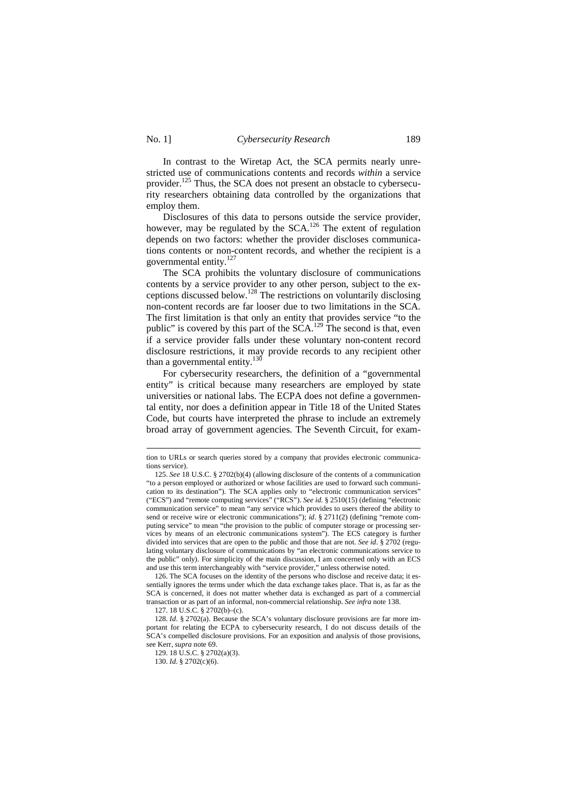$\overline{a}$ 

In contrast to the Wiretap Act, the SCA permits nearly unrestricted use of communications contents and records *within* a service provider.<sup>125</sup> Thus, the SCA does not present an obstacle to cybersecurity researchers obtaining data controlled by the organizations that employ them.

Disclosures of this data to persons outside the service provider, however, may be regulated by the  $SCA$ <sup>126</sup> The extent of regulation depends on two factors: whether the provider discloses communications contents or non-content records, and whether the recipient is a governmental entity.<sup>127</sup>

The SCA prohibits the voluntary disclosure of communications contents by a service provider to any other person, subject to the exceptions discussed below.<sup>128</sup> The restrictions on voluntarily disclosing non-content records are far looser due to two limitations in the SCA. The first limitation is that only an entity that provides service "to the public" is covered by this part of the  $SCA$ <sup>129</sup>. The second is that, even if a service provider falls under these voluntary non-content record disclosure restrictions, it may provide records to any recipient other than a governmental entity. $130$ 

For cybersecurity researchers, the definition of a "governmental entity" is critical because many researchers are employed by state universities or national labs. The ECPA does not define a governmental entity, nor does a definition appear in Title 18 of the United States Code, but courts have interpreted the phrase to include an extremely broad array of government agencies. The Seventh Circuit, for exam-

126. The SCA focuses on the identity of the persons who disclose and receive data; it essentially ignores the terms under which the data exchange takes place. That is, as far as the SCA is concerned, it does not matter whether data is exchanged as part of a commercial transaction or as part of an informal, non-commercial relationship. *See infra* note 138.

tion to URLs or search queries stored by a company that provides electronic communications service).

<sup>125.</sup> *See* 18 U.S.C. § 2702(b)(4) (allowing disclosure of the contents of a communication "to a person employed or authorized or whose facilities are used to forward such communication to its destination"). The SCA applies only to "electronic communication services" ("ECS") and "remote computing services" ("RCS"). *See id.* § 2510(15) (defining "electronic communication service" to mean "any service which provides to users thereof the ability to send or receive wire or electronic communications"); *id.* § 2711(2) (defining "remote computing service" to mean "the provision to the public of computer storage or processing services by means of an electronic communications system"). The ECS category is further divided into services that are open to the public and those that are not. *See id*. § 2702 (regulating voluntary disclosure of communications by "an electronic communications service to the public" only). For simplicity of the main discussion, I am concerned only with an ECS and use this term interchangeably with "service provider," unless otherwise noted.

<sup>127. 18</sup> U.S.C. § 2702(b)–(c).

<sup>128.</sup> *Id*. § 2702(a). Because the SCA's voluntary disclosure provisions are far more important for relating the ECPA to cybersecurity research, I do not discuss details of the SCA's compelled disclosure provisions. For an exposition and analysis of those provisions, see Kerr, *supra* note 69.

<sup>129. 18</sup> U.S.C. § 2702(a)(3).

<sup>130.</sup> *Id.* § 2702(c)(6).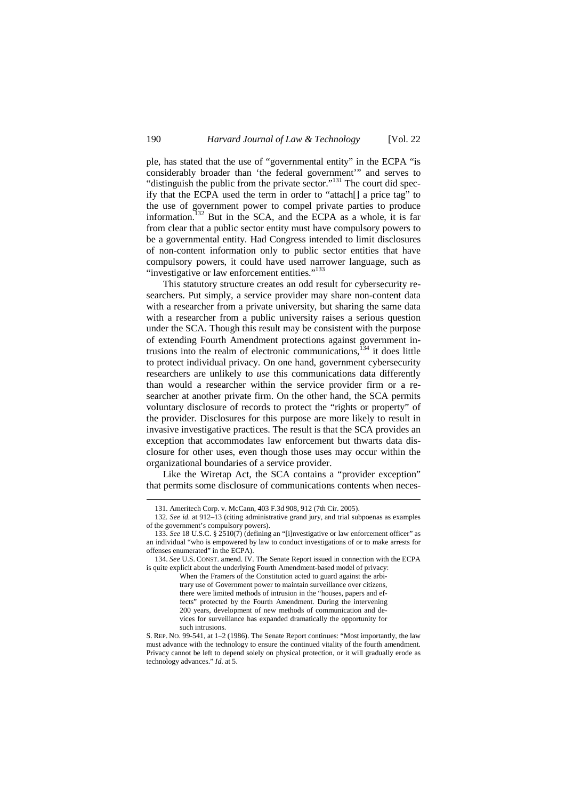ple, has stated that the use of "governmental entity" in the ECPA "is considerably broader than 'the federal government'" and serves to "distinguish the public from the private sector."<sup>131</sup> The court did specify that the ECPA used the term in order to "attach[] a price tag" to the use of government power to compel private parties to produce information.<sup>132</sup> But in the SCA, and the ECPA as a whole, it is far from clear that a public sector entity must have compulsory powers to be a governmental entity. Had Congress intended to limit disclosures of non-content information only to public sector entities that have compulsory powers, it could have used narrower language, such as "investigative or law enforcement entities."<sup>133</sup>

This statutory structure creates an odd result for cybersecurity researchers. Put simply, a service provider may share non-content data with a researcher from a private university, but sharing the same data with a researcher from a public university raises a serious question under the SCA. Though this result may be consistent with the purpose of extending Fourth Amendment protections against government intrusions into the realm of electronic communications, $134$  it does little to protect individual privacy. On one hand, government cybersecurity researchers are unlikely to *use* this communications data differently than would a researcher within the service provider firm or a researcher at another private firm. On the other hand, the SCA permits voluntary disclosure of records to protect the "rights or property" of the provider. Disclosures for this purpose are more likely to result in invasive investigative practices. The result is that the SCA provides an exception that accommodates law enforcement but thwarts data disclosure for other uses, even though those uses may occur within the organizational boundaries of a service provider.

Like the Wiretap Act, the SCA contains a "provider exception" that permits some disclosure of communications contents when neces-

<sup>131.</sup> Ameritech Corp. v. McCann, 403 F.3d 908, 912 (7th Cir. 2005).

<sup>132</sup>*. See id.* at 912–13 (citing administrative grand jury, and trial subpoenas as examples of the government's compulsory powers).

<sup>133.</sup> *See* 18 U.S.C. § 2510(7) (defining an "[i]nvestigative or law enforcement officer" as an individual "who is empowered by law to conduct investigations of or to make arrests for offenses enumerated" in the ECPA).

<sup>134.</sup> *See* U.S. CONST. amend. IV. The Senate Report issued in connection with the ECPA is quite explicit about the underlying Fourth Amendment-based model of privacy:

When the Framers of the Constitution acted to guard against the arbitrary use of Government power to maintain surveillance over citizens, there were limited methods of intrusion in the "houses, papers and effects" protected by the Fourth Amendment. During the intervening 200 years, development of new methods of communication and devices for surveillance has expanded dramatically the opportunity for such intrusions.

S. REP. NO. 99-541, at 1–2 (1986). The Senate Report continues: "Most importantly, the law must advance with the technology to ensure the continued vitality of the fourth amendment. Privacy cannot be left to depend solely on physical protection, or it will gradually erode as technology advances." *Id.* at 5.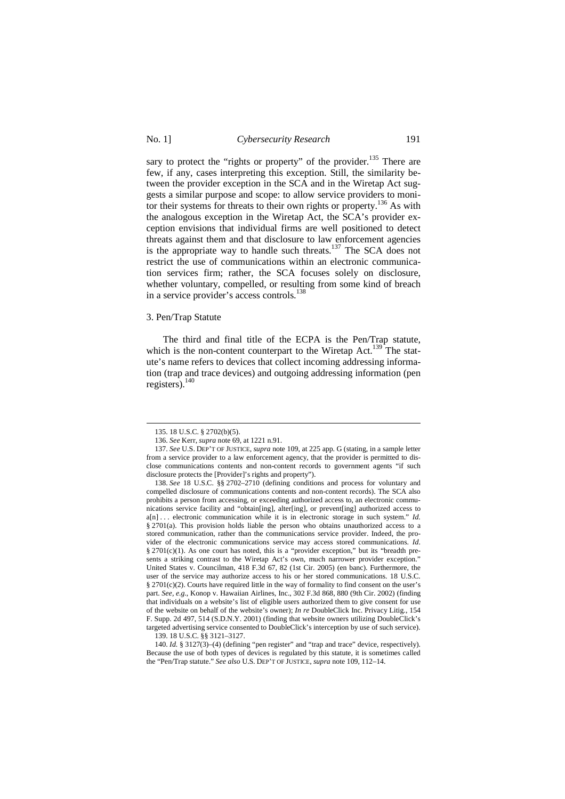sary to protect the "rights or property" of the provider.<sup>135</sup> There are few, if any, cases interpreting this exception. Still, the similarity between the provider exception in the SCA and in the Wiretap Act suggests a similar purpose and scope: to allow service providers to monitor their systems for threats to their own rights or property.<sup>136</sup> As with the analogous exception in the Wiretap Act, the SCA's provider exception envisions that individual firms are well positioned to detect threats against them and that disclosure to law enforcement agencies is the appropriate way to handle such threats.<sup>137</sup> The SCA does not restrict the use of communications within an electronic communication services firm; rather, the SCA focuses solely on disclosure, whether voluntary, compelled, or resulting from some kind of breach in a service provider's access controls.<sup>138</sup>

## 3. Pen/Trap Statute

The third and final title of the ECPA is the Pen/Trap statute, which is the non-content counterpart to the Wiretap Act.<sup>139</sup> The statute's name refers to devices that collect incoming addressing information (trap and trace devices) and outgoing addressing information (pen registers). $140$ 

<sup>135. 18</sup> U.S.C. § 2702(b)(5).

<sup>136.</sup> *See* Kerr, *supra* note 69, at 1221 n.91.

<sup>137.</sup> *See* U.S. DEP'T OF JUSTICE, *supra* note 109, at 225 app. G (stating, in a sample letter from a service provider to a law enforcement agency, that the provider is permitted to disclose communications contents and non-content records to government agents "if such disclosure protects the [Provider]'s rights and property").

<sup>138.</sup> *See* 18 U.S.C. §§ 2702–2710 (defining conditions and process for voluntary and compelled disclosure of communications contents and non-content records). The SCA also prohibits a person from accessing, or exceeding authorized access to, an electronic communications service facility and "obtain[ing], alter[ing], or prevent[ing] authorized access to a[n] ... electronic communication while it is in electronic storage in such system." *Id.* § 2701(a). This provision holds liable the person who obtains unauthorized access to a stored communication, rather than the communications service provider. Indeed, the provider of the electronic communications service may access stored communications. *Id*. § 2701(c)(1). As one court has noted, this is a "provider exception," but its "breadth presents a striking contrast to the Wiretap Act's own, much narrower provider exception." United States v. Councilman, 418 F.3d 67, 82 (1st Cir. 2005) (en banc). Furthermore, the user of the service may authorize access to his or her stored communications. 18 U.S.C. § 2701(c)(2). Courts have required little in the way of formality to find consent on the user's part. *See, e.g.*, Konop v. Hawaiian Airlines, Inc., 302 F.3d 868, 880 (9th Cir. 2002) (finding that individuals on a website's list of eligible users authorized them to give consent for use of the website on behalf of the website's owner); *In re* DoubleClick Inc. Privacy Litig., 154 F. Supp. 2d 497, 514 (S.D.N.Y. 2001) (finding that website owners utilizing DoubleClick's targeted advertising service consented to DoubleClick's interception by use of such service).

<sup>139. 18</sup> U.S.C. §§ 3121–3127.

<sup>140.</sup> *Id.* § 3127(3)–(4) (defining "pen register" and "trap and trace" device, respectively). Because the use of both types of devices is regulated by this statute, it is sometimes called the "Pen/Trap statute." *See also* U.S. DEP'T OF JUSTICE, *supra* note 109, 112–14.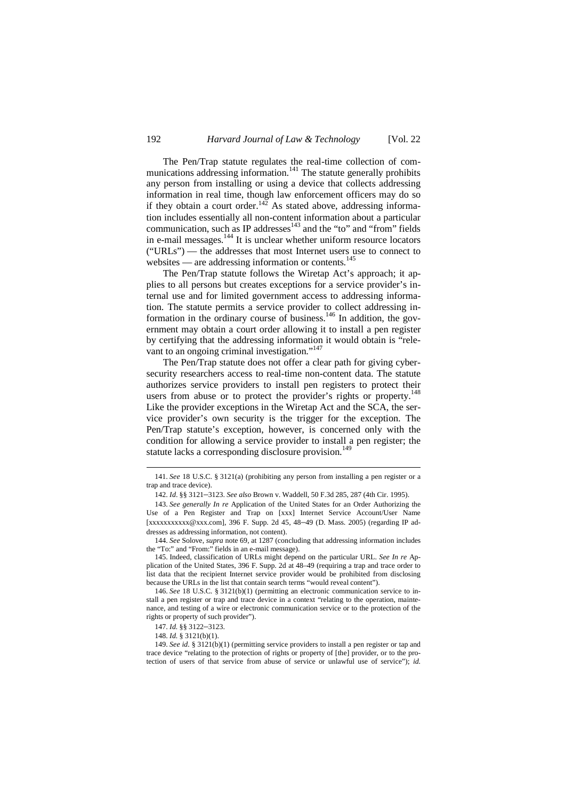The Pen/Trap statute regulates the real-time collection of communications addressing information.<sup>141</sup> The statute generally prohibits any person from installing or using a device that collects addressing information in real time, though law enforcement officers may do so if they obtain a court order.<sup>142</sup> As stated above, addressing information includes essentially all non-content information about a particular communication, such as IP addresses $143$  and the "to" and "from" fields in e-mail messages.<sup>144</sup> It is unclear whether uniform resource locators ("URLs") — the addresses that most Internet users use to connect to websites — are addressing information or contents.<sup>145</sup>

The Pen/Trap statute follows the Wiretap Act's approach; it applies to all persons but creates exceptions for a service provider's internal use and for limited government access to addressing information. The statute permits a service provider to collect addressing information in the ordinary course of business.<sup>146</sup> In addition, the government may obtain a court order allowing it to install a pen register by certifying that the addressing information it would obtain is "relevant to an ongoing criminal investigation."<sup>147</sup>

The Pen/Trap statute does not offer a clear path for giving cybersecurity researchers access to real-time non-content data. The statute authorizes service providers to install pen registers to protect their users from abuse or to protect the provider's rights or property.<sup>148</sup> Like the provider exceptions in the Wiretap Act and the SCA, the service provider's own security is the trigger for the exception. The Pen/Trap statute's exception, however, is concerned only with the condition for allowing a service provider to install a pen register; the statute lacks a corresponding disclosure provision.<sup>149</sup>

<sup>141.</sup> *See* 18 U.S.C. § 3121(a) (prohibiting any person from installing a pen register or a trap and trace device).

<sup>142.</sup> *Id*. §§ 3121–3123. *See also* Brown v. Waddell, 50 F.3d 285, 287 (4th Cir. 1995).

<sup>143.</sup> *See generally In re* Application of the United States for an Order Authorizing the Use of a Pen Register and Trap on [xxx] Internet Service Account/User Name [xxxxxxxxxxx@xxx.com], 396 F. Supp. 2d 45, 48–49 (D. Mass. 2005) (regarding IP addresses as addressing information, not content).

<sup>144.</sup> *See* Solove, *supra* note 69, at 1287 (concluding that addressing information includes the "To:" and "From:" fields in an e-mail message).

<sup>145.</sup> Indeed, classification of URLs might depend on the particular URL. *See In re* Application of the United States, 396 F. Supp. 2d at 48–49 (requiring a trap and trace order to list data that the recipient Internet service provider would be prohibited from disclosing because the URLs in the list that contain search terms "would reveal content").

<sup>146.</sup> *See* 18 U.S.C. § 3121(b)(1) (permitting an electronic communication service to install a pen register or trap and trace device in a context "relating to the operation, maintenance, and testing of a wire or electronic communication service or to the protection of the rights or property of such provider").

<sup>147.</sup> *Id.* §§ 3122–3123.

<sup>148.</sup> *Id.* § 3121(b)(1).

<sup>149.</sup> *See id.* § 3121(b)(1) (permitting service providers to install a pen register or tap and trace device "relating to the protection of rights or property of [the] provider, or to the protection of users of that service from abuse of service or unlawful use of service"); *id.*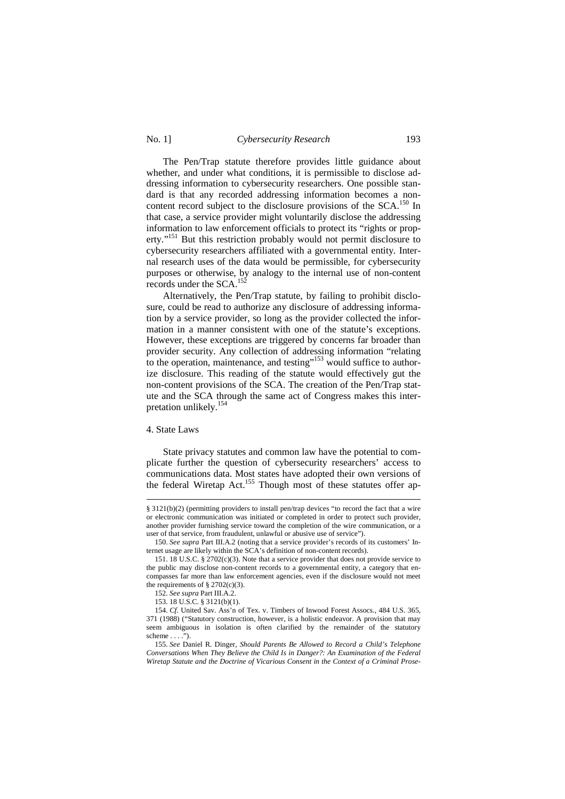### No. 1] *Cybersecurity Research* 193

The Pen/Trap statute therefore provides little guidance about whether, and under what conditions, it is permissible to disclose addressing information to cybersecurity researchers. One possible standard is that any recorded addressing information becomes a noncontent record subject to the disclosure provisions of the SCA.<sup>150</sup> In that case, a service provider might voluntarily disclose the addressing information to law enforcement officials to protect its "rights or property."<sup>151</sup> But this restriction probably would not permit disclosure to cybersecurity researchers affiliated with a governmental entity. Internal research uses of the data would be permissible, for cybersecurity purposes or otherwise, by analogy to the internal use of non-content records under the SCA.<sup>152</sup>

Alternatively, the Pen/Trap statute, by failing to prohibit disclosure, could be read to authorize any disclosure of addressing information by a service provider, so long as the provider collected the information in a manner consistent with one of the statute's exceptions. However, these exceptions are triggered by concerns far broader than provider security. Any collection of addressing information "relating to the operation, maintenance, and testing"<sup>153</sup> would suffice to authorize disclosure. This reading of the statute would effectively gut the non-content provisions of the SCA. The creation of the Pen/Trap statute and the SCA through the same act of Congress makes this interpretation unlikely.<sup>154</sup>

## 4. State Laws

 $\overline{a}$ 

State privacy statutes and common law have the potential to complicate further the question of cybersecurity researchers' access to communications data. Most states have adopted their own versions of the federal Wiretap Act.<sup>155</sup> Though most of these statutes offer ap-

<sup>§ 3121(</sup>b)(2) (permitting providers to install pen/trap devices "to record the fact that a wire or electronic communication was initiated or completed in order to protect such provider, another provider furnishing service toward the completion of the wire communication, or a user of that service, from fraudulent, unlawful or abusive use of service").

<sup>150.</sup> *See supra* Part III.A.2 (noting that a service provider's records of its customers' Internet usage are likely within the SCA's definition of non-content records).

<sup>151. 18</sup> U.S.C. § 2702(c)(3). Note that a service provider that does not provide service to the public may disclose non-content records to a governmental entity, a category that encompasses far more than law enforcement agencies, even if the disclosure would not meet the requirements of  $\S 2702(c)(3)$ .

<sup>152.</sup> *See supra* Part III.A.2.

<sup>153. 18</sup> U.S.C. § 3121(b)(1).

<sup>154.</sup> *Cf.* United Sav. Ass'n of Tex. v. Timbers of Inwood Forest Assocs., 484 U.S. 365, 371 (1988) ("Statutory construction, however, is a holistic endeavor. A provision that may seem ambiguous in isolation is often clarified by the remainder of the statutory scheme  $\dots$  .").

<sup>155.</sup> *See* Daniel R. Dinger, *Should Parents Be Allowed to Record a Child's Telephone Conversations When They Believe the Child Is in Danger?: An Examination of the Federal Wiretap Statute and the Doctrine of Vicarious Consent in the Context of a Criminal Prose-*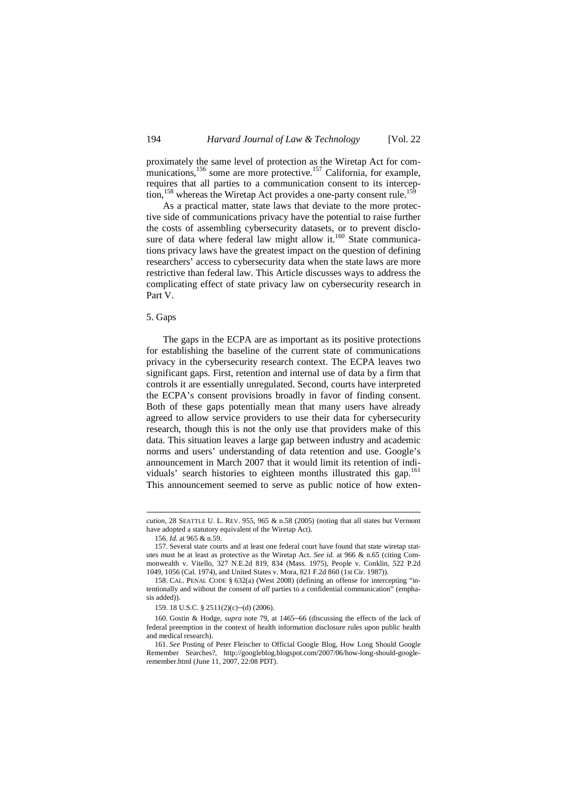proximately the same level of protection as the Wiretap Act for communications, <sup>156</sup> some are more protective.<sup>157</sup> California, for example, requires that all parties to a communication consent to its interception,<sup>158</sup> whereas the Wiretap Act provides a one-party consent rule.<sup>159</sup>

As a practical matter, state laws that deviate to the more protective side of communications privacy have the potential to raise further the costs of assembling cybersecurity datasets, or to prevent disclosure of data where federal law might allow it. $160$  State communications privacy laws have the greatest impact on the question of defining researchers' access to cybersecurity data when the state laws are more restrictive than federal law. This Article discusses ways to address the complicating effect of state privacy law on cybersecurity research in Part V.

## 5. Gaps

The gaps in the ECPA are as important as its positive protections for establishing the baseline of the current state of communications privacy in the cybersecurity research context. The ECPA leaves two significant gaps. First, retention and internal use of data by a firm that controls it are essentially unregulated. Second, courts have interpreted the ECPA's consent provisions broadly in favor of finding consent. Both of these gaps potentially mean that many users have already agreed to allow service providers to use their data for cybersecurity research, though this is not the only use that providers make of this data. This situation leaves a large gap between industry and academic norms and users' understanding of data retention and use. Google's announcement in March 2007 that it would limit its retention of individuals' search histories to eighteen months illustrated this gap.<sup>161</sup> This announcement seemed to serve as public notice of how exten-

*cution*, 28 SEATTLE U. L. REV. 955, 965 & n.58 (2005) (noting that all states but Vermont have adopted a statutory equivalent of the Wiretap Act).

<sup>156.</sup> *Id.* at 965 & n.59.

<sup>157.</sup> Several state courts and at least one federal court have found that state wiretap statutes must be at least as protective as the Wiretap Act. *See id.* at 966 & n.65 (citing Commonwealth v. Vitello, 327 N.E.2d 819, 834 (Mass. 1975), People v. Conklin, 522 P.2d 1049, 1056 (Cal. 1974), and United States v. Mora, 821 F.2d 860 (1st Cir. 1987)).

<sup>158.</sup> CAL. PENAL CODE § 632(a) (West 2008) (defining an offense for intercepting "intentionally and without the consent of *all* parties to a confidential communication" (emphasis added)).

<sup>159. 18</sup> U.S.C. § 2511(2)(c)–(d) (2006).

<sup>160.</sup> Gostin & Hodge, *supra* note 79, at 1465–66 (discussing the effects of the lack of federal preemption in the context of health information disclosure rules upon public health and medical research).

<sup>161.</sup> *See* Posting of Peter Fleischer to Official Google Blog, How Long Should Google Remember Searches?, http://googleblog.blogspot.com/2007/06/how-long-should-googleremember.html (June 11, 2007, 22:08 PDT).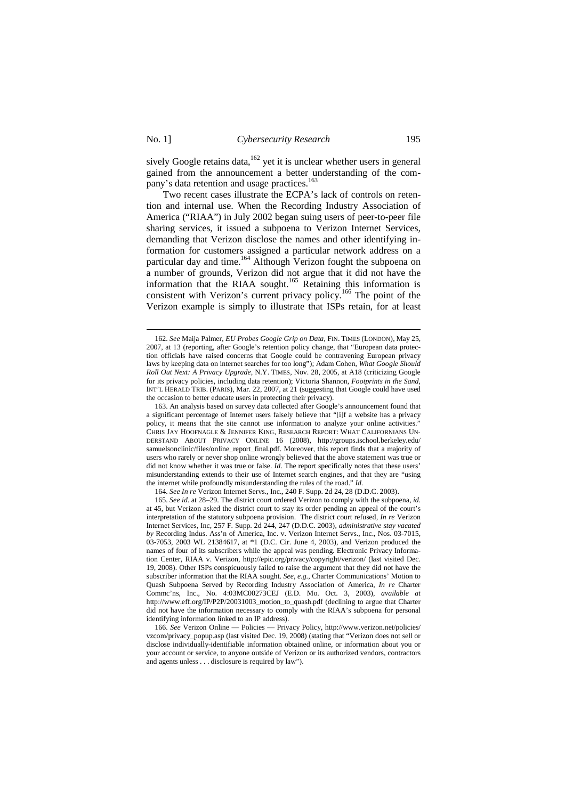-

sively Google retains data,  $162$  yet it is unclear whether users in general gained from the announcement a better understanding of the company's data retention and usage practices.<sup>163</sup>

Two recent cases illustrate the ECPA's lack of controls on retention and internal use. When the Recording Industry Association of America ("RIAA") in July 2002 began suing users of peer-to-peer file sharing services, it issued a subpoena to Verizon Internet Services, demanding that Verizon disclose the names and other identifying information for customers assigned a particular network address on a particular day and time.<sup>164</sup> Although Verizon fought the subpoena on a number of grounds, Verizon did not argue that it did not have the information that the RIAA sought.<sup>165</sup> Retaining this information is consistent with Verizon's current privacy policy.<sup>166</sup> The point of the Verizon example is simply to illustrate that ISPs retain, for at least

164. *See In re* Verizon Internet Servs., Inc., 240 F. Supp. 2d 24, 28 (D.D.C. 2003).

<sup>162.</sup> *See* Maija Palmer, *EU Probes Google Grip on Data*, FIN. TIMES (LONDON), May 25, 2007, at 13 (reporting, after Google's retention policy change, that "European data protection officials have raised concerns that Google could be contravening European privacy laws by keeping data on internet searches for too long"); Adam Cohen, *What Google Should Roll Out Next: A Privacy Upgrade*, N.Y. TIMES, Nov. 28, 2005, at A18 (criticizing Google for its privacy policies, including data retention); Victoria Shannon, *Footprints in the Sand*, INT'L HERALD TRIB. (PARIS), Mar. 22, 2007, at 21 (suggesting that Google could have used the occasion to better educate users in protecting their privacy).

<sup>163.</sup> An analysis based on survey data collected after Google's announcement found that a significant percentage of Internet users falsely believe that "[i]f a website has a privacy policy, it means that the site cannot use information to analyze your online activities." CHRIS JAY HOOFNAGLE & JENNIFER KING, RESEARCH REPORT: WHAT CALIFORNIANS UN-DERSTAND ABOUT PRIVACY ONLINE 16 (2008), http://groups.ischool.berkeley.edu/ samuelsonclinic/files/online\_report\_final.pdf. Moreover, this report finds that a majority of users who rarely or never shop online wrongly believed that the above statement was true or did not know whether it was true or false. *Id.* The report specifically notes that these users' misunderstanding extends to their use of Internet search engines, and that they are "using the internet while profoundly misunderstanding the rules of the road." *Id.*

<sup>165.</sup> *See id.* at 28–29. The district court ordered Verizon to comply with the subpoena, *id.* at 45, but Verizon asked the district court to stay its order pending an appeal of the court's interpretation of the statutory subpoena provision. The district court refused, *In re* Verizon Internet Services, Inc, 257 F. Supp. 2d 244, 247 (D.D.C. 2003), *administrative stay vacated by* Recording Indus. Ass'n of America, Inc. v. Verizon Internet Servs., Inc., Nos. 03-7015, 03-7053, 2003 WL 21384617, at \*1 (D.C. Cir. June 4, 2003), and Verizon produced the names of four of its subscribers while the appeal was pending. Electronic Privacy Information Center, RIAA v. Verizon, http://epic.org/privacy/copyright/verizon/ (last visited Dec. 19, 2008). Other ISPs conspicuously failed to raise the argument that they did not have the subscriber information that the RIAA sought. *See, e.g.*, Charter Communications' Motion to Quash Subpoena Served by Recording Industry Association of America, *In re* Charter Commc'ns, Inc., No. 4:03MC00273CEJ (E.D. Mo. Oct. 3, 2003), *available at* http://www.eff.org/IP/P2P/20031003\_motion\_to\_quash.pdf (declining to argue that Charter did not have the information necessary to comply with the RIAA's subpoena for personal identifying information linked to an IP address).

<sup>166.</sup> *See* Verizon Online — Policies — Privacy Policy, http://www.verizon.net/policies/ vzcom/privacy\_popup.asp (last visited Dec. 19, 2008) (stating that "Verizon does not sell or disclose individually-identifiable information obtained online, or information about you or your account or service, to anyone outside of Verizon or its authorized vendors, contractors and agents unless . . . disclosure is required by law").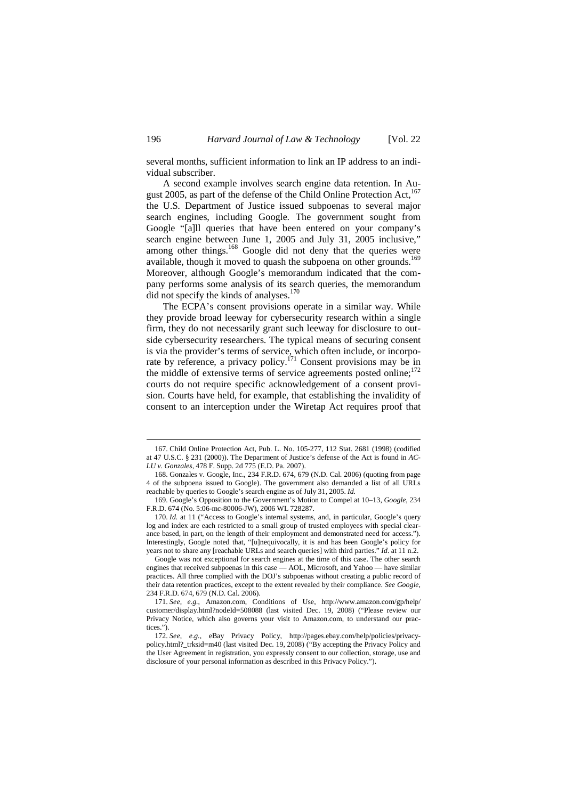several months, sufficient information to link an IP address to an individual subscriber.

A second example involves search engine data retention. In August 2005, as part of the defense of the Child Online Protection Act.<sup>167</sup> the U.S. Department of Justice issued subpoenas to several major search engines, including Google. The government sought from Google "[a]ll queries that have been entered on your company's search engine between June 1, 2005 and July 31, 2005 inclusive," among other things.<sup>168</sup> Google did not deny that the queries were available, though it moved to quash the subpoena on other grounds.<sup>169</sup> Moreover, although Google's memorandum indicated that the company performs some analysis of its search queries, the memorandum did not specify the kinds of analyses.<sup>170</sup>

The ECPA's consent provisions operate in a similar way. While they provide broad leeway for cybersecurity research within a single firm, they do not necessarily grant such leeway for disclosure to outside cybersecurity researchers. The typical means of securing consent is via the provider's terms of service, which often include, or incorporate by reference, a privacy policy.<sup>171</sup> Consent provisions may be in the middle of extensive terms of service agreements posted online; $^{172}$ courts do not require specific acknowledgement of a consent provision. Courts have held, for example, that establishing the invalidity of consent to an interception under the Wiretap Act requires proof that

<sup>167.</sup> Child Online Protection Act, Pub. L. No. 105-277, 112 Stat. 2681 (1998) (codified at 47 U.S.C. § 231 (2000)). The Department of Justice's defense of the Act is found in *AC-LU v. Gonzales*, 478 F. Supp. 2d 775 (E.D. Pa. 2007).

<sup>168.</sup> Gonzales v. Google, Inc., 234 F.R.D. 674, 679 (N.D. Cal. 2006) (quoting from page 4 of the subpoena issued to Google). The government also demanded a list of all URLs reachable by queries to Google's search engine as of July 31, 2005. *Id.*

<sup>169.</sup> Google's Opposition to the Government's Motion to Compel at 10–13, *Google*, 234 F.R.D. 674 (No. 5:06-mc-80006-JW), 2006 WL 728287.

<sup>170.</sup> *Id.* at 11 ("Access to Google's internal systems, and, in particular, Google's query log and index are each restricted to a small group of trusted employees with special clearance based, in part, on the length of their employment and demonstrated need for access."). Interestingly, Google noted that, "[u]nequivocally, it is and has been Google's policy for years not to share any [reachable URLs and search queries] with third parties." *Id.* at 11 n.2.

Google was not exceptional for search engines at the time of this case. The other search engines that received subpoenas in this case — AOL, Microsoft, and Yahoo — have similar practices. All three complied with the DOJ's subpoenas without creating a public record of their data retention practices, except to the extent revealed by their compliance. *See Google*, 234 F.R.D. 674, 679 (N.D. Cal. 2006).

<sup>171.</sup> *See, e.g.*, Amazon.com, Conditions of Use, http://www.amazon.com/gp/help/ customer/display.html?nodeId=508088 (last visited Dec. 19, 2008) ("Please review our Privacy Notice, which also governs your visit to Amazon.com, to understand our practices.").

<sup>172.</sup> *See, e.g.*, eBay Privacy Policy, http://pages.ebay.com/help/policies/privacypolicy.html?\_trksid=m40 (last visited Dec. 19, 2008) ("By accepting the Privacy Policy and the User Agreement in registration, you expressly consent to our collection, storage, use and disclosure of your personal information as described in this Privacy Policy.").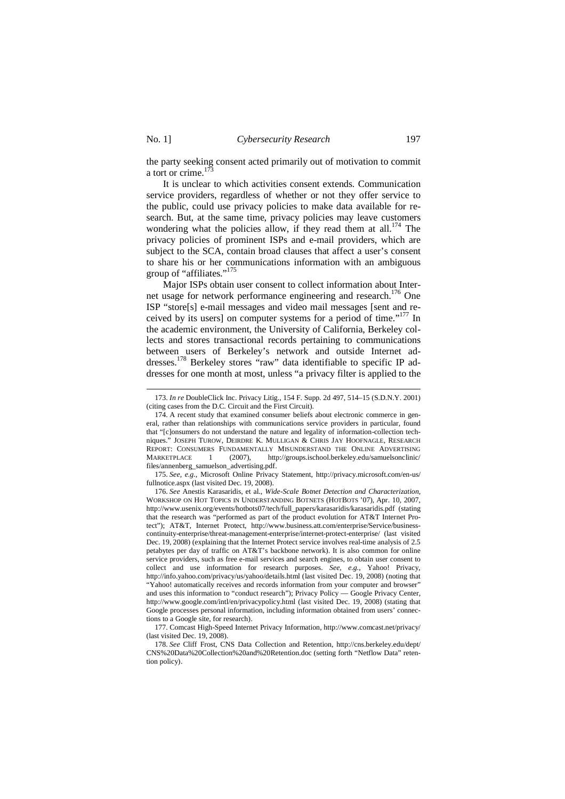-

the party seeking consent acted primarily out of motivation to commit a tort or crime.<sup>17</sup>

It is unclear to which activities consent extends. Communication service providers, regardless of whether or not they offer service to the public, could use privacy policies to make data available for research. But, at the same time, privacy policies may leave customers wondering what the policies allow, if they read them at all.<sup>174</sup> The privacy policies of prominent ISPs and e-mail providers, which are subject to the SCA, contain broad clauses that affect a user's consent to share his or her communications information with an ambiguous group of "affiliates."<sup>175</sup>

Major ISPs obtain user consent to collect information about Internet usage for network performance engineering and research.<sup>176</sup> One ISP "store[s] e-mail messages and video mail messages [sent and received by its users] on computer systems for a period of time."<sup>177</sup> In the academic environment, the University of California, Berkeley collects and stores transactional records pertaining to communications between users of Berkeley's network and outside Internet addresses.<sup>178</sup> Berkeley stores "raw" data identifiable to specific IP addresses for one month at most, unless "a privacy filter is applied to the

175. *See, e.g.*, Microsoft Online Privacy Statement, http://privacy.microsoft.com/en-us/ fullnotice.aspx (last visited Dec. 19, 2008).

<sup>173.</sup> *In re* DoubleClick Inc. Privacy Litig., 154 F. Supp. 2d 497, 514–15 (S.D.N.Y. 2001) (citing cases from the D.C. Circuit and the First Circuit).

<sup>174.</sup> A recent study that examined consumer beliefs about electronic commerce in general, rather than relationships with communications service providers in particular, found that "[c]onsumers do not understand the nature and legality of information-collection techniques." JOSEPH TUROW, DEIRDRE K. MULLIGAN & CHRIS JAY HOOFNAGLE, RESEARCH REPORT: CONSUMERS FUNDAMENTALLY MISUNDERSTAND THE ONLINE ADVERTISING MARKETPLACE 1 (2007), http://groups.ischool.berkeley.edu/samuelsonclinic/ files/annenberg\_samuelson\_advertising.pdf.

<sup>176.</sup> *See* Anestis Karasaridis, et al., *Wide-Scale Botnet Detection and Characterization*, WORKSHOP ON HOT TOPICS IN UNDERSTANDING BOTNETS (HOTBOTS '07), Apr. 10, 2007, http://www.usenix.org/events/hotbots07/tech/full\_papers/karasaridis/karasaridis.pdf (stating that the research was "performed as part of the product evolution for AT&T Internet Protect"); AT&T, Internet Protect, http://www.business.att.com/enterprise/Service/businesscontinuity-enterprise/threat-management-enterprise/internet-protect-enterprise/ (last visited Dec. 19, 2008) (explaining that the Internet Protect service involves real-time analysis of 2.5 petabytes per day of traffic on AT&T's backbone network). It is also common for online service providers, such as free e-mail services and search engines, to obtain user consent to collect and use information for research purposes. *See, e.g.*, Yahoo! Privacy, http://info.yahoo.com/privacy/us/yahoo/details.html (last visited Dec. 19, 2008) (noting that "Yahoo! automatically receives and records information from your computer and browser" and uses this information to "conduct research"); Privacy Policy — Google Privacy Center, http://www.google.com/intl/en/privacypolicy.html (last visited Dec. 19, 2008) (stating that Google processes personal information, including information obtained from users' connections to a Google site, for research).

<sup>177.</sup> Comcast High-Speed Internet Privacy Information, http://www.comcast.net/privacy/ (last visited Dec. 19, 2008).

<sup>178.</sup> *See* Cliff Frost, CNS Data Collection and Retention, http://cns.berkeley.edu/dept/ CNS%20Data%20Collection%20and%20Retention.doc (setting forth "Netflow Data" retention policy).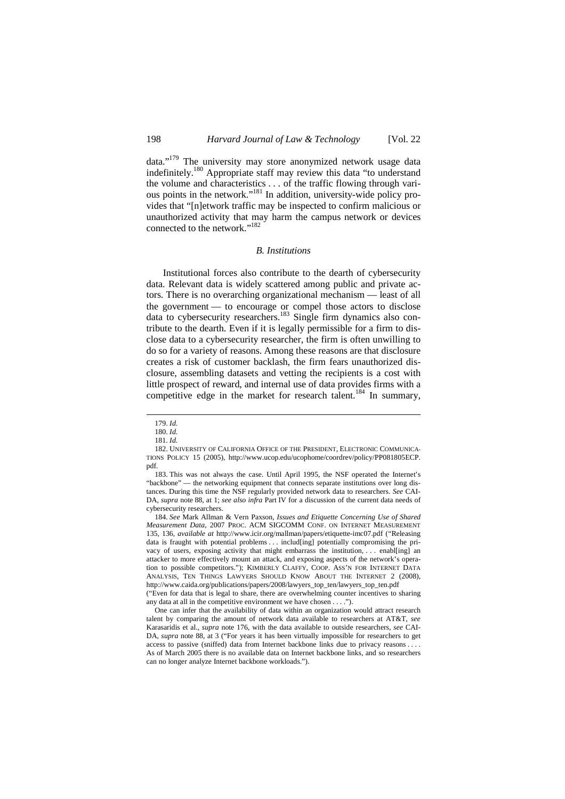data."<sup>179</sup> The university may store anonymized network usage data indefinitely.<sup>180</sup> Appropriate staff may review this data "to understand the volume and characteristics . . . of the traffic flowing through various points in the network."<sup>181</sup> In addition, university-wide policy provides that "[n]etwork traffic may be inspected to confirm malicious or unauthorized activity that may harm the campus network or devices connected to the network."<sup>182</sup>

#### *B. Institutions*

Institutional forces also contribute to the dearth of cybersecurity data. Relevant data is widely scattered among public and private actors. There is no overarching organizational mechanism — least of all the government — to encourage or compel those actors to disclose data to cybersecurity researchers.<sup>183</sup> Single firm dynamics also contribute to the dearth. Even if it is legally permissible for a firm to disclose data to a cybersecurity researcher, the firm is often unwilling to do so for a variety of reasons. Among these reasons are that disclosure creates a risk of customer backlash, the firm fears unauthorized disclosure, assembling datasets and vetting the recipients is a cost with little prospect of reward, and internal use of data provides firms with a competitive edge in the market for research talent.<sup>184</sup> In summary,

 $\overline{a}$ 

184. *See* Mark Allman & Vern Paxson, *Issues and Etiquette Concerning Use of Shared Measurement Data*, 2007 PROC. ACM SIGCOMM CONF. ON INTERNET MEASUREMENT 135, 136, *available at* http://www.icir.org/mallman/papers/etiquette-imc07.pdf ("Releasing data is fraught with potential problems . . . includ[ing] potentially compromising the privacy of users, exposing activity that might embarrass the institution, . . . enabl[ing] an attacker to more effectively mount an attack, and exposing aspects of the network's operation to possible competitors."); KIMBERLY CLAFFY, COOP. ASS'N FOR INTERNET DATA ANALYSIS, TEN THINGS LAWYERS SHOULD KNOW ABOUT THE INTERNET 2 (2008), http://www.caida.org/publications/papers/2008/lawyers\_top\_ten/lawyers\_top\_ten.pdf

("Even for data that is legal to share, there are overwhelming counter incentives to sharing any data at all in the competitive environment we have chosen . . . .").

One can infer that the availability of data within an organization would attract research talent by comparing the amount of network data available to researchers at AT&T, *see* Karasaridis et al., *supra* note 176, with the data available to outside researchers, *see* CAI-DA, *supra* note 88, at 3 ("For years it has been virtually impossible for researchers to get access to passive (sniffed) data from Internet backbone links due to privacy reasons . . . . As of March 2005 there is no available data on Internet backbone links, and so researchers can no longer analyze Internet backbone workloads.").

<sup>179.</sup> *Id.*

<sup>180.</sup> *Id.*

<sup>181.</sup> *Id.*

<sup>182.</sup> UNIVERSITY OF CALIFORNIA OFFICE OF THE PRESIDENT, ELECTRONIC COMMUNICA-TIONS POLICY 15 (2005), http://www.ucop.edu/ucophome/coordrev/policy/PP081805ECP. pdf.

<sup>183.</sup> This was not always the case. Until April 1995, the NSF operated the Internet's "backbone" — the networking equipment that connects separate institutions over long distances. During this time the NSF regularly provided network data to researchers. *See* CAI-DA, *supra* note 88, at 1; *see also infra* Part IV for a discussion of the current data needs of cybersecurity researchers.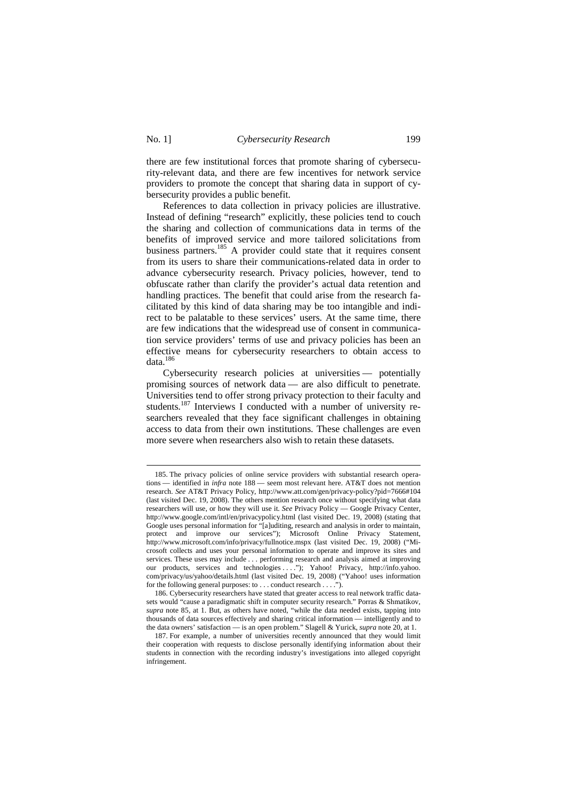$\ddot{ }$ 

there are few institutional forces that promote sharing of cybersecurity-relevant data, and there are few incentives for network service providers to promote the concept that sharing data in support of cybersecurity provides a public benefit.

References to data collection in privacy policies are illustrative. Instead of defining "research" explicitly, these policies tend to couch the sharing and collection of communications data in terms of the benefits of improved service and more tailored solicitations from business partners.<sup>185</sup> A provider could state that it requires consent from its users to share their communications-related data in order to advance cybersecurity research. Privacy policies, however, tend to obfuscate rather than clarify the provider's actual data retention and handling practices. The benefit that could arise from the research facilitated by this kind of data sharing may be too intangible and indirect to be palatable to these services' users. At the same time, there are few indications that the widespread use of consent in communication service providers' terms of use and privacy policies has been an effective means for cybersecurity researchers to obtain access to data.<sup>186</sup>

Cybersecurity research policies at universities — potentially promising sources of network data — are also difficult to penetrate. Universities tend to offer strong privacy protection to their faculty and students.<sup>187</sup> Interviews I conducted with a number of university researchers revealed that they face significant challenges in obtaining access to data from their own institutions. These challenges are even more severe when researchers also wish to retain these datasets.

<sup>185.</sup> The privacy policies of online service providers with substantial research operations — identified in *infra* note 188 — seem most relevant here. AT&T does not mention research. *See* AT&T Privacy Policy, http://www.att.com/gen/privacy-policy?pid=7666#104 (last visited Dec. 19, 2008). The others mention research once without specifying what data researchers will use, or how they will use it. *See* Privacy Policy — Google Privacy Center, http://www.google.com/intl/en/privacypolicy.html (last visited Dec. 19, 2008) (stating that Google uses personal information for "[a]uditing, research and analysis in order to maintain, protect and improve our services"); Microsoft Online Privacy Statement, http://www.microsoft.com/info/privacy/fullnotice.mspx (last visited Dec. 19, 2008) ("Microsoft collects and uses your personal information to operate and improve its sites and services. These uses may include . . . performing research and analysis aimed at improving our products, services and technologies ...."); Yahoo! Privacy, http://info.yahoo. com/privacy/us/yahoo/details.html (last visited Dec. 19, 2008) ("Yahoo! uses information for the following general purposes: to . . . conduct research . . . .").

<sup>186.</sup> Cybersecurity researchers have stated that greater access to real network traffic datasets would "cause a paradigmatic shift in computer security research." Porras & Shmatikov, *supra* note 85, at 1. But, as others have noted, "while the data needed exists, tapping into thousands of data sources effectively and sharing critical information — intelligently and to the data owners' satisfaction — is an open problem." Slagell & Yurick, *supra* note 20, at 1.

<sup>187.</sup> For example, a number of universities recently announced that they would limit their cooperation with requests to disclose personally identifying information about their students in connection with the recording industry's investigations into alleged copyright infringement.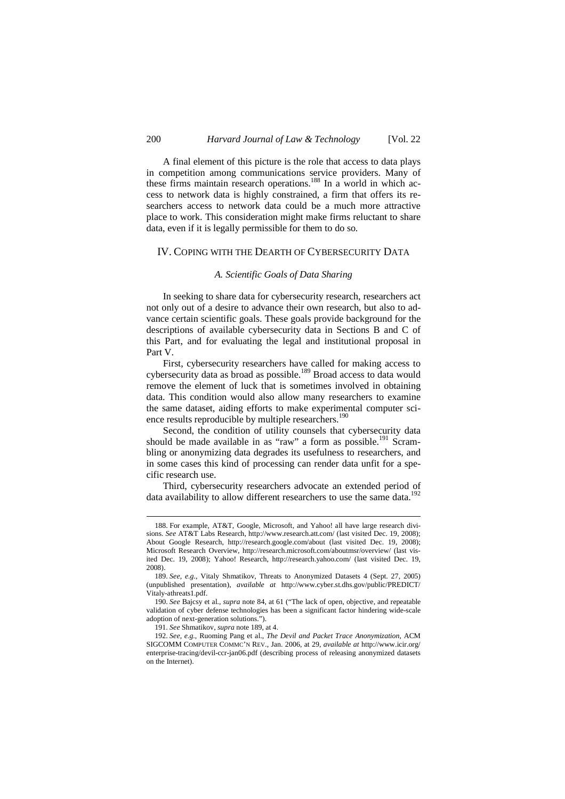A final element of this picture is the role that access to data plays in competition among communications service providers. Many of these firms maintain research operations.<sup>188</sup> In a world in which access to network data is highly constrained, a firm that offers its researchers access to network data could be a much more attractive place to work. This consideration might make firms reluctant to share data, even if it is legally permissible for them to do so.

### IV. COPING WITH THE DEARTH OF CYBERSECURITY DATA

## *A. Scientific Goals of Data Sharing*

In seeking to share data for cybersecurity research, researchers act not only out of a desire to advance their own research, but also to advance certain scientific goals. These goals provide background for the descriptions of available cybersecurity data in Sections B and C of this Part, and for evaluating the legal and institutional proposal in Part V.

First, cybersecurity researchers have called for making access to cybersecurity data as broad as possible.<sup>189</sup> Broad access to data would remove the element of luck that is sometimes involved in obtaining data. This condition would also allow many researchers to examine the same dataset, aiding efforts to make experimental computer science results reproducible by multiple researchers.<sup>190</sup>

Second, the condition of utility counsels that cybersecurity data should be made available in as "raw" a form as possible.<sup>191</sup> Scrambling or anonymizing data degrades its usefulness to researchers, and in some cases this kind of processing can render data unfit for a specific research use.

Third, cybersecurity researchers advocate an extended period of data availability to allow different researchers to use the same data.<sup>192</sup>

<sup>188.</sup> For example, AT&T, Google, Microsoft, and Yahoo! all have large research divisions. *See* AT&T Labs Research, http://www.research.att.com/ (last visited Dec. 19, 2008); About Google Research, http://research.google.com/about (last visited Dec. 19, 2008); Microsoft Research Overview, http://research.microsoft.com/aboutmsr/overview/ (last visited Dec. 19, 2008); Yahoo! Research, http://research.yahoo.com/ (last visited Dec. 19, 2008).

<sup>189.</sup> *See, e.g.*, Vitaly Shmatikov, Threats to Anonymized Datasets 4 (Sept. 27, 2005) (unpublished presentation), *available at* http://www.cyber.st.dhs.gov/public/PREDICT/ Vitaly-athreats1.pdf.

<sup>190.</sup> *See* Bajcsy et al., *supra* note 84, at 61 ("The lack of open, objective, and repeatable validation of cyber defense technologies has been a significant factor hindering wide-scale adoption of next-generation solutions.").

<sup>191.</sup> *See* Shmatikov, *supra* note 189, at 4.

<sup>192.</sup> *See, e.g.*, Ruoming Pang et al., *The Devil and Packet Trace Anonymization*, ACM SIGCOMM COMPUTER COMMC'N REV., Jan. 2006, at 29, *available at* http://www.icir.org/ enterprise-tracing/devil-ccr-jan06.pdf (describing process of releasing anonymized datasets on the Internet).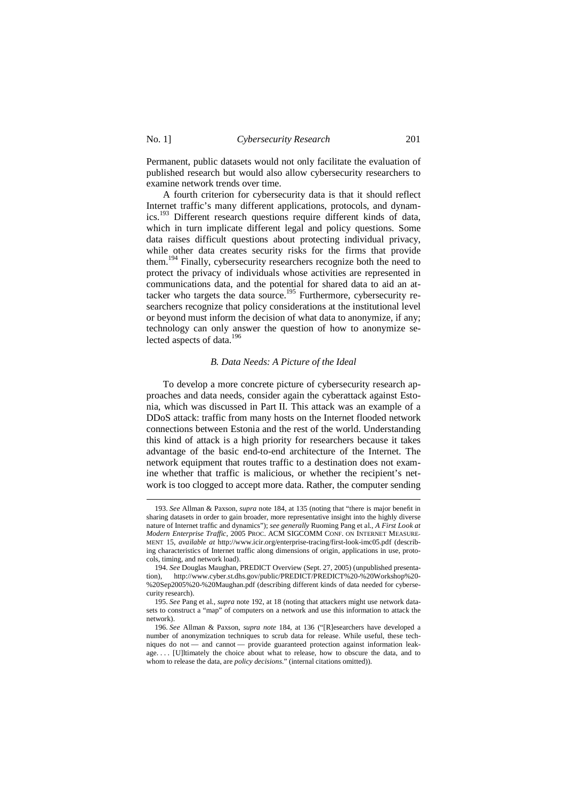$\overline{a}$ 

Permanent, public datasets would not only facilitate the evaluation of published research but would also allow cybersecurity researchers to examine network trends over time.

A fourth criterion for cybersecurity data is that it should reflect Internet traffic's many different applications, protocols, and dynamics.<sup>193</sup> Different research questions require different kinds of data, which in turn implicate different legal and policy questions. Some data raises difficult questions about protecting individual privacy, while other data creates security risks for the firms that provide them.<sup>194</sup> Finally, cybersecurity researchers recognize both the need to protect the privacy of individuals whose activities are represented in communications data, and the potential for shared data to aid an attacker who targets the data source.<sup>195</sup> Furthermore, cybersecurity researchers recognize that policy considerations at the institutional level or beyond must inform the decision of what data to anonymize, if any; technology can only answer the question of how to anonymize selected aspects of data.<sup>196</sup>

#### *B. Data Needs: A Picture of the Ideal*

To develop a more concrete picture of cybersecurity research approaches and data needs, consider again the cyberattack against Estonia, which was discussed in Part II. This attack was an example of a DDoS attack: traffic from many hosts on the Internet flooded network connections between Estonia and the rest of the world. Understanding this kind of attack is a high priority for researchers because it takes advantage of the basic end-to-end architecture of the Internet. The network equipment that routes traffic to a destination does not examine whether that traffic is malicious, or whether the recipient's network is too clogged to accept more data. Rather, the computer sending

<sup>193.</sup> *See* Allman & Paxson, *supra* note 184, at 135 (noting that "there is major benefit in sharing datasets in order to gain broader, more representative insight into the highly diverse nature of Internet traffic and dynamics"); *see generally* Ruoming Pang et al., *A First Look at Modern Enterprise Traffic*, 2005 PROC. ACM SIGCOMM CONF. ON INTERNET MEASURE-MENT 15, *available at* http://www.icir.org/enterprise-tracing/first-look-imc05.pdf (describing characteristics of Internet traffic along dimensions of origin, applications in use, protocols, timing, and network load).

<sup>194.</sup> *See* Douglas Maughan, PREDICT Overview (Sept. 27, 2005) (unpublished presentation), http://www.cyber.st.dhs.gov/public/PREDICT/PREDICT%20-%20Workshop%20- %20Sep2005%20-%20Maughan.pdf (describing different kinds of data needed for cybersecurity research).

<sup>195.</sup> *See* Pang et al., *supra* note 192, at 18 (noting that attackers might use network datasets to construct a "map" of computers on a network and use this information to attack the network).

<sup>196.</sup> *See* Allman & Paxson, *supra note* 184, at 136 ("[R]esearchers have developed a number of anonymization techniques to scrub data for release. While useful, these techniques do not — and cannot — provide guaranteed protection against information leakage.... [U]ltimately the choice about what to release, how to obscure the data, and to whom to release the data, are *policy decisions*." (internal citations omitted)).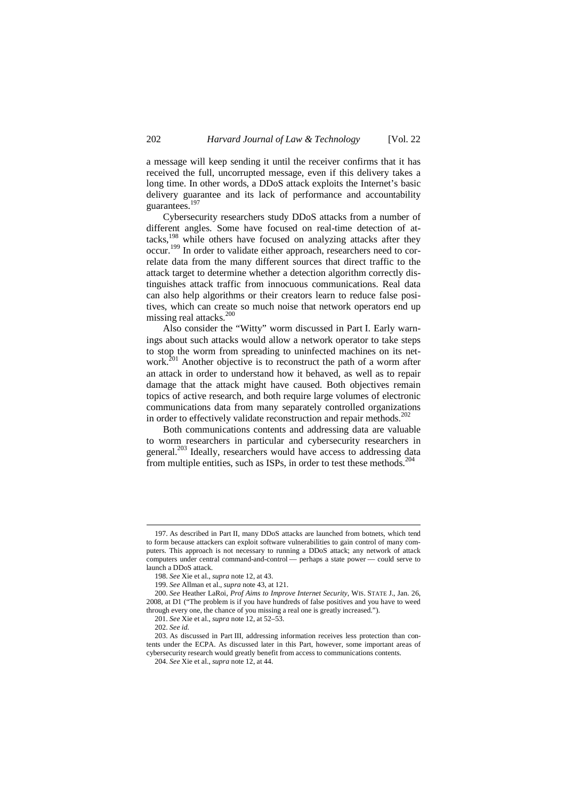a message will keep sending it until the receiver confirms that it has received the full, uncorrupted message, even if this delivery takes a long time. In other words, a DDoS attack exploits the Internet's basic delivery guarantee and its lack of performance and accountability guarantees.<sup>197</sup>

Cybersecurity researchers study DDoS attacks from a number of different angles. Some have focused on real-time detection of attacks,<sup>198</sup> while others have focused on analyzing attacks after they occur.<sup>199</sup> In order to validate either approach, researchers need to correlate data from the many different sources that direct traffic to the attack target to determine whether a detection algorithm correctly distinguishes attack traffic from innocuous communications. Real data can also help algorithms or their creators learn to reduce false positives, which can create so much noise that network operators end up missing real attacks.<sup>200</sup>

Also consider the "Witty" worm discussed in Part I. Early warnings about such attacks would allow a network operator to take steps to stop the worm from spreading to uninfected machines on its network.<sup>201</sup> Another objective is to reconstruct the path of a worm after an attack in order to understand how it behaved, as well as to repair damage that the attack might have caused. Both objectives remain topics of active research, and both require large volumes of electronic communications data from many separately controlled organizations in order to effectively validate reconstruction and repair methods. $^{202}$ 

Both communications contents and addressing data are valuable to worm researchers in particular and cybersecurity researchers in general.<sup>203</sup> Ideally, researchers would have access to addressing data from multiple entities, such as ISPs, in order to test these methods.<sup>204</sup>

<sup>197.</sup> As described in Part II, many DDoS attacks are launched from botnets, which tend to form because attackers can exploit software vulnerabilities to gain control of many computers. This approach is not necessary to running a DDoS attack; any network of attack computers under central command-and-control — perhaps a state power — could serve to launch a DDoS attack.

<sup>198.</sup> *See* Xie et al., *supra* note 12, at 43.

<sup>199.</sup> *See* Allman et al., *supra* note 43, at 121.

<sup>200.</sup> *See* Heather LaRoi, *Prof Aims to Improve Internet Security*, WIS. STATE J., Jan. 26, 2008, at D1 ("The problem is if you have hundreds of false positives and you have to weed through every one, the chance of you missing a real one is greatly increased.").

<sup>201.</sup> *See* Xie et al., *supra* note 12, at 52–53.

<sup>202.</sup> *See id.*

<sup>203.</sup> As discussed in Part III, addressing information receives less protection than contents under the ECPA. As discussed later in this Part, however, some important areas of cybersecurity research would greatly benefit from access to communications contents.

<sup>204.</sup> *See* Xie et al., *supra* note 12, at 44.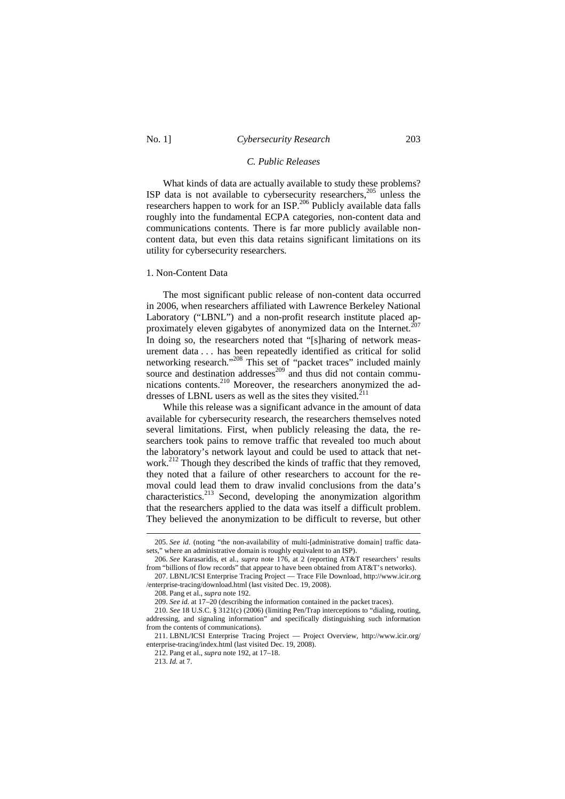### No. 1] *Cybersecurity Research* 203

#### *C. Public Releases*

What kinds of data are actually available to study these problems? ISP data is not available to cybersecurity researchers,<sup>205</sup> unless the researchers happen to work for an ISP.<sup>206</sup> Publicly available data falls roughly into the fundamental ECPA categories, non-content data and communications contents. There is far more publicly available noncontent data, but even this data retains significant limitations on its utility for cybersecurity researchers.

#### 1. Non-Content Data

The most significant public release of non-content data occurred in 2006, when researchers affiliated with Lawrence Berkeley National In 2000, when researches annual material contracts and a non-profit research institute placed ap-<br>Laboratory ("LBNL") and a non-profit research institute placed  $2^{07}$ proximately eleven gigabytes of anonymized data on the Internet.<sup>2</sup> In doing so, the researchers noted that "[s]haring of network measurement data . . . has been repeatedly identified as critical for solid networking research."<sup>208</sup> This set of "packet traces" included mainly source and destination addresses $^{209}$  and thus did not contain communications contents.<sup>210</sup> Moreover, the researchers anonymized the addresses of LBNL users as well as the sites they visited. $^{211}$ 

While this release was a significant advance in the amount of data available for cybersecurity research, the researchers themselves noted several limitations. First, when publicly releasing the data, the researchers took pains to remove traffic that revealed too much about the laboratory's network layout and could be used to attack that network.<sup>212</sup> Though they described the kinds of traffic that they removed, they noted that a failure of other researchers to account for the removal could lead them to draw invalid conclusions from the data's characteristics.<sup>213</sup> Second, developing the anonymization algorithm that the researchers applied to the data was itself a difficult problem. They believed the anonymization to be difficult to reverse, but other

<sup>205.</sup> *See id.* (noting "the non-availability of multi-[administrative domain] traffic datasets," where an administrative domain is roughly equivalent to an ISP).

<sup>206.</sup> *See* Karasaridis, et al., *supra* note 176, at 2 (reporting AT&T researchers' results from "billions of flow records" that appear to have been obtained from AT&T's networks).

<sup>207.</sup> LBNL/ICSI Enterprise Tracing Project — Trace File Download, http://www.icir.org /enterprise-tracing/download.html (last visited Dec. 19, 2008).

<sup>208.</sup> Pang et al., *supra* note 192.

<sup>209.</sup> *See id.* at 17–20 (describing the information contained in the packet traces).

<sup>210.</sup> *See* 18 U.S.C. § 3121(c) (2006) (limiting Pen/Trap interceptions to "dialing, routing, addressing, and signaling information" and specifically distinguishing such information from the contents of communications).

<sup>211.</sup> LBNL/ICSI Enterprise Tracing Project — Project Overview, http://www.icir.org/ enterprise-tracing/index.html (last visited Dec. 19, 2008).

<sup>212.</sup> Pang et al., *supra* note 192, at 17–18.

<sup>213.</sup> *Id.* at 7.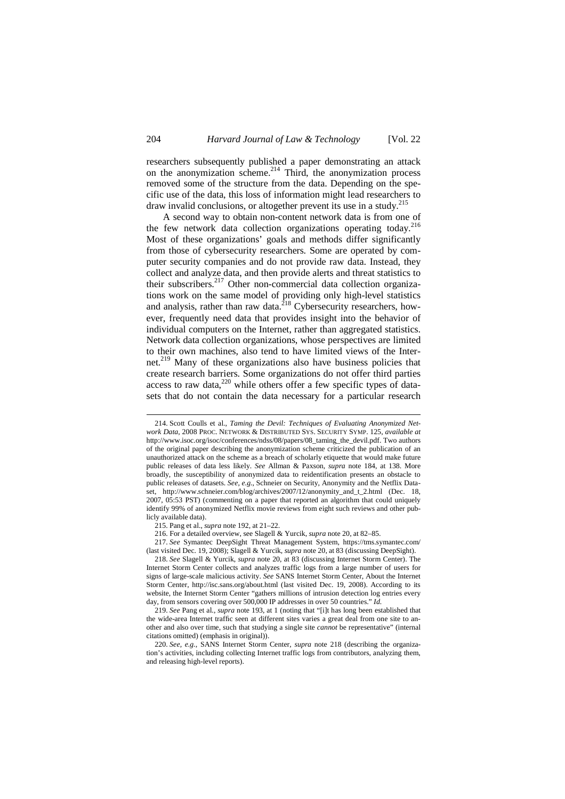researchers subsequently published a paper demonstrating an attack on the anonymization scheme.<sup>214</sup> Third, the anonymization process removed some of the structure from the data. Depending on the specific use of the data, this loss of information might lead researchers to draw invalid conclusions, or altogether prevent its use in a study.<sup>215</sup>

A second way to obtain non-content network data is from one of the few network data collection organizations operating today.<sup>216</sup> Most of these organizations' goals and methods differ significantly from those of cybersecurity researchers. Some are operated by computer security companies and do not provide raw data. Instead, they collect and analyze data, and then provide alerts and threat statistics to their subscribers.<sup>217</sup> Other non-commercial data collection organizations work on the same model of providing only high-level statistics and analysis, rather than raw data.<sup>218</sup> Cybersecurity researchers, however, frequently need data that provides insight into the behavior of individual computers on the Internet, rather than aggregated statistics. Network data collection organizations, whose perspectives are limited to their own machines, also tend to have limited views of the Internet.<sup>219</sup> Many of these organizations also have business policies that create research barriers. Some organizations do not offer third parties access to raw data, $220$  while others offer a few specific types of datasets that do not contain the data necessary for a particular research

<sup>214.</sup> Scott Coulls et al., *Taming the Devil: Techniques of Evaluating Anonymized Network Data*, 2008 PROC. NETWORK & DISTRIBUTED SYS. SECURITY SYMP. 125, *available at* http://www.isoc.org/isoc/conferences/ndss/08/papers/08\_taming\_the\_devil.pdf. Two authors of the original paper describing the anonymization scheme criticized the publication of an unauthorized attack on the scheme as a breach of scholarly etiquette that would make future public releases of data less likely. *See* Allman & Paxson, *supra* note 184, at 138. More broadly, the susceptibility of anonymized data to reidentification presents an obstacle to public releases of datasets. *See, e.g.*, Schneier on Security, Anonymity and the Netflix Dataset, http://www.schneier.com/blog/archives/2007/12/anonymity\_and\_t\_2.html (Dec. 18, 2007, 05:53 PST) (commenting on a paper that reported an algorithm that could uniquely identify 99% of anonymized Netflix movie reviews from eight such reviews and other publicly available data).

<sup>215.</sup> Pang et al., *supra* note 192, at 21–22.

<sup>216.</sup> For a detailed overview, see Slagell & Yurcik, *supra* note 20, at 82–85.

<sup>217.</sup> *See* Symantec DeepSight Threat Management System, https://tms.symantec.com/ (last visited Dec. 19, 2008); Slagell & Yurcik, *supra* note 20, at 83 (discussing DeepSight).

<sup>218.</sup> *See* Slagell & Yurcik, *supra* note 20, at 83 (discussing Internet Storm Center). The Internet Storm Center collects and analyzes traffic logs from a large number of users for signs of large-scale malicious activity. *See* SANS Internet Storm Center, About the Internet Storm Center, http://isc.sans.org/about.html (last visited Dec. 19, 2008). According to its website, the Internet Storm Center "gathers millions of intrusion detection log entries every day, from sensors covering over 500,000 IP addresses in over 50 countries." *Id.*

<sup>219.</sup> *See* Pang et al., *supra* note 193, at 1 (noting that "[i]t has long been established that the wide-area Internet traffic seen at different sites varies a great deal from one site to another and also over time, such that studying a single site *cannot* be representative" (internal citations omitted) (emphasis in original)).

<sup>220.</sup> *See, e.g.*, SANS Internet Storm Center, *supra* note 218 (describing the organization's activities, including collecting Internet traffic logs from contributors, analyzing them, and releasing high-level reports).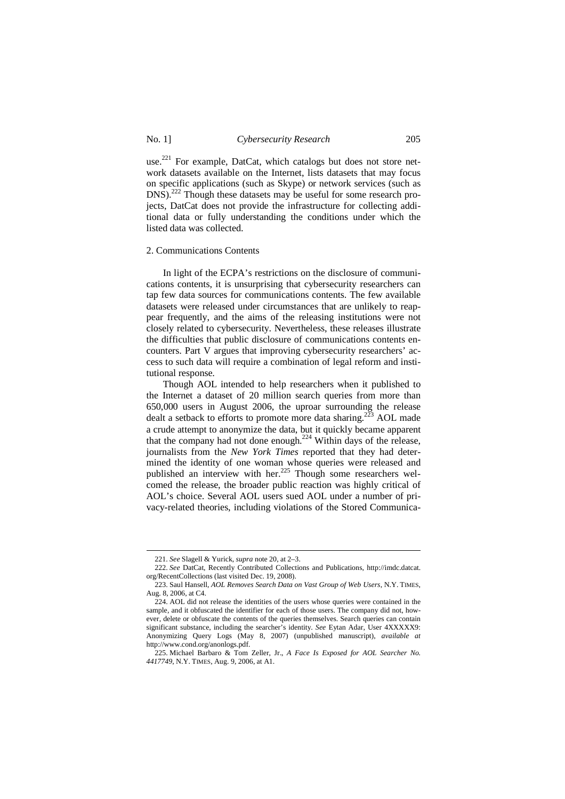## No. 1] *Cybersecurity Research* 205

use.<sup>221</sup> For example, DatCat, which catalogs but does not store network datasets available on the Internet, lists datasets that may focus on specific applications (such as Skype) or network services (such as DNS).<sup>222</sup> Though these datasets may be useful for some research projects, DatCat does not provide the infrastructure for collecting additional data or fully understanding the conditions under which the listed data was collected.

#### 2. Communications Contents

In light of the ECPA's restrictions on the disclosure of communications contents, it is unsurprising that cybersecurity researchers can tap few data sources for communications contents. The few available datasets were released under circumstances that are unlikely to reappear frequently, and the aims of the releasing institutions were not closely related to cybersecurity. Nevertheless, these releases illustrate the difficulties that public disclosure of communications contents encounters. Part V argues that improving cybersecurity researchers' access to such data will require a combination of legal reform and institutional response.

Though AOL intended to help researchers when it published to the Internet a dataset of 20 million search queries from more than 650,000 users in August 2006, the uproar surrounding the release dealt a setback to efforts to promote more data sharing.<sup>223</sup> AOL made a crude attempt to anonymize the data, but it quickly became apparent that the company had not done enough.<sup>224</sup> Within days of the release, journalists from the *New York Times* reported that they had determined the identity of one woman whose queries were released and published an interview with her.<sup>225</sup> Though some researchers welcomed the release, the broader public reaction was highly critical of AOL's choice. Several AOL users sued AOL under a number of privacy-related theories, including violations of the Stored Communica-

<sup>221.</sup> *See* Slagell & Yurick, *supra* note 20, at 2–3.

<sup>222.</sup> *See* DatCat, Recently Contributed Collections and Publications, http://imdc.datcat. org/RecentCollections (last visited Dec. 19, 2008).

<sup>223.</sup> Saul Hansell, *AOL Removes Search Data on Vast Group of Web Users*, N.Y. TIMES, Aug. 8, 2006, at C4.

<sup>224.</sup> AOL did not release the identities of the users whose queries were contained in the sample, and it obfuscated the identifier for each of those users. The company did not, however, delete or obfuscate the contents of the queries themselves. Search queries can contain significant substance, including the searcher's identity. *See* Eytan Adar, User 4XXXXX9: Anonymizing Query Logs (May 8, 2007) (unpublished manuscript), *available at*  http://www.cond.org/anonlogs.pdf.

<sup>225.</sup> Michael Barbaro & Tom Zeller, Jr., *A Face Is Exposed for AOL Searcher No. 4417749*, N.Y. TIMES, Aug. 9, 2006, at A1.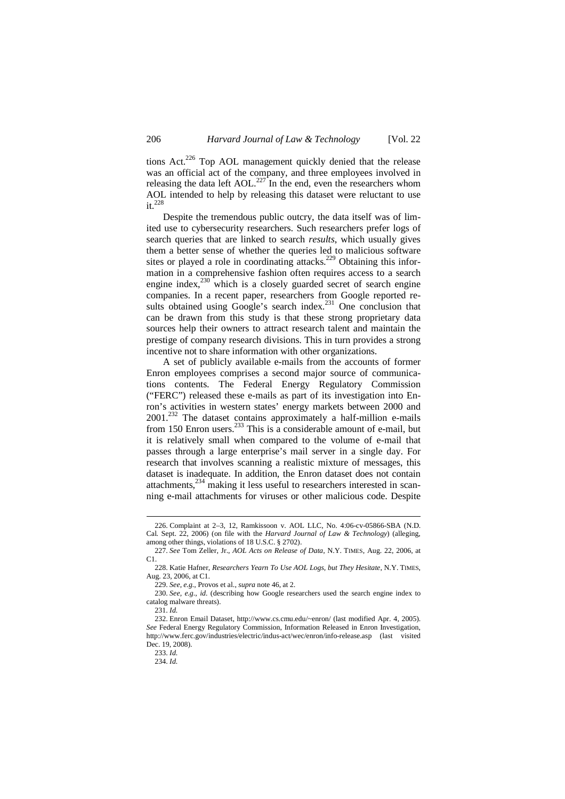tions  $Act^{226}$  Top AOL management quickly denied that the release was an official act of the company, and three employees involved in releasing the data left AOL.<sup>227</sup> In the end, even the researchers whom AOL intended to help by releasing this dataset were reluctant to use  $it.<sup>228</sup>$ 

Despite the tremendous public outcry, the data itself was of limited use to cybersecurity researchers. Such researchers prefer logs of search queries that are linked to search *results*, which usually gives them a better sense of whether the queries led to malicious software sites or played a role in coordinating attacks.<sup>229</sup> Obtaining this information in a comprehensive fashion often requires access to a search engine index, $^{230}$  which is a closely guarded secret of search engine companies. In a recent paper, researchers from Google reported results obtained using Google's search index.<sup>231</sup> One conclusion that can be drawn from this study is that these strong proprietary data sources help their owners to attract research talent and maintain the prestige of company research divisions. This in turn provides a strong incentive not to share information with other organizations.

A set of publicly available e-mails from the accounts of former Enron employees comprises a second major source of communications contents. The Federal Energy Regulatory Commission ("FERC") released these e-mails as part of its investigation into Enron's activities in western states' energy markets between 2000 and 2001.<sup>232</sup> The dataset contains approximately a half-million e-mails from 150 Enron users.<sup>233</sup> This is a considerable amount of e-mail, but it is relatively small when compared to the volume of e-mail that passes through a large enterprise's mail server in a single day. For research that involves scanning a realistic mixture of messages, this dataset is inadequate. In addition, the Enron dataset does not contain attachments,<sup>234</sup> making it less useful to researchers interested in scanning e-mail attachments for viruses or other malicious code. Despite

<sup>226.</sup> Complaint at 2–3, 12, Ramkissoon v. AOL LLC, No. 4:06-cv-05866-SBA (N.D. Cal. Sept. 22, 2006) (on file with the *Harvard Journal of Law & Technology*) (alleging, among other things, violations of 18 U.S.C. § 2702).

<sup>227.</sup> *See* Tom Zeller, Jr., *AOL Acts on Release of Data*, N.Y. TIMES, Aug. 22, 2006, at C1.

<sup>228.</sup> Katie Hafner, *Researchers Yearn To Use AOL Logs, but They Hesitate*, N.Y. TIMES, Aug. 23, 2006, at C1.

<sup>229.</sup> *See, e.g.*, Provos et al., *supra* note 46, at 2.

<sup>230.</sup> *See, e.g.*, *id.* (describing how Google researchers used the search engine index to catalog malware threats).

<sup>231.</sup> *Id.*

<sup>232.</sup> Enron Email Dataset, http://www.cs.cmu.edu/~enron/ (last modified Apr. 4, 2005). *See* Federal Energy Regulatory Commission, Information Released in Enron Investigation, http://www.ferc.gov/industries/electric/indus-act/wec/enron/info-release.asp (last visited Dec. 19, 2008).

<sup>233.</sup> *Id.*

<sup>234.</sup> *Id.*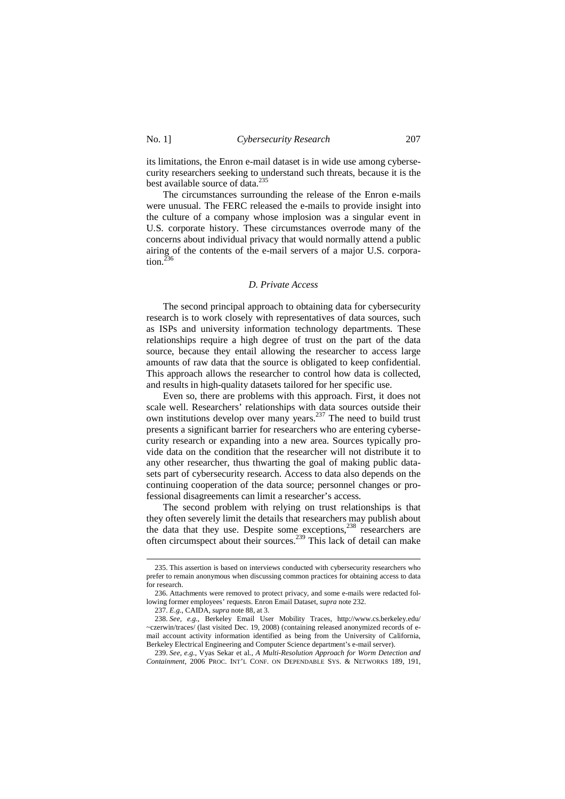its limitations, the Enron e-mail dataset is in wide use among cybersecurity researchers seeking to understand such threats, because it is the best available source of data.<sup>235</sup>

The circumstances surrounding the release of the Enron e-mails were unusual. The FERC released the e-mails to provide insight into the culture of a company whose implosion was a singular event in U.S. corporate history. These circumstances overrode many of the concerns about individual privacy that would normally attend a public airing of the contents of the e-mail servers of a major U.S. corporation. $^{236}$ 

#### *D. Private Access*

The second principal approach to obtaining data for cybersecurity research is to work closely with representatives of data sources, such as ISPs and university information technology departments. These relationships require a high degree of trust on the part of the data source, because they entail allowing the researcher to access large amounts of raw data that the source is obligated to keep confidential. This approach allows the researcher to control how data is collected, and results in high-quality datasets tailored for her specific use.

Even so, there are problems with this approach. First, it does not scale well. Researchers' relationships with data sources outside their own institutions develop over many years.<sup>237</sup> The need to build trust presents a significant barrier for researchers who are entering cybersecurity research or expanding into a new area. Sources typically provide data on the condition that the researcher will not distribute it to any other researcher, thus thwarting the goal of making public datasets part of cybersecurity research. Access to data also depends on the continuing cooperation of the data source; personnel changes or professional disagreements can limit a researcher's access.

The second problem with relying on trust relationships is that they often severely limit the details that researchers may publish about the data that they use. Despite some exceptions,<sup>238</sup> researchers are often circumspect about their sources.<sup>239</sup> This lack of detail can make

<sup>235.</sup> This assertion is based on interviews conducted with cybersecurity researchers who prefer to remain anonymous when discussing common practices for obtaining access to data for research.

<sup>236.</sup> Attachments were removed to protect privacy, and some e-mails were redacted following former employees' requests. Enron Email Dataset, *supra* note 232.

<sup>237.</sup> *E.g.*, CAIDA, *supra* note 88, at 3.

<sup>238.</sup> *See, e.g.*, Berkeley Email User Mobility Traces, http://www.cs.berkeley.edu/ ~czerwin/traces/ (last visited Dec. 19, 2008) (containing released anonymized records of email account activity information identified as being from the University of California, Berkeley Electrical Engineering and Computer Science department's e-mail server).

<sup>239.</sup> *See, e.g.*, Vyas Sekar et al., *A Multi-Resolution Approach for Worm Detection and Containment*, 2006 PROC. INT'L CONF. ON DEPENDABLE SYS. & NETWORKS 189, 191,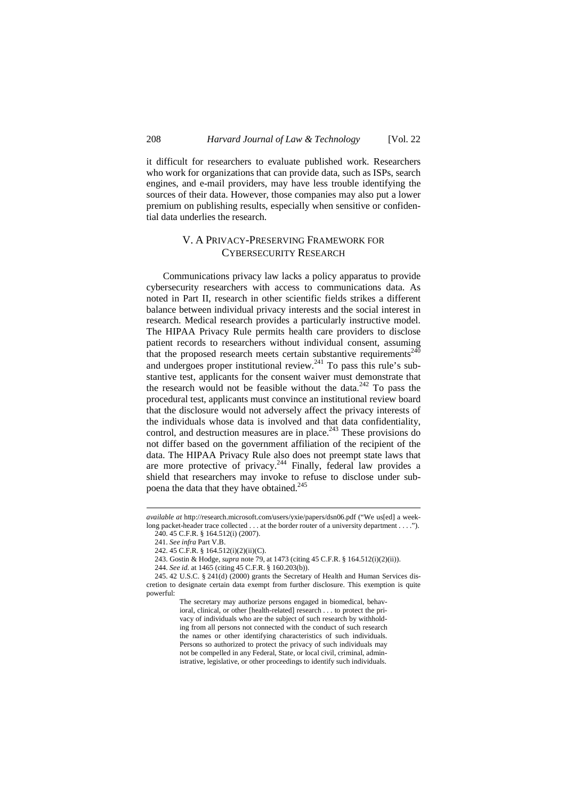it difficult for researchers to evaluate published work. Researchers who work for organizations that can provide data, such as ISPs, search engines, and e-mail providers, may have less trouble identifying the sources of their data. However, those companies may also put a lower premium on publishing results, especially when sensitive or confidential data underlies the research.

# V. A PRIVACY-PRESERVING FRAMEWORK FOR CYBERSECURITY RESEARCH

Communications privacy law lacks a policy apparatus to provide cybersecurity researchers with access to communications data. As noted in Part II, research in other scientific fields strikes a different balance between individual privacy interests and the social interest in research. Medical research provides a particularly instructive model. The HIPAA Privacy Rule permits health care providers to disclose patient records to researchers without individual consent, assuming that the proposed research meets certain substantive requirements<sup>240</sup> and undergoes proper institutional review.<sup>241</sup> To pass this rule's substantive test, applicants for the consent waiver must demonstrate that the research would not be feasible without the data. $242$  To pass the procedural test, applicants must convince an institutional review board that the disclosure would not adversely affect the privacy interests of the individuals whose data is involved and that data confidentiality, control, and destruction measures are in place.<sup>243</sup> These provisions do not differ based on the government affiliation of the recipient of the data. The HIPAA Privacy Rule also does not preempt state laws that are more protective of privacy.<sup>244</sup> Finally, federal law provides a shield that researchers may invoke to refuse to disclose under subpoena the data that they have obtained.<sup>245</sup>

*available at* http://research.microsoft.com/users/yxie/papers/dsn06.pdf ("We us[ed] a weeklong packet-header trace collected . . . at the border router of a university department . . . ."). 240. 45 C.F.R. § 164.512(i) (2007).

<sup>241.</sup> *See infra* Part V.B.

<sup>242. 45</sup> C.F.R. § 164.512(i)(2)(ii)(C).

<sup>243.</sup> Gostin & Hodge, *supra* note 79, at 1473 (citing 45 C.F.R. § 164.512(i)(2)(ii)).

<sup>244.</sup> *See id.* at 1465 (citing 45 C.F.R. § 160.203(b)).

<sup>245. 42</sup> U.S.C. § 241(d) (2000) grants the Secretary of Health and Human Services discretion to designate certain data exempt from further disclosure. This exemption is quite powerful:

The secretary may authorize persons engaged in biomedical, behavioral, clinical, or other [health-related] research . . . to protect the privacy of individuals who are the subject of such research by withholding from all persons not connected with the conduct of such research the names or other identifying characteristics of such individuals. Persons so authorized to protect the privacy of such individuals may not be compelled in any Federal, State, or local civil, criminal, administrative, legislative, or other proceedings to identify such individuals.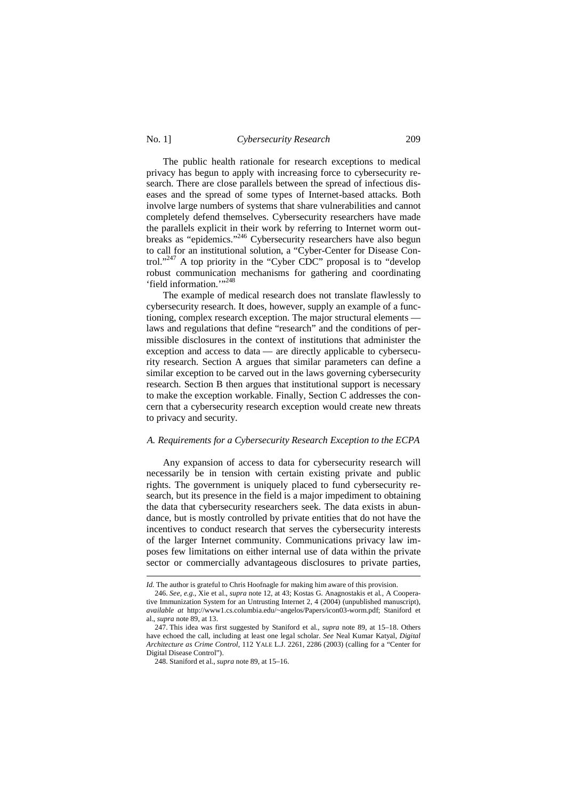### No. 1] *Cybersecurity Research* 209

The public health rationale for research exceptions to medical privacy has begun to apply with increasing force to cybersecurity research. There are close parallels between the spread of infectious diseases and the spread of some types of Internet-based attacks. Both involve large numbers of systems that share vulnerabilities and cannot completely defend themselves. Cybersecurity researchers have made the parallels explicit in their work by referring to Internet worm outbreaks as "epidemics."<sup>246</sup> Cybersecurity researchers have also begun to call for an institutional solution, a "Cyber-Center for Disease Control."<sup>247</sup> A top priority in the "Cyber CDC" proposal is to "develop robust communication mechanisms for gathering and coordinating 'field information."<sup>248</sup>

The example of medical research does not translate flawlessly to cybersecurity research. It does, however, supply an example of a functioning, complex research exception. The major structural elements laws and regulations that define "research" and the conditions of permissible disclosures in the context of institutions that administer the exception and access to data — are directly applicable to cybersecurity research. Section A argues that similar parameters can define a similar exception to be carved out in the laws governing cybersecurity research. Section B then argues that institutional support is necessary to make the exception workable. Finally, Section C addresses the concern that a cybersecurity research exception would create new threats to privacy and security.

## *A. Requirements for a Cybersecurity Research Exception to the ECPA*

Any expansion of access to data for cybersecurity research will necessarily be in tension with certain existing private and public rights. The government is uniquely placed to fund cybersecurity research, but its presence in the field is a major impediment to obtaining the data that cybersecurity researchers seek. The data exists in abundance, but is mostly controlled by private entities that do not have the incentives to conduct research that serves the cybersecurity interests of the larger Internet community. Communications privacy law imposes few limitations on either internal use of data within the private sector or commercially advantageous disclosures to private parties,

*Id.* The author is grateful to Chris Hoofnagle for making him aware of this provision.

<sup>246.</sup> *See, e.g.*, Xie et al., *supra* note 12, at 43; Kostas G. Anagnostakis et al*.,* A Cooperative Immunization System for an Untrusting Internet 2, 4 (2004) (unpublished manuscript), *available at* http://www1.cs.columbia.edu/~angelos/Papers/icon03-worm.pdf; Staniford et al., *supra* note 89, at 13.

<sup>247.</sup> This idea was first suggested by Staniford et al., *supra* note 89, at 15–18. Others have echoed the call, including at least one legal scholar. *See* Neal Kumar Katyal, *Digital Architecture as Crime Control*, 112 YALE L.J. 2261, 2286 (2003) (calling for a "Center for Digital Disease Control").

<sup>248.</sup> Staniford et al., *supra* note 89, at 15–16.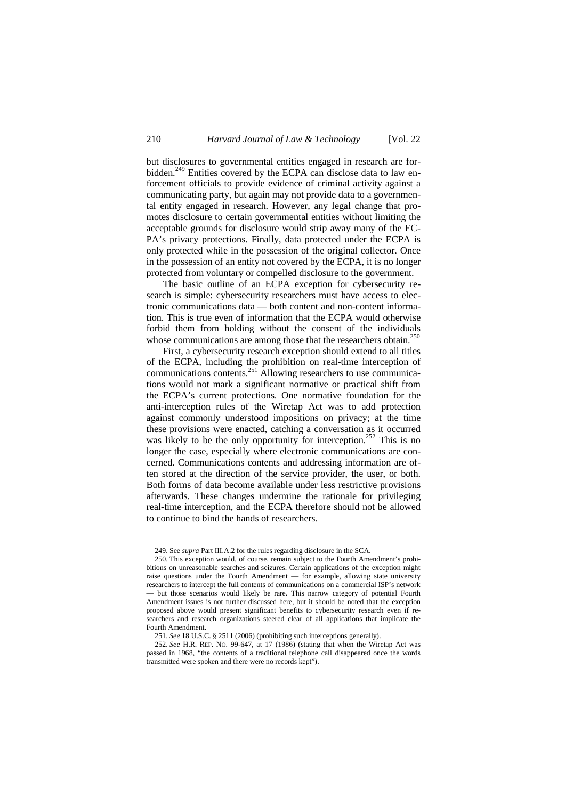but disclosures to governmental entities engaged in research are forbidden.<sup>249</sup> Entities covered by the ECPA can disclose data to law enforcement officials to provide evidence of criminal activity against a communicating party, but again may not provide data to a governmental entity engaged in research. However, any legal change that promotes disclosure to certain governmental entities without limiting the acceptable grounds for disclosure would strip away many of the EC-PA's privacy protections. Finally, data protected under the ECPA is only protected while in the possession of the original collector. Once in the possession of an entity not covered by the ECPA, it is no longer protected from voluntary or compelled disclosure to the government.

The basic outline of an ECPA exception for cybersecurity research is simple: cybersecurity researchers must have access to electronic communications data — both content and non-content information. This is true even of information that the ECPA would otherwise forbid them from holding without the consent of the individuals whose communications are among those that the researchers obtain.<sup>250</sup>

First, a cybersecurity research exception should extend to all titles of the ECPA, including the prohibition on real-time interception of communications contents.<sup>251</sup> Allowing researchers to use communications would not mark a significant normative or practical shift from the ECPA's current protections. One normative foundation for the anti-interception rules of the Wiretap Act was to add protection against commonly understood impositions on privacy; at the time these provisions were enacted, catching a conversation as it occurred was likely to be the only opportunity for interception.<sup>252</sup> This is no longer the case, especially where electronic communications are concerned. Communications contents and addressing information are often stored at the direction of the service provider, the user, or both. Both forms of data become available under less restrictive provisions afterwards. These changes undermine the rationale for privileging real-time interception, and the ECPA therefore should not be allowed to continue to bind the hands of researchers.

<sup>249.</sup> See *supra* Part III.A.2 for the rules regarding disclosure in the SCA.

<sup>250.</sup> This exception would, of course, remain subject to the Fourth Amendment's prohibitions on unreasonable searches and seizures. Certain applications of the exception might raise questions under the Fourth Amendment — for example, allowing state university researchers to intercept the full contents of communications on a commercial ISP's network — but those scenarios would likely be rare. This narrow category of potential Fourth Amendment issues is not further discussed here, but it should be noted that the exception proposed above would present significant benefits to cybersecurity research even if researchers and research organizations steered clear of all applications that implicate the Fourth Amendment.

<sup>251.</sup> *See* 18 U.S.C. § 2511 (2006) (prohibiting such interceptions generally).

<sup>252.</sup> *See* H.R. REP. NO. 99-647, at 17 (1986) (stating that when the Wiretap Act was passed in 1968, "the contents of a traditional telephone call disappeared once the words transmitted were spoken and there were no records kept").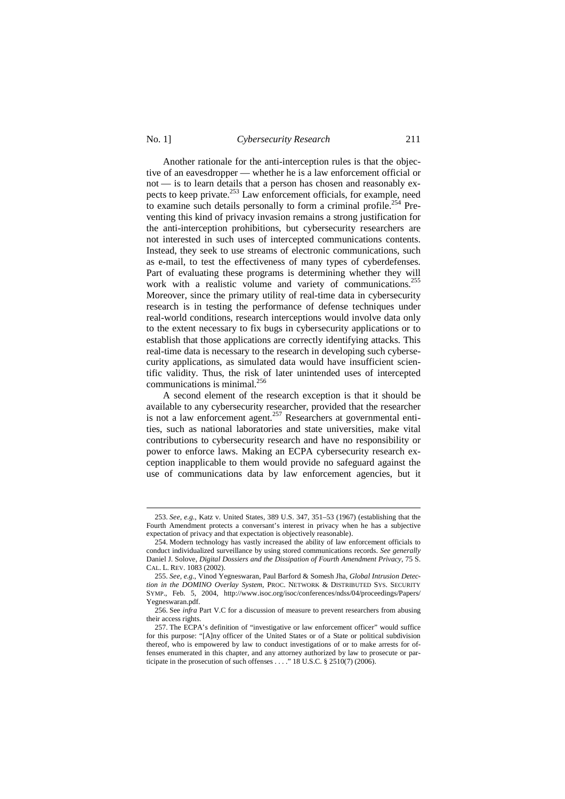No. 1] *Cybersecurity Research* 211

Another rationale for the anti-interception rules is that the objective of an eavesdropper — whether he is a law enforcement official or not — is to learn details that a person has chosen and reasonably expects to keep private.<sup>253</sup> Law enforcement officials, for example, need to examine such details personally to form a criminal profile.<sup>254</sup> Preventing this kind of privacy invasion remains a strong justification for the anti-interception prohibitions, but cybersecurity researchers are not interested in such uses of intercepted communications contents. Instead, they seek to use streams of electronic communications, such as e-mail, to test the effectiveness of many types of cyberdefenses. Part of evaluating these programs is determining whether they will work with a realistic volume and variety of communications.<sup>255</sup> Moreover, since the primary utility of real-time data in cybersecurity research is in testing the performance of defense techniques under real-world conditions, research interceptions would involve data only to the extent necessary to fix bugs in cybersecurity applications or to establish that those applications are correctly identifying attacks. This real-time data is necessary to the research in developing such cybersecurity applications, as simulated data would have insufficient scientific validity. Thus, the risk of later unintended uses of intercepted communications is minimal.<sup>256</sup>

A second element of the research exception is that it should be available to any cybersecurity researcher, provided that the researcher is not a law enforcement agent.<sup>257</sup> Researchers at governmental entities, such as national laboratories and state universities, make vital contributions to cybersecurity research and have no responsibility or power to enforce laws. Making an ECPA cybersecurity research exception inapplicable to them would provide no safeguard against the use of communications data by law enforcement agencies, but it

<sup>253.</sup> *See, e.g.*, Katz v. United States, 389 U.S. 347, 351–53 (1967) (establishing that the Fourth Amendment protects a conversant's interest in privacy when he has a subjective expectation of privacy and that expectation is objectively reasonable).

<sup>254.</sup> Modern technology has vastly increased the ability of law enforcement officials to conduct individualized surveillance by using stored communications records. *See generally* Daniel J. Solove, *Digital Dossiers and the Dissipation of Fourth Amendment Privacy*, 75 S. CAL. L. REV. 1083 (2002).

<sup>255.</sup> *See, e.g.*, Vinod Yegneswaran, Paul Barford & Somesh Jha, *Global Intrusion Detection in the DOMINO Overlay System*, PROC. NETWORK & DISTRIBUTED SYS. SECURITY SYMP., Feb. 5, 2004, http://www.isoc.org/isoc/conferences/ndss/04/proceedings/Papers/ Yegneswaran.pdf.

<sup>256.</sup> See *infra* Part V.C for a discussion of measure to prevent researchers from abusing their access rights.

<sup>257.</sup> The ECPA's definition of "investigative or law enforcement officer" would suffice for this purpose: "[A]ny officer of the United States or of a State or political subdivision thereof, who is empowered by law to conduct investigations of or to make arrests for offenses enumerated in this chapter, and any attorney authorized by law to prosecute or participate in the prosecution of such offenses . . . ." 18 U.S.C. § 2510(7) (2006).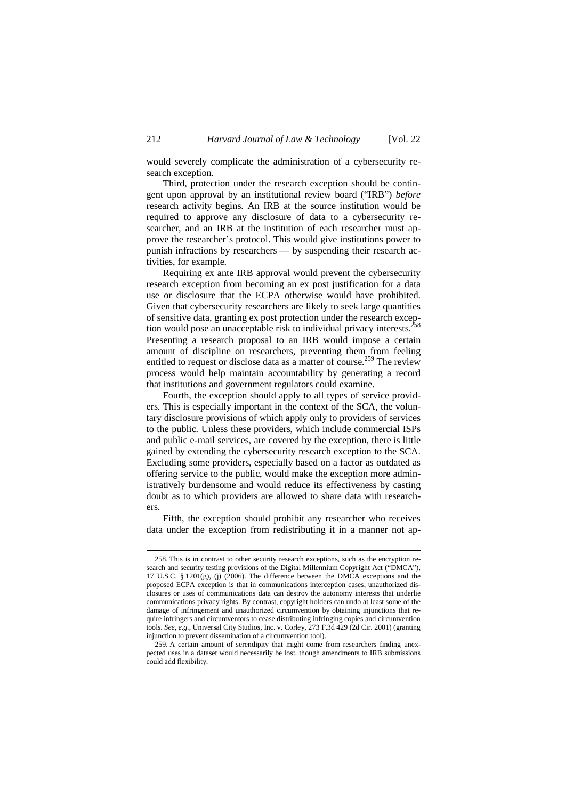would severely complicate the administration of a cybersecurity research exception.

Third, protection under the research exception should be contingent upon approval by an institutional review board ("IRB") *before* research activity begins. An IRB at the source institution would be required to approve any disclosure of data to a cybersecurity researcher, and an IRB at the institution of each researcher must approve the researcher's protocol. This would give institutions power to punish infractions by researchers — by suspending their research activities, for example.

Requiring ex ante IRB approval would prevent the cybersecurity research exception from becoming an ex post justification for a data use or disclosure that the ECPA otherwise would have prohibited. Given that cybersecurity researchers are likely to seek large quantities of sensitive data, granting ex post protection under the research exception would pose an unacceptable risk to individual privacy interests.<sup>2</sup> Presenting a research proposal to an IRB would impose a certain amount of discipline on researchers, preventing them from feeling entitled to request or disclose data as a matter of course.<sup>259</sup> The review process would help maintain accountability by generating a record that institutions and government regulators could examine.

Fourth, the exception should apply to all types of service providers. This is especially important in the context of the SCA, the voluntary disclosure provisions of which apply only to providers of services to the public. Unless these providers, which include commercial ISPs and public e-mail services, are covered by the exception, there is little gained by extending the cybersecurity research exception to the SCA. Excluding some providers, especially based on a factor as outdated as offering service to the public, would make the exception more administratively burdensome and would reduce its effectiveness by casting doubt as to which providers are allowed to share data with researchers.

Fifth, the exception should prohibit any researcher who receives data under the exception from redistributing it in a manner not ap-

<sup>258.</sup> This is in contrast to other security research exceptions, such as the encryption research and security testing provisions of the Digital Millennium Copyright Act ("DMCA"), 17 U.S.C. § 1201(g), (j) (2006). The difference between the DMCA exceptions and the proposed ECPA exception is that in communications interception cases, unauthorized disclosures or uses of communications data can destroy the autonomy interests that underlie communications privacy rights. By contrast, copyright holders can undo at least some of the damage of infringement and unauthorized circumvention by obtaining injunctions that require infringers and circumventors to cease distributing infringing copies and circumvention tools. *See, e.g.*, Universal City Studios, Inc. v. Corley, 273 F.3d 429 (2d Cir. 2001) (granting injunction to prevent dissemination of a circumvention tool).

<sup>259.</sup> A certain amount of serendipity that might come from researchers finding unexpected uses in a dataset would necessarily be lost, though amendments to IRB submissions could add flexibility.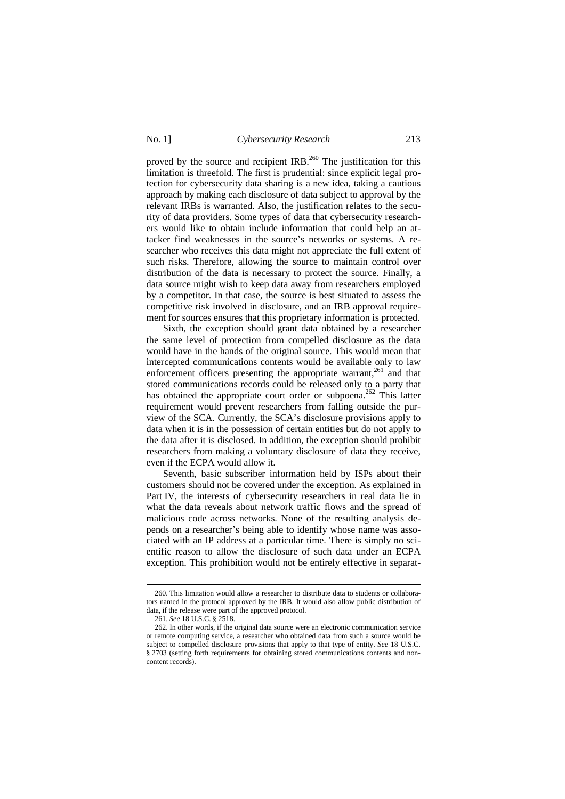## No. 1] *Cybersecurity Research* 213

proved by the source and recipient IRB.<sup>260</sup> The justification for this limitation is threefold. The first is prudential: since explicit legal protection for cybersecurity data sharing is a new idea, taking a cautious approach by making each disclosure of data subject to approval by the relevant IRBs is warranted. Also, the justification relates to the security of data providers. Some types of data that cybersecurity researchers would like to obtain include information that could help an attacker find weaknesses in the source's networks or systems. A researcher who receives this data might not appreciate the full extent of such risks. Therefore, allowing the source to maintain control over distribution of the data is necessary to protect the source. Finally, a data source might wish to keep data away from researchers employed by a competitor. In that case, the source is best situated to assess the competitive risk involved in disclosure, and an IRB approval requirement for sources ensures that this proprietary information is protected.

Sixth, the exception should grant data obtained by a researcher the same level of protection from compelled disclosure as the data would have in the hands of the original source. This would mean that intercepted communications contents would be available only to law enforcement officers presenting the appropriate warrant,<sup>261</sup> and that stored communications records could be released only to a party that has obtained the appropriate court order or subpoena.<sup>262</sup> This latter requirement would prevent researchers from falling outside the purview of the SCA. Currently, the SCA's disclosure provisions apply to data when it is in the possession of certain entities but do not apply to the data after it is disclosed. In addition, the exception should prohibit researchers from making a voluntary disclosure of data they receive, even if the ECPA would allow it.

Seventh, basic subscriber information held by ISPs about their customers should not be covered under the exception. As explained in Part IV, the interests of cybersecurity researchers in real data lie in what the data reveals about network traffic flows and the spread of malicious code across networks. None of the resulting analysis depends on a researcher's being able to identify whose name was associated with an IP address at a particular time. There is simply no scientific reason to allow the disclosure of such data under an ECPA exception. This prohibition would not be entirely effective in separat-

<sup>260.</sup> This limitation would allow a researcher to distribute data to students or collaborators named in the protocol approved by the IRB. It would also allow public distribution of data, if the release were part of the approved protocol.

<sup>261.</sup> *See* 18 U.S.C. § 2518.

<sup>262.</sup> In other words, if the original data source were an electronic communication service or remote computing service, a researcher who obtained data from such a source would be subject to compelled disclosure provisions that apply to that type of entity. *See* 18 U.S.C. § 2703 (setting forth requirements for obtaining stored communications contents and noncontent records).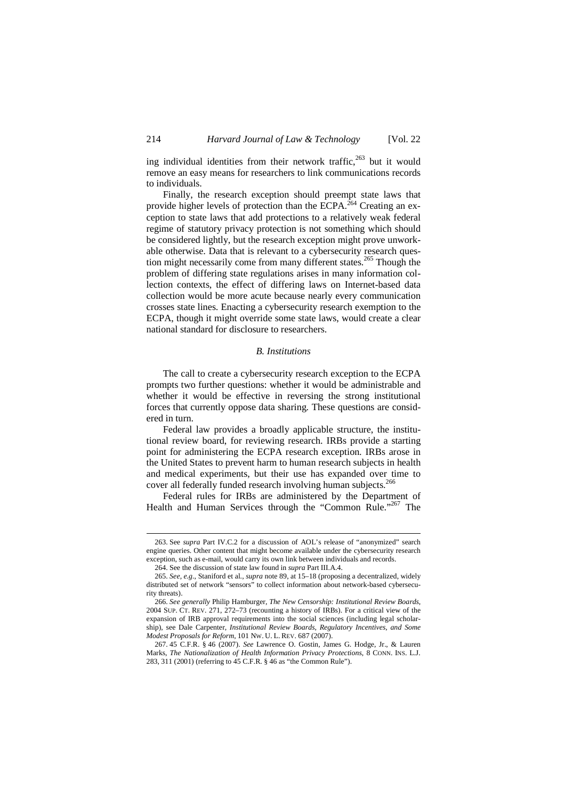ing individual identities from their network traffic, <sup>263</sup> but it would remove an easy means for researchers to link communications records to individuals.

Finally, the research exception should preempt state laws that provide higher levels of protection than the ECPA.<sup> $264$ </sup> Creating an exception to state laws that add protections to a relatively weak federal regime of statutory privacy protection is not something which should be considered lightly, but the research exception might prove unworkable otherwise. Data that is relevant to a cybersecurity research question might necessarily come from many different states.<sup>265</sup> Though the problem of differing state regulations arises in many information collection contexts, the effect of differing laws on Internet-based data collection would be more acute because nearly every communication crosses state lines. Enacting a cybersecurity research exemption to the ECPA, though it might override some state laws, would create a clear national standard for disclosure to researchers.

#### *B. Institutions*

The call to create a cybersecurity research exception to the ECPA prompts two further questions: whether it would be administrable and whether it would be effective in reversing the strong institutional forces that currently oppose data sharing. These questions are considered in turn.

Federal law provides a broadly applicable structure, the institutional review board, for reviewing research. IRBs provide a starting point for administering the ECPA research exception. IRBs arose in the United States to prevent harm to human research subjects in health and medical experiments, but their use has expanded over time to cover all federally funded research involving human subjects.<sup>266</sup>

Federal rules for IRBs are administered by the Department of Health and Human Services through the "Common Rule."<sup>267</sup> The

<sup>263.</sup> See *supra* Part IV.C.2 for a discussion of AOL's release of "anonymized" search engine queries. Other content that might become available under the cybersecurity research exception, such as e-mail, would carry its own link between individuals and records.

<sup>264.</sup> See the discussion of state law found in *supra* Part III.A.4.

<sup>265.</sup> *See, e.g.*, Staniford et al., *supra* note 89, at 15–18 (proposing a decentralized, widely distributed set of network "sensors" to collect information about network-based cybersecurity threats).

<sup>266.</sup> *See generally* Philip Hamburger, *The New Censorship: Institutional Review Boards*, 2004 SUP. CT. REV. 271, 272–73 (recounting a history of IRBs). For a critical view of the expansion of IRB approval requirements into the social sciences (including legal scholarship), see Dale Carpenter, *Institutional Review Boards, Regulatory Incentives, and Some Modest Proposals for Reform*, 101 NW. U. L. REV. 687 (2007).

<sup>267. 45</sup> C.F.R. § 46 (2007). *See* Lawrence O. Gostin, James G. Hodge, Jr., & Lauren Marks, *The Nationalization of Health Information Privacy Protections*, 8 CONN. INS. L.J. 283, 311 (2001) (referring to 45 C.F.R. § 46 as "the Common Rule").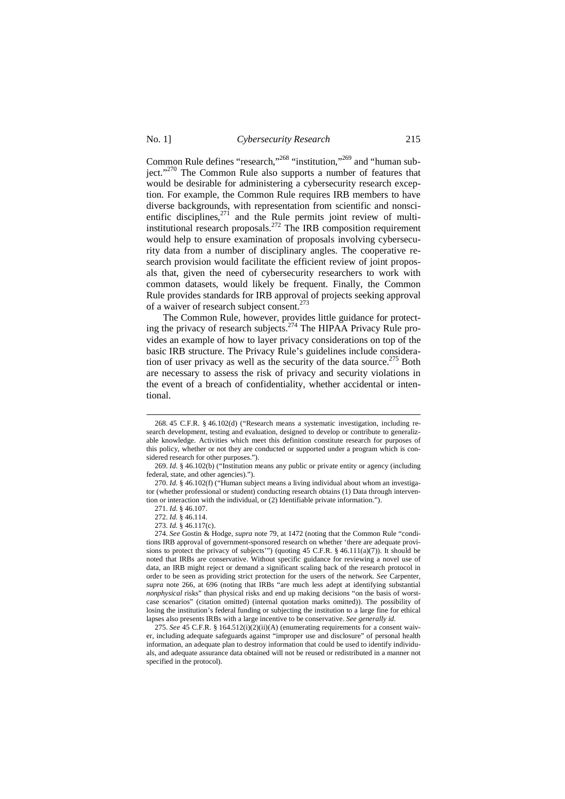### No. 1] *Cybersecurity Research* 215

Common Rule defines "research,"<sup>268</sup> "institution,"<sup>269</sup> and "human subject."<sup>270</sup> The Common Rule also supports a number of features that would be desirable for administering a cybersecurity research exception. For example, the Common Rule requires IRB members to have diverse backgrounds, with representation from scientific and nonscientific disciplines, $271$  and the Rule permits joint review of multiinstitutional research proposals.<sup>272</sup> The IRB composition requirement would help to ensure examination of proposals involving cybersecurity data from a number of disciplinary angles. The cooperative research provision would facilitate the efficient review of joint proposals that, given the need of cybersecurity researchers to work with common datasets, would likely be frequent. Finally, the Common Rule provides standards for IRB approval of projects seeking approval of a waiver of research subject consent.<sup>273</sup>

The Common Rule, however, provides little guidance for protecting the privacy of research subjects.<sup>274</sup> The HIPAA Privacy Rule provides an example of how to layer privacy considerations on top of the basic IRB structure. The Privacy Rule's guidelines include consideration of user privacy as well as the security of the data source.<sup>275</sup> Both are necessary to assess the risk of privacy and security violations in the event of a breach of confidentiality, whether accidental or intentional.

<sup>268. 45</sup> C.F.R. § 46.102(d) ("Research means a systematic investigation, including research development, testing and evaluation, designed to develop or contribute to generalizable knowledge. Activities which meet this definition constitute research for purposes of this policy, whether or not they are conducted or supported under a program which is considered research for other purposes.").

<sup>269.</sup> *Id.* § 46.102(b) ("Institution means any public or private entity or agency (including federal, state, and other agencies).").

<sup>270.</sup> *Id.* § 46.102(f) ("Human subject means a living individual about whom an investigator (whether professional or student) conducting research obtains (1) Data through intervention or interaction with the individual, or (2) Identifiable private information.").

<sup>271.</sup> *Id.* § 46.107.

<sup>272.</sup> *Id.* § 46.114.

<sup>273.</sup> *Id.* § 46.117(c).

<sup>274.</sup> *See* Gostin & Hodge, *supra* note 79, at 1472 (noting that the Common Rule "conditions IRB approval of government-sponsored research on whether 'there are adequate provisions to protect the privacy of subjects'") (quoting 45 C.F.R.  $\S$  46.111(a)(7)). It should be noted that IRBs are conservative. Without specific guidance for reviewing a novel use of data, an IRB might reject or demand a significant scaling back of the research protocol in order to be seen as providing strict protection for the users of the network. *See* Carpenter, *supra* note 266, at 696 (noting that IRBs "are much less adept at identifying substantial *nonphysical* risks" than physical risks and end up making decisions "on the basis of worstcase scenarios" (citation omitted) (internal quotation marks omitted)). The possibility of losing the institution's federal funding or subjecting the institution to a large fine for ethical lapses also presents IRBs with a large incentive to be conservative. *See generally id*.

<sup>275.</sup> *See* 45 C.F.R. § 164.512(i)(2)(ii)(A) (enumerating requirements for a consent waiver, including adequate safeguards against "improper use and disclosure" of personal health information, an adequate plan to destroy information that could be used to identify individuals, and adequate assurance data obtained will not be reused or redistributed in a manner not specified in the protocol).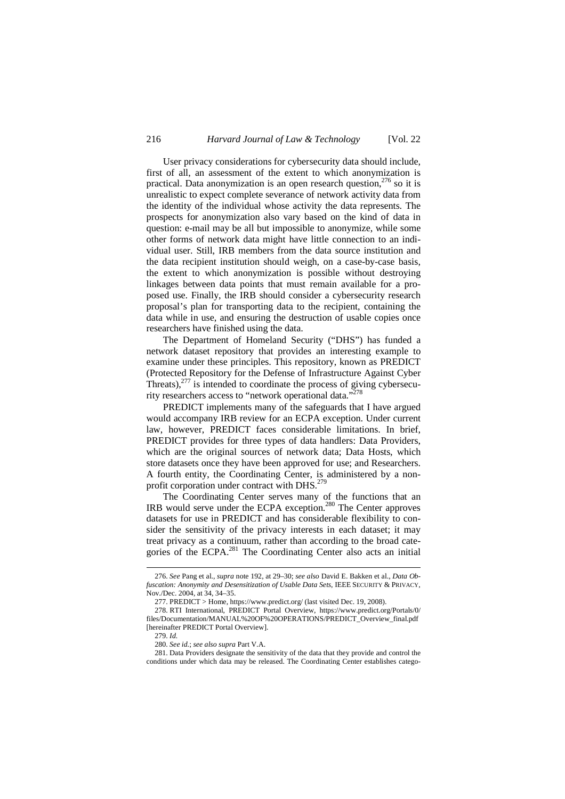User privacy considerations for cybersecurity data should include, first of all, an assessment of the extent to which anonymization is practical. Data anonymization is an open research question, $276$  so it is unrealistic to expect complete severance of network activity data from the identity of the individual whose activity the data represents. The prospects for anonymization also vary based on the kind of data in question: e-mail may be all but impossible to anonymize, while some other forms of network data might have little connection to an individual user. Still, IRB members from the data source institution and the data recipient institution should weigh, on a case-by-case basis, the extent to which anonymization is possible without destroying linkages between data points that must remain available for a proposed use. Finally, the IRB should consider a cybersecurity research proposal's plan for transporting data to the recipient, containing the data while in use, and ensuring the destruction of usable copies once researchers have finished using the data.

The Department of Homeland Security ("DHS") has funded a network dataset repository that provides an interesting example to examine under these principles. This repository, known as PREDICT (Protected Repository for the Defense of Infrastructure Against Cyber Threats), $277$  is intended to coordinate the process of giving cybersecurity researchers access to "network operational data."<sup>278</sup>

PREDICT implements many of the safeguards that I have argued would accompany IRB review for an ECPA exception. Under current law, however, PREDICT faces considerable limitations. In brief, PREDICT provides for three types of data handlers: Data Providers, which are the original sources of network data; Data Hosts, which store datasets once they have been approved for use; and Researchers. A fourth entity, the Coordinating Center, is administered by a nonprofit corporation under contract with DHS.<sup>279</sup>

The Coordinating Center serves many of the functions that an IRB would serve under the ECPA exception.<sup>280</sup> The Center approves datasets for use in PREDICT and has considerable flexibility to consider the sensitivity of the privacy interests in each dataset; it may treat privacy as a continuum, rather than according to the broad categories of the ECPA.<sup>281</sup> The Coordinating Center also acts an initial

<sup>276.</sup> *See* Pang et al., *supra* note 192, at 29–30; *see also* David E. Bakken et al., *Data Obfuscation: Anonymity and Desensitization of Usable Data Sets*, IEEE SECURITY & PRIVACY, Nov./Dec. 2004, at 34, 34–35.

<sup>277.</sup> PREDICT > Home, https://www.predict.org/ (last visited Dec. 19, 2008).

<sup>278.</sup> RTI International, PREDICT Portal Overview, https://www.predict.org/Portals/0/ files/Documentation/MANUAL%20OF%20OPERATIONS/PREDICT\_Overview\_final.pdf [hereinafter PREDICT Portal Overview].

<sup>279.</sup> *Id.*

<sup>280.</sup> *See id.*; *see also supra* Part V.A.

<sup>281.</sup> Data Providers designate the sensitivity of the data that they provide and control the conditions under which data may be released. The Coordinating Center establishes catego-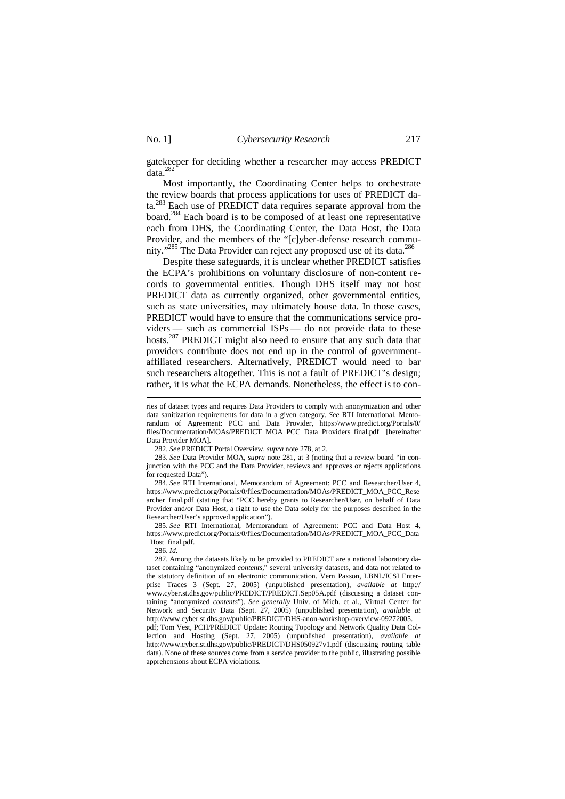gatekeeper for deciding whether a researcher may access PREDICT data.<sup>282</sup>

Most importantly, the Coordinating Center helps to orchestrate the review boards that process applications for uses of PREDICT data.<sup>283</sup> Each use of PREDICT data requires separate approval from the board.<sup>284</sup> Each board is to be composed of at least one representative each from DHS, the Coordinating Center, the Data Host, the Data Provider, and the members of the "[c]yber-defense research community."<sup>285</sup> The Data Provider can reject any proposed use of its data.<sup>286</sup>

Despite these safeguards, it is unclear whether PREDICT satisfies the ECPA's prohibitions on voluntary disclosure of non-content records to governmental entities. Though DHS itself may not host PREDICT data as currently organized, other governmental entities, such as state universities, may ultimately house data. In those cases, PREDICT would have to ensure that the communications service providers — such as commercial ISPs — do not provide data to these hosts.<sup>287</sup> PREDICT might also need to ensure that any such data that providers contribute does not end up in the control of governmentaffiliated researchers. Alternatively, PREDICT would need to bar such researchers altogether. This is not a fault of PREDICT's design; rather, it is what the ECPA demands. Nonetheless, the effect is to con-

284. *See* RTI International, Memorandum of Agreement: PCC and Researcher/User 4, https://www.predict.org/Portals/0/files/Documentation/MOAs/PREDICT\_MOA\_PCC\_Rese archer\_final.pdf (stating that "PCC hereby grants to Researcher/User, on behalf of Data Provider and/or Data Host, a right to use the Data solely for the purposes described in the Researcher/User's approved application").

285. *See* RTI International, Memorandum of Agreement: PCC and Data Host 4, https://www.predict.org/Portals/0/files/Documentation/MOAs/PREDICT\_MOA\_PCC\_Data \_Host\_final.pdf.

286. *Id.*

 $\overline{a}$ 

287. Among the datasets likely to be provided to PREDICT are a national laboratory dataset containing "anonymized *contents*," several university datasets, and data not related to the statutory definition of an electronic communication. Vern Paxson, LBNL/ICSI Enterprise Traces 3 (Sept. 27, 2005) (unpublished presentation), *available at* http:// www.cyber.st.dhs.gov/public/PREDICT/PREDICT.Sep05A.pdf (discussing a dataset containing "anonymized *contents*"). *See generally* Univ. of Mich. et al., Virtual Center for Network and Security Data (Sept. 27, 2005) (unpublished presentation), *available at* http://www.cyber.st.dhs.gov/public/PREDICT/DHS-anon-workshop-overview-09272005.

pdf; Tom Vest, PCH/PREDICT Update: Routing Topology and Network Quality Data Collection and Hosting (Sept. 27, 2005) (unpublished presentation), *available at* http://www.cyber.st.dhs.gov/public/PREDICT/DHS050927v1.pdf (discussing routing table data). None of these sources come from a service provider to the public, illustrating possible apprehensions about ECPA violations.

ries of dataset types and requires Data Providers to comply with anonymization and other data sanitization requirements for data in a given category. *See* RTI International, Memorandum of Agreement: PCC and Data Provider, https://www.predict.org/Portals/0/ files/Documentation/MOAs/PREDICT\_MOA\_PCC\_Data\_Providers\_final.pdf [hereinafter Data Provider MOA].

<sup>282.</sup> *See* PREDICT Portal Overview, *supra* note 278, at 2.

<sup>283.</sup> *See* Data Provider MOA, *supra* note 281, at 3 (noting that a review board "in conjunction with the PCC and the Data Provider, reviews and approves or rejects applications <sub>.</sub><br>for requested Data").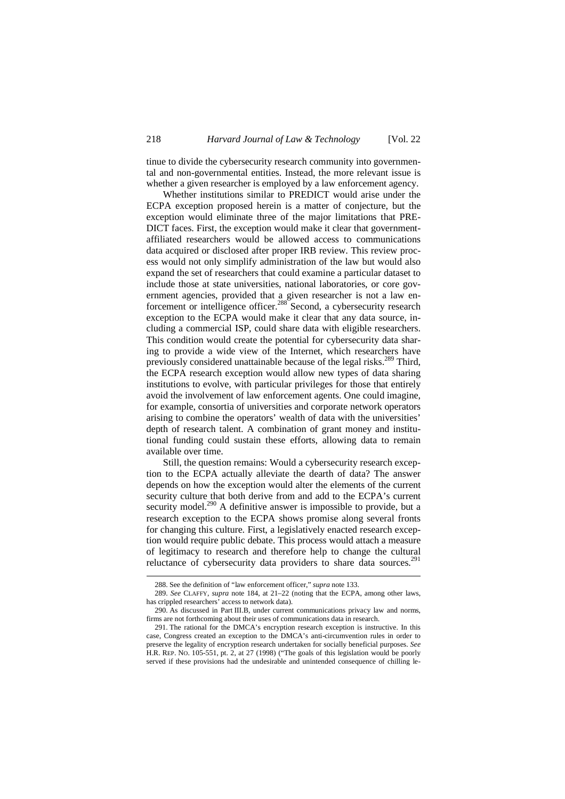tinue to divide the cybersecurity research community into governmental and non-governmental entities. Instead, the more relevant issue is whether a given researcher is employed by a law enforcement agency.

Whether institutions similar to PREDICT would arise under the ECPA exception proposed herein is a matter of conjecture, but the exception would eliminate three of the major limitations that PRE-DICT faces. First, the exception would make it clear that governmentaffiliated researchers would be allowed access to communications data acquired or disclosed after proper IRB review. This review process would not only simplify administration of the law but would also expand the set of researchers that could examine a particular dataset to include those at state universities, national laboratories, or core government agencies, provided that a given researcher is not a law enforcement or intelligence officer.<sup>288</sup> Second, a cybersecurity research exception to the ECPA would make it clear that any data source, including a commercial ISP, could share data with eligible researchers. This condition would create the potential for cybersecurity data sharing to provide a wide view of the Internet, which researchers have previously considered unattainable because of the legal risks.<sup>289</sup> Third, the ECPA research exception would allow new types of data sharing institutions to evolve, with particular privileges for those that entirely avoid the involvement of law enforcement agents. One could imagine, for example, consortia of universities and corporate network operators arising to combine the operators' wealth of data with the universities' depth of research talent. A combination of grant money and institutional funding could sustain these efforts, allowing data to remain available over time.

Still, the question remains: Would a cybersecurity research exception to the ECPA actually alleviate the dearth of data? The answer depends on how the exception would alter the elements of the current security culture that both derive from and add to the ECPA's current security model.<sup>290</sup> A definitive answer is impossible to provide, but a research exception to the ECPA shows promise along several fronts for changing this culture. First, a legislatively enacted research exception would require public debate. This process would attach a measure of legitimacy to research and therefore help to change the cultural reluctance of cybersecurity data providers to share data sources.<sup>291</sup>

<sup>288.</sup> See the definition of "law enforcement officer," *supra* note 133.

<sup>289.</sup> *See* CLAFFY, *supra* note 184, at 21–22 (noting that the ECPA, among other laws, has crippled researchers' access to network data).

<sup>290.</sup> As discussed in Part III.B, under current communications privacy law and norms, firms are not forthcoming about their uses of communications data in research.

<sup>291.</sup> The rational for the DMCA's encryption research exception is instructive. In this case, Congress created an exception to the DMCA's anti-circumvention rules in order to preserve the legality of encryption research undertaken for socially beneficial purposes. *See* H.R. REP. NO. 105-551, pt. 2, at 27 (1998) ("The goals of this legislation would be poorly served if these provisions had the undesirable and unintended consequence of chilling le-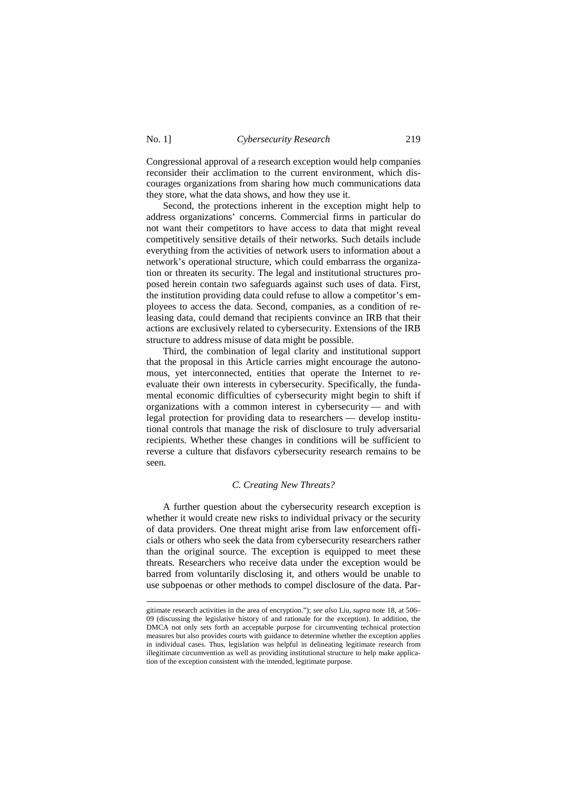Congressional approval of a research exception would help companies reconsider their acclimation to the current environment, which discourages organizations from sharing how much communications data they store, what the data shows, and how they use it.

Second, the protections inherent in the exception might help to address organizations' concerns. Commercial firms in particular do not want their competitors to have access to data that might reveal competitively sensitive details of their networks. Such details include everything from the activities of network users to information about a network's operational structure, which could embarrass the organization or threaten its security. The legal and institutional structures proposed herein contain two safeguards against such uses of data. First, the institution providing data could refuse to allow a competitor's employees to access the data. Second, companies, as a condition of releasing data, could demand that recipients convince an IRB that their actions are exclusively related to cybersecurity. Extensions of the IRB structure to address misuse of data might be possible.

Third, the combination of legal clarity and institutional support that the proposal in this Article carries might encourage the autonomous, yet interconnected, entities that operate the Internet to reevaluate their own interests in cybersecurity. Specifically, the fundamental economic difficulties of cybersecurity might begin to shift if organizations with a common interest in cybersecurity — and with legal protection for providing data to researchers — develop institutional controls that manage the risk of disclosure to truly adversarial recipients. Whether these changes in conditions will be sufficient to reverse a culture that disfavors cybersecurity research remains to be seen.

### *C. Creating New Threats?*

A further question about the cybersecurity research exception is whether it would create new risks to individual privacy or the security of data providers. One threat might arise from law enforcement officials or others who seek the data from cybersecurity researchers rather than the original source. The exception is equipped to meet these threats. Researchers who receive data under the exception would be barred from voluntarily disclosing it, and others would be unable to use subpoenas or other methods to compel disclosure of the data. Par-

gitimate research activities in the area of encryption."); *see also* Liu, *supra* note 18, at 506– 09 (discussing the legislative history of and rationale for the exception). In addition, the DMCA not only sets forth an acceptable purpose for circumventing technical protection measures but also provides courts with guidance to determine whether the exception applies in individual cases. Thus, legislation was helpful in delineating legitimate research from illegitimate circumvention as well as providing institutional structure to help make application of the exception consistent with the intended, legitimate purpose.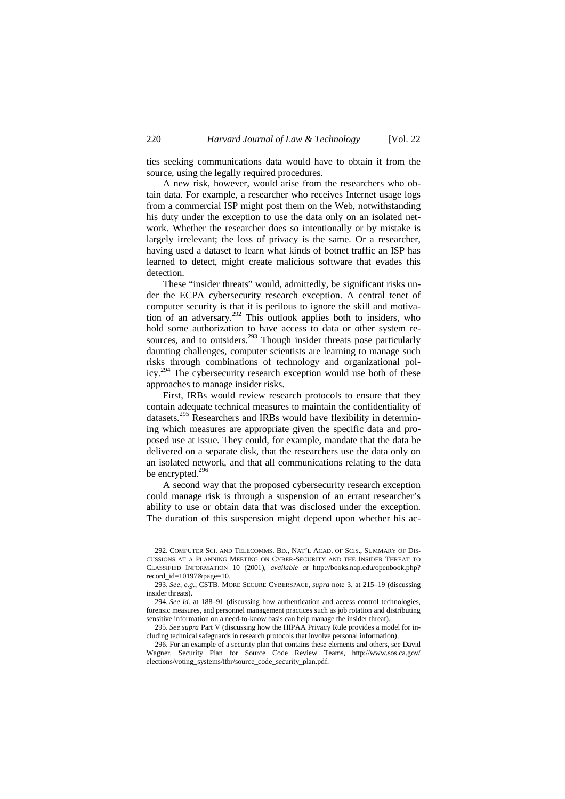ties seeking communications data would have to obtain it from the source, using the legally required procedures.

A new risk, however, would arise from the researchers who obtain data. For example, a researcher who receives Internet usage logs from a commercial ISP might post them on the Web, notwithstanding his duty under the exception to use the data only on an isolated network. Whether the researcher does so intentionally or by mistake is largely irrelevant; the loss of privacy is the same. Or a researcher, having used a dataset to learn what kinds of botnet traffic an ISP has learned to detect, might create malicious software that evades this detection.

These "insider threats" would, admittedly, be significant risks under the ECPA cybersecurity research exception. A central tenet of computer security is that it is perilous to ignore the skill and motivation of an adversary.<sup>292</sup> This outlook applies both to insiders, who hold some authorization to have access to data or other system resources, and to outsiders.<sup>293</sup> Though insider threats pose particularly daunting challenges, computer scientists are learning to manage such risks through combinations of technology and organizational policy.<sup>294</sup> The cybersecurity research exception would use both of these approaches to manage insider risks.

First, IRBs would review research protocols to ensure that they contain adequate technical measures to maintain the confidentiality of datasets.<sup>295</sup> Researchers and IRBs would have flexibility in determining which measures are appropriate given the specific data and proposed use at issue. They could, for example, mandate that the data be delivered on a separate disk, that the researchers use the data only on an isolated network, and that all communications relating to the data be encrypted.<sup>296</sup>

A second way that the proposed cybersecurity research exception could manage risk is through a suspension of an errant researcher's ability to use or obtain data that was disclosed under the exception. The duration of this suspension might depend upon whether his ac-

<sup>292.</sup> COMPUTER SCI. AND TELECOMMS. BD., NAT'L ACAD. OF SCIS., SUMMARY OF DIS-CUSSIONS AT A PLANNING MEETING ON CYBER-SECURITY AND THE INSIDER THREAT TO CLASSIFIED INFORMATION 10 (2001), *available at* http://books.nap.edu/openbook.php? record\_id=10197&page=10.

<sup>293.</sup> *See, e.g.*, CSTB, MORE SECURE CYBERSPACE, *supra* note 3, at 215–19 (discussing insider threats).

<sup>294.</sup> *See id.* at 188–91 (discussing how authentication and access control technologies, forensic measures, and personnel management practices such as job rotation and distributing sensitive information on a need-to-know basis can help manage the insider threat).

<sup>295.</sup> *See supra* Part V (discussing how the HIPAA Privacy Rule provides a model for including technical safeguards in research protocols that involve personal information).

<sup>296.</sup> For an example of a security plan that contains these elements and others, see David Wagner, Security Plan for Source Code Review Teams, http://www.sos.ca.gov/ elections/voting\_systems/ttbr/source\_code\_security\_plan.pdf.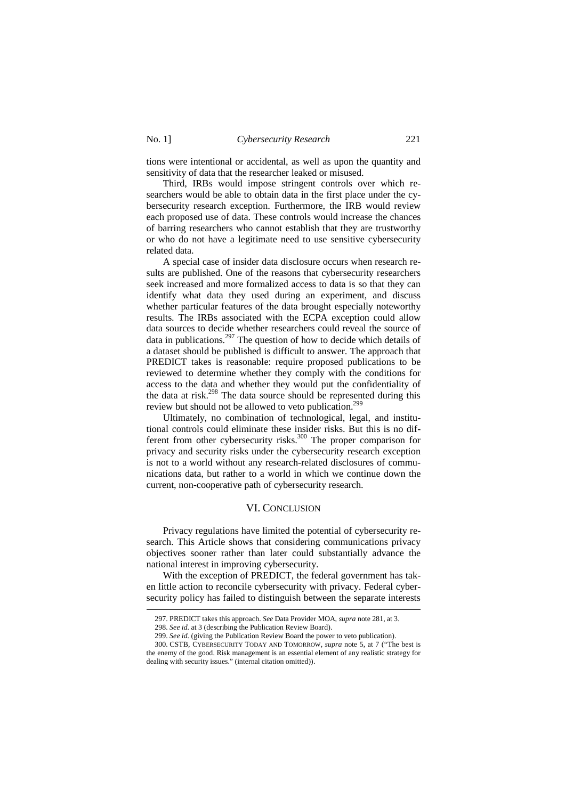-

tions were intentional or accidental, as well as upon the quantity and sensitivity of data that the researcher leaked or misused.

Third, IRBs would impose stringent controls over which researchers would be able to obtain data in the first place under the cybersecurity research exception. Furthermore, the IRB would review each proposed use of data. These controls would increase the chances of barring researchers who cannot establish that they are trustworthy or who do not have a legitimate need to use sensitive cybersecurity related data.

A special case of insider data disclosure occurs when research results are published. One of the reasons that cybersecurity researchers seek increased and more formalized access to data is so that they can identify what data they used during an experiment, and discuss whether particular features of the data brought especially noteworthy results. The IRBs associated with the ECPA exception could allow data sources to decide whether researchers could reveal the source of data in publications.<sup>297</sup> The question of how to decide which details of a dataset should be published is difficult to answer. The approach that PREDICT takes is reasonable: require proposed publications to be reviewed to determine whether they comply with the conditions for access to the data and whether they would put the confidentiality of the data at risk.<sup>298</sup> The data source should be represented during this review but should not be allowed to veto publication.<sup>299</sup>

Ultimately, no combination of technological, legal, and institutional controls could eliminate these insider risks. But this is no different from other cybersecurity risks.<sup>300</sup> The proper comparison for privacy and security risks under the cybersecurity research exception is not to a world without any research-related disclosures of communications data, but rather to a world in which we continue down the current, non-cooperative path of cybersecurity research.

## VI. CONCLUSION

Privacy regulations have limited the potential of cybersecurity research. This Article shows that considering communications privacy objectives sooner rather than later could substantially advance the national interest in improving cybersecurity.

With the exception of PREDICT, the federal government has taken little action to reconcile cybersecurity with privacy. Federal cybersecurity policy has failed to distinguish between the separate interests

<sup>297.</sup> PREDICT takes this approach. *See* Data Provider MOA, *supra* note 281, at 3.

<sup>298.</sup> *See id.* at 3 (describing the Publication Review Board).

<sup>299.</sup> *See id.* (giving the Publication Review Board the power to veto publication).

<sup>300.</sup> CSTB, CYBERSECURITY TODAY AND TOMORROW, *supra* note 5, at 7 ("The best is the enemy of the good. Risk management is an essential element of any realistic strategy for dealing with security issues." (internal citation omitted)).